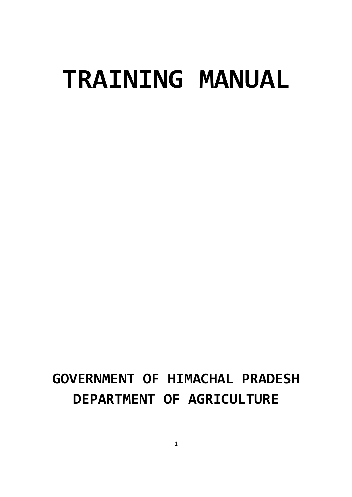# **TRAINING MANUAL**

# **GOVERNMENT OF HIMACHAL PRADESH DEPARTMENT OF AGRICULTURE**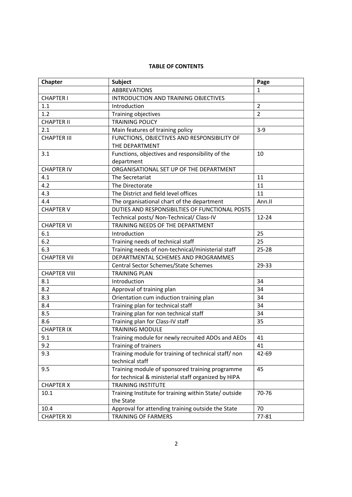# **TABLE OF CONTENTS**

| Chapter             | <b>Subject</b>                                                                  | Page           |
|---------------------|---------------------------------------------------------------------------------|----------------|
|                     | <b>ABBREVATIONS</b>                                                             | 1              |
| <b>CHAPTER I</b>    | INTRODUCTION AND TRAINING OBJECTIVES                                            |                |
| 1.1                 | Introduction                                                                    | $\overline{2}$ |
| 1.2                 | Training objectives                                                             | $\overline{2}$ |
| <b>CHAPTER II</b>   | <b>TRAINING POLICY</b>                                                          |                |
| 2.1                 | Main features of training policy                                                | $3-9$          |
| <b>CHAPTER III</b>  | FUNCTIONS, OBJECTIVES AND RESPONSIBILITY OF<br>THE DEPARTMENT                   |                |
| 3.1                 | Functions, objectives and responsibility of the                                 | 10             |
|                     | department                                                                      |                |
| <b>CHAPTER IV</b>   | ORGANISATIONAL SET UP OF THE DEPARTMENT                                         |                |
| 4.1                 | The Secretariat                                                                 | 11             |
| 4.2                 | The Directorate                                                                 | 11             |
| 4.3                 | The District and field level offices                                            | 11             |
| 4.4                 | The organisational chart of the department                                      | Ann.II         |
| <b>CHAPTER V</b>    | DUTIES AND RESPONSIBILTIES OF FUNCTIONAL POSTS                                  |                |
|                     | Technical posts/ Non-Technical/ Class-IV                                        | $12 - 24$      |
| <b>CHAPTER VI</b>   | TRAINING NEEDS OF THE DEPARTMENT                                                |                |
| 6.1                 | Introduction                                                                    | 25             |
| 6.2                 | Training needs of technical staff                                               | 25             |
| 6.3                 | Training needs of non-technical/ministerial staff                               | $25 - 28$      |
| <b>CHAPTER VII</b>  | DEPARTMENTAL SCHEMES AND PROGRAMMES                                             |                |
|                     | Central Sector Schemes/State Schemes                                            | 29-33          |
| <b>CHAPTER VIII</b> | <b>TRAINING PLAN</b>                                                            |                |
| 8.1                 | Introduction                                                                    | 34             |
| 8.2                 | Approval of training plan                                                       | 34             |
| 8.3                 | Orientation cum induction training plan                                         | 34             |
| 8.4                 | Training plan for technical staff                                               | 34             |
| 8.5                 | Training plan for non technical staff                                           | 34             |
| 8.6                 | Training plan for Class-IV staff                                                | 35             |
| <b>CHAPTER IX</b>   | <b>TRAINING MODULE</b>                                                          |                |
| 9.1                 | Training module for newly recruited ADOs and AEOs                               | 41             |
| 9.2                 | Training of trainers                                                            | 41             |
| 9.3                 | Training module for training of technical staff/non                             | 42-69          |
|                     | technical staff                                                                 |                |
| 9.5                 | Training module of sponsored training programme                                 | 45             |
|                     | for technical & ministerial staff organized by HIPA                             |                |
| <b>CHAPTER X</b>    | <b>TRAINING INSTITUTE</b>                                                       |                |
| 10.1                | Training Institute for training within State/outside                            | 70-76          |
|                     | the State                                                                       |                |
| 10.4                | Approval for attending training outside the State<br><b>TRAINING OF FARMERS</b> | 70<br>77-81    |
| <b>CHAPTER XI</b>   |                                                                                 |                |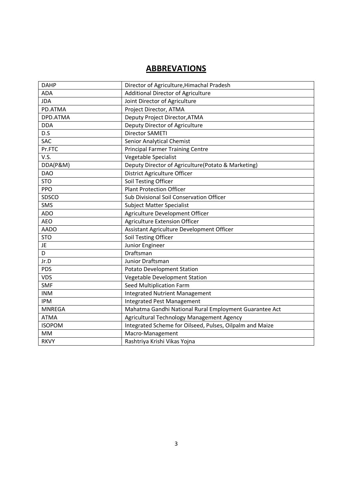# **ABBREVATIONS**

| <b>DAHP</b>   | Director of Agriculture, Himachal Pradesh                |
|---------------|----------------------------------------------------------|
| <b>ADA</b>    | <b>Additional Director of Agriculture</b>                |
| <b>JDA</b>    | Joint Director of Agriculture                            |
| PD.ATMA       | Project Director, ATMA                                   |
| DPD.ATMA      | Deputy Project Director, ATMA                            |
| <b>DDA</b>    | Deputy Director of Agriculture                           |
| D.S           | <b>Director SAMETI</b>                                   |
| <b>SAC</b>    | Senior Analytical Chemist                                |
| Pr.FTC        | <b>Principal Farmer Training Centre</b>                  |
| V.S.          | Vegetable Specialist                                     |
| DDA(P&M)      | Deputy Director of Agriculture(Potato & Marketing)       |
| <b>DAO</b>    | District Agriculture Officer                             |
| <b>STO</b>    | Soil Testing Officer                                     |
| PPO           | <b>Plant Protection Officer</b>                          |
| SDSCO         | Sub Divisional Soil Conservation Officer                 |
| <b>SMS</b>    | <b>Subject Matter Specialist</b>                         |
| <b>ADO</b>    | Agriculture Development Officer                          |
| <b>AEO</b>    | <b>Agriculture Extension Officer</b>                     |
| <b>AADO</b>   | Assistant Agriculture Development Officer                |
| <b>STO</b>    | Soil Testing Officer                                     |
| JE            | Junior Engineer                                          |
| D             | Draftsman                                                |
| Jr.D          | Junior Draftsman                                         |
| PDS           | <b>Potato Development Station</b>                        |
| <b>VDS</b>    | Vegetable Development Station                            |
| SMF           | Seed Multiplication Farm                                 |
| <b>INM</b>    | <b>Integrated Nutrient Management</b>                    |
| <b>IPM</b>    | <b>Integrated Pest Management</b>                        |
| <b>MNREGA</b> | Mahatma Gandhi National Rural Employment Guarantee Act   |
| <b>ATMA</b>   | Agricultural Technology Management Agency                |
| <b>ISOPOM</b> | Integrated Scheme for Oilseed, Pulses, Oilpalm and Maize |
| MM            | Macro-Management                                         |
| <b>RKVY</b>   | Rashtriya Krishi Vikas Yojna                             |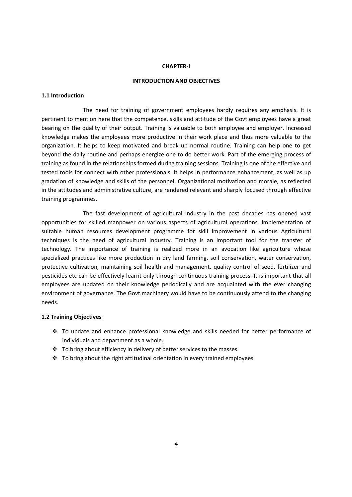#### **CHAPTER-I**

#### **INTRODUCTION AND OBJECTIVES**

#### **1.1 Introduction**

 The need for training of government employees hardly requires any emphasis. It is pertinent to mention here that the competence, skills and attitude of the Govt.employees have a great bearing on the quality of their output. Training is valuable to both employee and employer. Increased knowledge makes the employees more productive in their work place and thus more valuable to the organization. It helps to keep motivated and break up normal routine. Training can help one to get beyond the daily routine and perhaps energize one to do better work. Part of the emerging process of training as found in the relationships formed during training sessions. Training is one of the effective and tested tools for connect with other professionals. It helps in performance enhancement, as well as up gradation of knowledge and skills of the personnel. Organizational motivation and morale, as reflected in the attitudes and administrative culture, are rendered relevant and sharply focused through effective training programmes.

 The fast development of agricultural industry in the past decades has opened vast opportunities for skilled manpower on various aspects of agricultural operations. Implementation of suitable human resources development programme for skill improvement in various Agricultural techniques is the need of agricultural industry. Training is an important tool for the transfer of technology. The importance of training is realized more in an avocation like agriculture whose specialized practices like more production in dry land farming, soil conservation, water conservation, protective cultivation, maintaining soil health and management, quality control of seed, fertilizer and pesticides etc can be effectively learnt only through continuous training process. It is important that all employees are updated on their knowledge periodically and are acquainted with the ever changing environment of governance. The Govt.machinery would have to be continuously attend to the changing needs.

#### **1.2 Training Objectives**

- To update and enhance professional knowledge and skills needed for better performance of individuals and department as a whole.
- \* To bring about efficiency in delivery of better services to the masses.
- $\cdot \cdot$  To bring about the right attitudinal orientation in every trained employees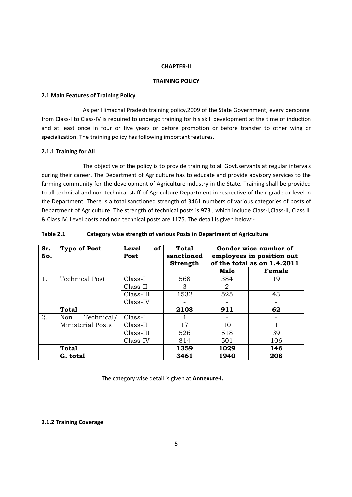#### **CHAPTER-II**

#### **TRAINING POLICY**

#### **2.1 Main Features of Training Policy**

 As per Himachal Pradesh training policy,2009 of the State Government, every personnel from Class-I to Class-IV is required to undergo training for his skill development at the time of induction and at least once in four or five years or before promotion or before transfer to other wing or specialization. The training policy has following important features.

#### **2.1.1 Training for All**

 The objective of the policy is to provide training to all Govt.servants at regular intervals during their career. The Department of Agriculture has to educate and provide advisory services to the farming community for the development of Agriculture industry in the State. Training shall be provided to all technical and non technical staff of Agriculture Department in respective of their grade or level in the Department. There is a total sanctioned strength of 3461 numbers of various categories of posts of Department of Agriculture. The strength of technical posts is 973 , which include Class-I,Class-II, Class III & Class IV. Level posts and non technical posts are 1175. The detail is given below:-

| Sr.<br>No. | <b>Type of Post</b>      | <b>Level</b><br>of<br>Post | Total<br>sanctioned<br><b>Strength</b> |      | Gender wise number of<br>employees in position out<br>of the total as on 1.4.2011 |
|------------|--------------------------|----------------------------|----------------------------------------|------|-----------------------------------------------------------------------------------|
|            |                          |                            |                                        | Male | Female                                                                            |
| 1.         | <b>Technical Post</b>    | Class-I                    | 568                                    | 384  | 19                                                                                |
|            |                          | Class-II                   | 3                                      | 2    |                                                                                   |
|            |                          | Class-III                  | 1532                                   | 525  | 43                                                                                |
|            |                          | Class-IV                   |                                        |      |                                                                                   |
|            | <b>Total</b>             |                            | 2103                                   | 911  | 62                                                                                |
| 2.         | Technical/<br>Non        | Class-I                    |                                        |      |                                                                                   |
|            | <b>Ministerial Posts</b> | Class-II                   | 17                                     | 10   |                                                                                   |
|            |                          | Class-III                  | 526                                    | 518  | 39                                                                                |
|            |                          | Class-IV                   | 814                                    | 501  | 106                                                                               |
|            | <b>Total</b>             |                            | 1359                                   | 1029 | 146                                                                               |
|            | G. total                 |                            | 3461                                   | 1940 | 208                                                                               |

#### **Table 2.1 Category wise strength of various Posts in Department of Agriculture**

The category wise detail is given at **Annexure-I.**

#### **2.1.2 Training Coverage**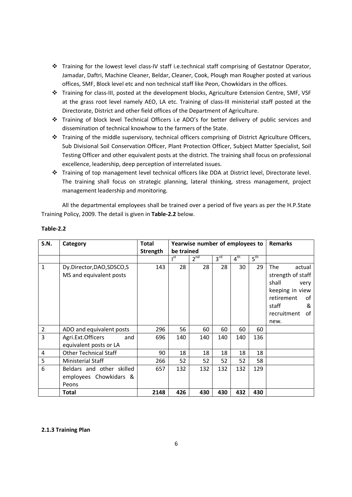- Training for the lowest level class-IV staff i.e.technical staff comprising of Gestatnor Operator, Jamadar, Daftri, Machine Cleaner, Beldar, Cleaner, Cook, Plough man Rougher posted at various offices, SMF, Block level etc and non technical staff like Peon, Chowkidars in the offices.
- Training for class-III, posted at the development blocks, Agriculture Extension Centre, SMF, VSF at the grass root level namely AEO, LA etc. Training of class-III ministerial staff posted at the Directorate, District and other field offices of the Department of Agriculture.
- Training of block level Technical Officers i.e ADO's for better delivery of public services and dissemination of technical knowhow to the farmers of the State.
- \* Training of the middle supervisory, technical officers comprising of District Agriculture Officers, Sub Divisional Soil Conservation Officer, Plant Protection Officer, Subject Matter Specialist, Soil Testing Officer and other equivalent posts at the district. The training shall focus on professional excellence, leadership, deep perception of interrelated issues.
- Training of top management level technical officers like DDA at District level, Directorate level. The training shall focus on strategic planning, lateral thinking, stress management, project management leadership and monitoring.

 All the departmental employees shall be trained over a period of five years as per the H.P.State Training Policy, 2009. The detail is given in **Table-2.2** below.

| S.N.           | Category                                                     | <b>Total</b> | Yearwise number of employees to |                 |                 |                 |                 | <b>Remarks</b>                                                                                                                        |
|----------------|--------------------------------------------------------------|--------------|---------------------------------|-----------------|-----------------|-----------------|-----------------|---------------------------------------------------------------------------------------------------------------------------------------|
|                |                                                              | Strength     | be trained                      |                 |                 |                 |                 |                                                                                                                                       |
|                |                                                              |              | $I^{st}$                        | 2 <sup>nd</sup> | 3 <sup>rd</sup> | 4 <sup>th</sup> | 5 <sup>th</sup> |                                                                                                                                       |
| $\mathbf{1}$   | Dy.Director,DAO,SDSCO,S<br>MS and equivalent posts           | 143          | 28                              | 28              | 28              | 30              | 29              | The<br>actual<br>strength of staff<br>shall<br>very<br>keeping in view<br>retirement<br>of<br>staff<br>&<br>recruitment<br>οf<br>new. |
| $\overline{2}$ | ADO and equivalent posts                                     | 296          | 56                              | 60              | 60              | 60              | 60              |                                                                                                                                       |
| 3              | Agri.Ext.Officers<br>and<br>equivalent posts or LA           | 696          | 140                             | 140             | 140             | 140             | 136             |                                                                                                                                       |
| 4              | <b>Other Technical Staff</b>                                 | 90           | 18                              | 18              | 18              | 18              | 18              |                                                                                                                                       |
| 5              | <b>Ministerial Staff</b>                                     | 266          | 52                              | 52              | 52              | 52              | 58              |                                                                                                                                       |
| 6              | Beldars and other skilled<br>employees Chowkidars &<br>Peons | 657          | 132                             | 132             | 132             | 132             | 129             |                                                                                                                                       |
|                | <b>Total</b>                                                 | 2148         | 426                             | 430             | 430             | 432             | 430             |                                                                                                                                       |

#### **Table-2.2**

#### **2.1.3 Training Plan**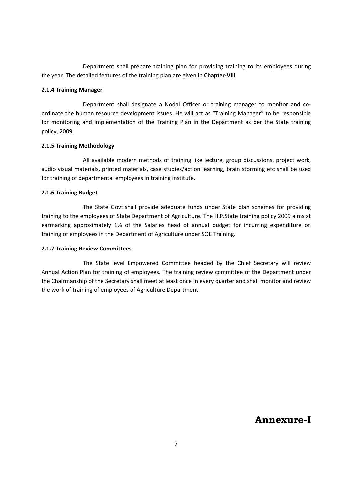Department shall prepare training plan for providing training to its employees during the year. The detailed features of the training plan are given in **Chapter-VIII**

#### **2.1.4 Training Manager**

Department shall designate a Nodal Officer or training manager to monitor and coordinate the human resource development issues. He will act as "Training Manager" to be responsible for monitoring and implementation of the Training Plan in the Department as per the State training policy, 2009.

#### **2.1.5 Training Methodology**

All available modern methods of training like lecture, group discussions, project work, audio visual materials, printed materials, case studies/action learning, brain storming etc shall be used for training of departmental employees in training institute.

#### **2.1.6 Training Budget**

The State Govt.shall provide adequate funds under State plan schemes for providing training to the employees of State Department of Agriculture. The H.P.State training policy 2009 aims at earmarking approximately 1% of the Salaries head of annual budget for incurring expenditure on training of employees in the Department of Agriculture under SOE Training.

#### **2.1.7 Training Review Committees**

The State level Empowered Committee headed by the Chief Secretary will review Annual Action Plan for training of employees. The training review committee of the Department under the Chairmanship of the Secretary shall meet at least once in every quarter and shall monitor and review the work of training of employees of Agriculture Department.

**Annexure-I**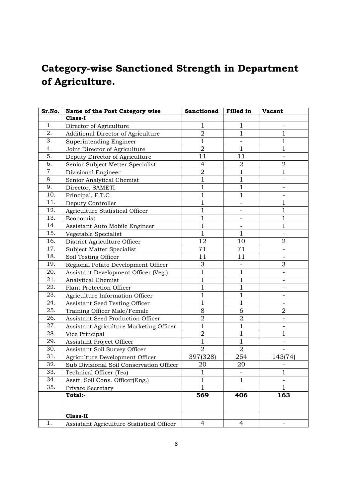# **Category-wise Sanctioned Strength in Department of Agriculture.**

| Sr.No. | Name of the Post Category wise            | <b>Sanctioned</b> | Filled in      | <b>Vacant</b>            |
|--------|-------------------------------------------|-------------------|----------------|--------------------------|
|        | Class-I                                   |                   |                |                          |
| 1.     | Director of Agriculture                   | 1                 | $\mathbf{1}$   | $\qquad \qquad -$        |
| 2.     | Additional Director of Agriculture        | $\overline{2}$    | 1              | 1                        |
| 3.     | Superintending Engineer                   | $\mathbf{1}$      |                | $\mathbf 1$              |
| 4.     | Joint Director of Agriculture             | $\overline{2}$    | $\mathbf{1}$   | $\mathbf{1}$             |
| 5.     | Deputy Director of Agriculture            | 11                | 11             |                          |
| 6.     | Senior Subject Metter Specialist          | $\overline{4}$    | $\overline{2}$ | $\overline{2}$           |
| 7.     | Divisional Engineer                       | $\overline{2}$    | $\mathbf 1$    | 1                        |
| 8.     | Senior Analytical Chemist                 | $\mathbf 1$       | $\mathbf{1}$   |                          |
| 9.     | Director, SAMETI                          | $\mathbf{1}$      | $\mathbf{1}$   |                          |
| 10.    | Principal, F.T.C                          | 1                 | $\mathbf{1}$   |                          |
| 11.    | Deputy Controller                         | $\mathbf{1}$      |                | $\mathbf{1}$             |
| 12.    | Agriculture Statistical Officer           | 1                 |                | $\mathbf{1}$             |
| 13.    | Economist                                 | 1                 |                | 1                        |
| 14.    | Assistant Auto Mobile Engineer            | $\mathbf{1}$      |                | $\mathbf{1}$             |
| 15.    | Vegetable Specialist                      | $\mathbf{1}$      | $\mathbf{1}$   |                          |
| 16.    | District Agriculture Officer              | 12                | 10             | $\overline{2}$           |
| 17.    | Subject Matter Specialist                 | 71                | 71             |                          |
| 18.    | Soil Testing Officer                      | 11                | 11             | $\overline{\phantom{a}}$ |
| 19.    | Regional Potato Development Officer       | 3                 |                | 3                        |
| 20.    | Assistant Development Officer (Veg.)      | $\overline{1}$    | $\mathbf{1}$   |                          |
| 21.    | Analytical Chemist                        | $\mathbf{1}$      | $\mathbf{1}$   |                          |
| 22.    | <b>Plant Protection Officer</b>           | 1                 | $\mathbf 1$    |                          |
| 23.    | Agriculture Information Officer           | 1                 | $\mathbf{1}$   |                          |
| 24.    | Assistant Seed Testing Officer            | 1                 | $\mathbf 1$    |                          |
| 25.    | Training Officer Male/Female              | 8                 | 6              | $\overline{2}$           |
| 26.    | Assistant Seed Production Officer         | $\overline{2}$    | $\overline{2}$ |                          |
| 27.    | Assistant Agriculture Marketing Officer   | $\mathbf 1$       | $\mathbf{1}$   |                          |
| 28.    | Vice Principal                            | $\overline{2}$    | $\mathbf{1}$   | $\mathbf{1}$             |
| 29.    | <b>Assistant Project Officer</b>          | $\overline{1}$    | $\mathbf{1}$   |                          |
| 30.    | Assistant Soil Survey Officer             | $\overline{2}$    | $\overline{2}$ |                          |
| 31.    | Agriculture Development Officer           | 397(328)          | 254            | 143(74)                  |
| 32.    | Sub Divisional Soil Conservation Officer  | 20                | 20             |                          |
| 33.    | Technical Officer (Tea)                   | $\overline{1}$    |                | $\mathbf 1$              |
| 34.    | Asstt. Soil Cons. Officer(Eng.)           | $\mathbf{1}$      | $\mathbf 1$    | -                        |
| 35.    | Private Secretary                         | 1                 |                | 1                        |
|        | Total:-                                   | 569               | 406            | 163                      |
|        |                                           |                   |                |                          |
|        | <b>Class-II</b>                           |                   |                |                          |
| 1.     | Assistant Agriculture Statistical Officer | 4                 | 4              |                          |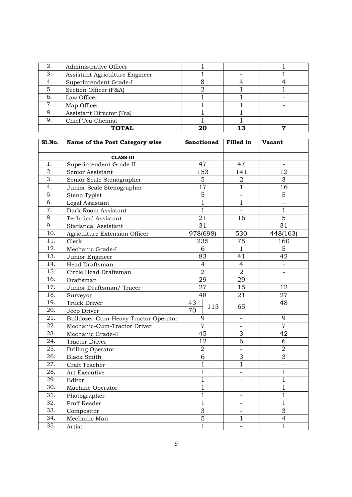| 2. | Administrative Officer         |  |  |
|----|--------------------------------|--|--|
| 3. | Assistant Agriculture Engineer |  |  |
| 4. | Superintendent Grade-I         |  |  |
| 5. | Section Officer (F&A)          |  |  |
| 6. | Law Officer                    |  |  |
| 7. | Map Officer                    |  |  |
| 8. | Assistant Director (Tea)       |  |  |
| 9. | Chief Tea Chemist              |  |  |
|    | <b>ТОТАІ.</b>                  |  |  |

| <b>S1.No.</b>     | Name of the Post Category wise       | <b>Sanctioned</b> |                 | Filled in                | <b>Vacant</b>            |
|-------------------|--------------------------------------|-------------------|-----------------|--------------------------|--------------------------|
|                   | <b>CLASS-III</b>                     |                   |                 |                          |                          |
| 1.                | Superintendent Grade-II              |                   | 47              | 47                       |                          |
| 2.                | Senior Assistant                     |                   | 153             | 141                      | 12                       |
| $\overline{3}$ .  | Senior Scale Stenographer            |                   | $\overline{5}$  | $\overline{2}$           | 3                        |
| 4.                | Junior Scale Stenographer            |                   | $\overline{17}$ | $\overline{1}$           | 16                       |
| 5.                | Steno Typist                         |                   | 5               |                          | 5                        |
| 6.                | Legal Assistant                      |                   | $\mathbf{1}$    | $\mathbf{1}$             |                          |
| 7.                | Dark Room Assistant                  |                   | $\overline{1}$  | $\overline{a}$           | $\mathbf{1}$             |
| 8.                | <b>Technical Assistant</b>           | 21                |                 | 16                       | $\overline{5}$           |
| 9.                | <b>Statistical Assistant</b>         | $\overline{31}$   |                 | $\overline{a}$           | 31                       |
| 10.               | Agriculture Extension Officer        | 978(698)          |                 | 530                      | 448(163)                 |
| 11.               | Clerk                                |                   | 235             | 75                       | 160                      |
| 12.               | Mechanic Grade-I                     |                   | 6               | $\mathbf{1}$             | 5                        |
| 13.               | Junior Engineer                      |                   | 83              | 41                       | 42                       |
| 14.               | Head Draftsman                       |                   | $\overline{4}$  | $\overline{4}$           | $\blacksquare$           |
| 15.               | Circle Head Draftsman                | $\overline{2}$    |                 | $\overline{2}$           | $\overline{\phantom{a}}$ |
| 16.               | Draftsman                            |                   | 29              | 29                       | $\blacksquare$           |
| 17.               | Junior Draftsman/Tracer              | 27                |                 | 15                       | 12                       |
| 18.               | Surveyor                             |                   | 48              | 21                       | 27                       |
| 19.               | Truck Driver                         | 43                |                 |                          | 48                       |
| 20.               | Jeep Driver                          | 70                | 113             | 65                       |                          |
| $\overline{21}$ . | Bulldozer-Cum-Heavy Tractor Operator |                   | 9               | $\overline{\phantom{a}}$ | 9                        |
| $\overline{22}$ . | Mechanic-Cum-Tractor Driver          |                   | $\overline{7}$  | $\overline{\phantom{a}}$ | $\overline{7}$           |
| $\overline{23}$ . | Mechanic Grade-II                    |                   | 45              | 3                        | 42                       |
| 24.               | <b>Tractor Driver</b>                |                   | 12              | 6                        | 6                        |
| 25.               | Drilling Operator                    |                   | $\overline{2}$  | $\overline{\phantom{a}}$ | $\overline{2}$           |
| 26.               | <b>Black Smith</b>                   |                   | 6               | 3                        | 3                        |
| 27.               | Craft Teacher                        |                   | $\mathbf{1}$    | $\mathbf{1}$             | $\qquad \qquad -$        |
| 28.               | Art Executive                        |                   | 1               | $\qquad \qquad -$        | $\mathbf{1}$             |
| 29.               | Editor                               | $\mathbf 1$       |                 | -                        | $\mathbf{1}$             |
| 30.               | Machine Operator                     | $\mathbf 1$       |                 |                          | $\mathbf{1}$             |
| 31.               | Photographer                         | $\mathbf{1}$      |                 | $\overline{\phantom{0}}$ | $\mathbf{1}$             |
| 32.               | Proff Reader                         |                   | $\mathbf{1}$    | $\overline{\phantom{0}}$ | $\mathbf{1}$             |
| 33.               | Compositor                           |                   | 3               | $\overline{\phantom{0}}$ | 3                        |
| 34.               | Mechanic Man                         |                   | $\overline{5}$  | $\mathbf{1}$             | $\overline{4}$           |
| 35.               | Artist                               |                   | $\overline{1}$  | $\overline{\phantom{0}}$ | $\overline{1}$           |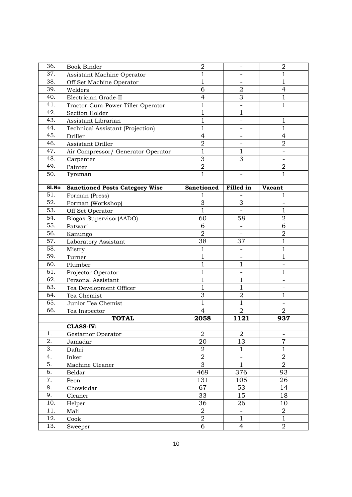| 36.              | <b>Book Binder</b>                    | $\mathbf 2$       | $\overline{\phantom{0}}$ | $\overline{2}$          |
|------------------|---------------------------------------|-------------------|--------------------------|-------------------------|
| 37.              | Assistant Machine Operator            | 1                 |                          | 1                       |
| 38.              | Off Set Machine Operator              | 1                 |                          | $\mathbf 1$             |
| 39.              | Welders                               | 6                 | $\overline{2}$           | 4                       |
| 40.              | Electrician Grade-II                  | $\overline{4}$    | 3                        | 1                       |
| 41.              | Tractor-Cum-Power Tiller Operator     | $\mathbf{1}$      |                          | $\mathbf 1$             |
| 42.              | Section Holder                        | 1                 | $\mathbf{1}$             |                         |
| 43.              | Assistant Librarian                   | 1                 | $\overline{\phantom{a}}$ | 1                       |
| 44.              | Technical Assistant (Projection)      | $\mathbf{1}$      |                          | $\mathbf 1$             |
| 45.              | Driller                               | $\overline{4}$    |                          | 4                       |
| 46.              | Assistant Driller                     | $\overline{2}$    | $\overline{\phantom{a}}$ | $\overline{2}$          |
| 47.              | Air Compressor/ Generator Operator    | $\mathbf{1}$      | $\mathbf{1}$             |                         |
| 48.              | Carpenter                             | 3                 | 3                        |                         |
| 49.              | Painter                               | $\sqrt{2}$        | $\overline{\phantom{a}}$ | $\mathbf 2$             |
| 50.              | Tyreman                               | $\mathbf{1}$      |                          | 1                       |
| S1.No            | <b>Sanctioned Posts Category Wise</b> | <b>Sanctioned</b> | Filled in                | <b>Vacant</b>           |
| $\overline{51}$  | Forman (Press)                        |                   |                          | 1                       |
| 52.              | Forman (Workshop)                     | 3                 | 3                        |                         |
| 53.              | Off Set Operator                      | 1                 |                          | 1                       |
| 54.              | Biogas Supervisor(AADO)               | 60                | 58                       | $\overline{2}$          |
| 55.              | Patwari                               | 6                 | $\overline{\phantom{0}}$ | 6                       |
| 56.              | Kanungo                               | $\overline{2}$    | $\overline{\phantom{a}}$ | $\sqrt{2}$              |
| 57.              | Laboratory Assistant                  | 38                | 37                       | $\mathbf 1$             |
| 58.              | Mistry                                | 1                 |                          | $\mathbf{1}$            |
| 59.              | Turner                                | $\overline{1}$    |                          | 1                       |
| 60.              | Plumber                               | $\mathbf{1}$      | $\mathbf 1$              |                         |
| 61.              | Projector Operator                    | 1                 |                          | 1                       |
| 62.              | Personal Assistant                    | 1                 | $\mathbf{1}$             |                         |
| 63.              | Tea Development Officer               | 1                 | 1                        |                         |
| 64.              | Tea Chemist                           | $\overline{3}$    | $\overline{2}$           | $\mathbf{1}$            |
| 65.              | Junior Tea Chemist                    | $\mathbf{1}$      | $\mathbf{1}$             |                         |
| 66.              | Tea Inspector                         | $\overline{4}$    | $\overline{2}$           | $\overline{2}$          |
|                  | <b>TOTAL</b>                          | 2058              | 1121                     | 937                     |
|                  | <b>CLASS-IV:</b>                      |                   |                          |                         |
| 1.               | Gestatnor Operator                    | $\overline{2}$    | $\overline{2}$           |                         |
| 2.               | Jamadar                               | 20                | 13                       | $\overline{7}$          |
| $\overline{3}$ . | Daftri                                | $\boldsymbol{2}$  | $\mathbf{1}$             | $\mathbf{1}$            |
| 4.               | Inker                                 | $\overline{2}$    | $\qquad \qquad -$        | $\sqrt{2}$              |
| 5.               | Machine Cleaner                       | $\overline{3}$    | $\overline{1}$           | $\overline{2}$          |
| 6.               | Beldar                                | 469               | 376                      | 93                      |
| 7.               | Peon                                  | 131               | 105                      | 26                      |
| 8.               | Chowkidar                             | 67                | 53                       | 14                      |
| 9.               | Cleaner                               | 33                | 15                       | 18                      |
| 10.              | Helper                                | 36                | 26                       | 10                      |
| 11.              | Mali                                  | $\overline{2}$    | $\overline{\phantom{a}}$ | $\overline{\mathbf{2}}$ |
| 12.              | Cook                                  | $\sqrt{2}$        | $\mathbf{1}$             | $\mathbf{1}$            |
| 13.              | Sweeper                               | 6                 | $\overline{4}$           | $\overline{2}$          |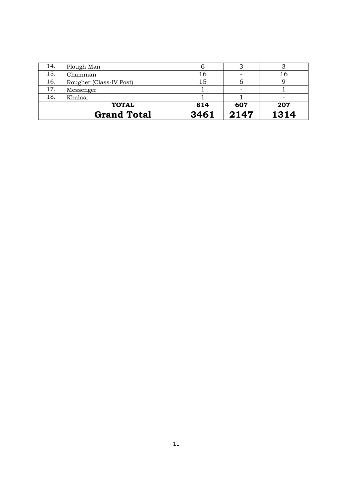| 14. | Plough Man              |      |      |      |
|-----|-------------------------|------|------|------|
| 15. | Chainman                | 16   |      | 16   |
| 16. | Rougher (Class-IV Post) | ι5   |      |      |
| 17. | Messenger               |      |      |      |
| 18. | Khalasi                 |      |      |      |
|     | <b>TOTAL</b>            | 814  | 607  | 207  |
|     | <b>Grand Total</b>      | 3461 | 2147 | 1314 |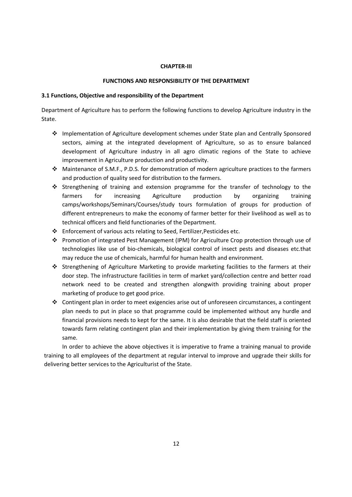#### **CHAPTER-III**

#### **FUNCTIONS AND RESPONSIBILITY OF THE DEPARTMENT**

#### **3.1 Functions, Objective and responsibility of the Department**

Department of Agriculture has to perform the following functions to develop Agriculture industry in the State.

- Implementation of Agriculture development schemes under State plan and Centrally Sponsored sectors, aiming at the integrated development of Agriculture, so as to ensure balanced development of Agriculture industry in all agro climatic regions of the State to achieve improvement in Agriculture production and productivity.
- Maintenance of S.M.F., P.D.S. for demonstration of modern agriculture practices to the farmers and production of quality seed for distribution to the farmers.
- Strengthening of training and extension programme for the transfer of technology to the farmers for increasing Agriculture production by organizing training camps/workshops/Seminars/Courses/study tours formulation of groups for production of different entrepreneurs to make the economy of farmer better for their livelihood as well as to technical officers and field functionaries of the Department.
- Enforcement of various acts relating to Seed, Fertilizer,Pesticides etc.
- Promotion of integrated Pest Management (IPM) for Agriculture Crop protection through use of technologies like use of bio-chemicals, biological control of insect pests and diseases etc.that may reduce the use of chemicals, harmful for human health and environment.
- Strengthening of Agriculture Marketing to provide marketing facilities to the farmers at their door step. The infrastructure facilities in term of market yard/collection centre and better road network need to be created and strengthen alongwith providing training about proper marketing of produce to get good price.
- Contingent plan in order to meet exigencies arise out of unforeseen circumstances, a contingent plan needs to put in place so that programme could be implemented without any hurdle and financial provisions needs to kept for the same. It is also desirable that the field staff is oriented towards farm relating contingent plan and their implementation by giving them training for the same.

 In order to achieve the above objectives it is imperative to frame a training manual to provide training to all employees of the department at regular interval to improve and upgrade their skills for delivering better services to the Agriculturist of the State.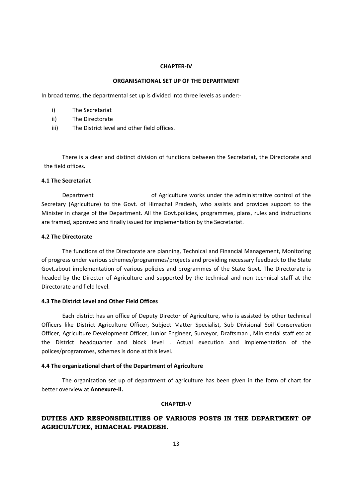#### **CHAPTER-IV**

#### **ORGANISATIONAL SET UP OF THE DEPARTMENT**

In broad terms, the departmental set up is divided into three levels as under:-

- i) The Secretariat
- ii) The Directorate
- iii) The District level and other field offices.

There is a clear and distinct division of functions between the Secretariat, the Directorate and the field offices.

#### **4.1 The Secretariat**

 Department of Agriculture works under the administrative control of the Secretary (Agriculture) to the Govt. of Himachal Pradesh, who assists and provides support to the Minister in charge of the Department. All the Govt.policies, programmes, plans, rules and instructions are framed, approved and finally issued for implementation by the Secretariat.

#### **4.2 The Directorate**

 The functions of the Directorate are planning, Technical and Financial Management, Monitoring of progress under various schemes/programmes/projects and providing necessary feedback to the State Govt.about implementation of various policies and programmes of the State Govt. The Directorate is headed by the Director of Agriculture and supported by the technical and non technical staff at the Directorate and field level.

#### **4.3 The District Level and Other Field Offices**

Each district has an office of Deputy Director of Agriculture, who is assisted by other technical Officers like District Agriculture Officer, Subject Matter Specialist, Sub Divisional Soil Conservation Officer, Agriculture Development Officer, Junior Engineer, Surveyor, Draftsman , Ministerial staff etc at the District headquarter and block level . Actual execution and implementation of the polices/programmes, schemes is done at this level.

#### **4.4 The organizational chart of the Department of Agriculture**

 The organization set up of department of agriculture has been given in the form of chart for better overview at **Annexure-II.** 

#### **CHAPTER-V**

# **DUTIES AND RESPONSIBILITIES OF VARIOUS POSTS IN THE DEPARTMENT OF AGRICULTURE, HIMACHAL PRADESH.**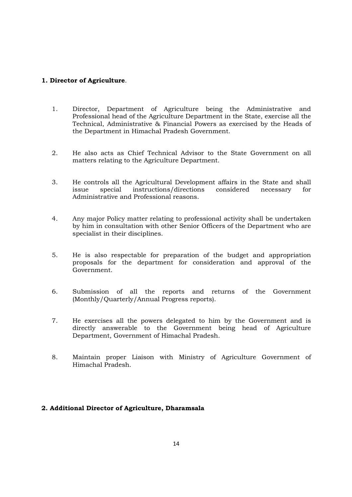# **1. Director of Agriculture**.

- 1. Director, Department of Agriculture being the Administrative and Professional head of the Agriculture Department in the State, exercise all the Technical, Administrative & Financial Powers as exercised by the Heads of the Department in Himachal Pradesh Government.
- 2. He also acts as Chief Technical Advisor to the State Government on all matters relating to the Agriculture Department.
- 3. He controls all the Agricultural Development affairs in the State and shall issue special instructions/directions considered necessary for Administrative and Professional reasons.
- 4. Any major Policy matter relating to professional activity shall be undertaken by him in consultation with other Senior Officers of the Department who are specialist in their disciplines.
- 5. He is also respectable for preparation of the budget and appropriation proposals for the department for consideration and approval of the Government.
- 6. Submission of all the reports and returns of the Government (Monthly/Quarterly/Annual Progress reports).
- 7. He exercises all the powers delegated to him by the Government and is directly answerable to the Government being head of Agriculture Department, Government of Himachal Pradesh.
- 8. Maintain proper Liaison with Ministry of Agriculture Government of Himachal Pradesh.

#### **2. Additional Director of Agriculture, Dharamsala**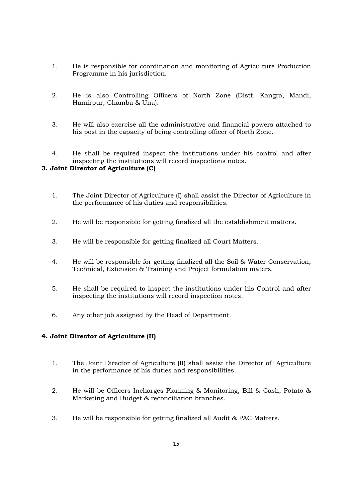- 1. He is responsible for coordination and monitoring of Agriculture Production Programme in his jurisdiction.
- 2. He is also Controlling Officers of North Zone (Distt. Kangra, Mandi, Hamirpur, Chamba & Una).
- 3. He will also exercise all the administrative and financial powers attached to his post in the capacity of being controlling officer of North Zone.
- 4. He shall be required inspect the institutions under his control and after inspecting the institutions will record inspections notes.

# **3. Joint Director of Agriculture (C)**

- 1. The Joint Director of Agriculture (I) shall assist the Director of Agriculture in the performance of his duties and responsibilities.
- 2. He will be responsible for getting finalized all the establishment matters.
- 3. He will be responsible for getting finalized all Court Matters.
- 4. He will be responsible for getting finalized all the Soil & Water Conservation, Technical, Extension & Training and Project formulation maters.
- 5. He shall be required to inspect the institutions under his Control and after inspecting the institutions will record inspection notes.
- 6. Any other job assigned by the Head of Department.

# **4. Joint Director of Agriculture (II)**

- 1. The Joint Director of Agriculture (II) shall assist the Director of Agriculture in the performance of his duties and responsibilities.
- 2. He will be Officers Incharges Planning & Monitoring, Bill & Cash, Potato & Marketing and Budget & reconciliation branches.
- 3. He will be responsible for getting finalized all Audit & PAC Matters.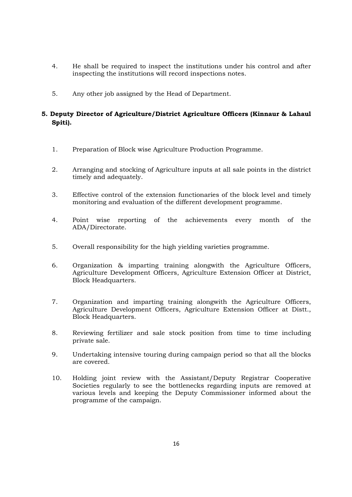- 4. He shall be required to inspect the institutions under his control and after inspecting the institutions will record inspections notes.
- 5. Any other job assigned by the Head of Department.

# **5. Deputy Director of Agriculture/District Agriculture Officers (Kinnaur & Lahaul Spiti).**

- 1. Preparation of Block wise Agriculture Production Programme.
- 2. Arranging and stocking of Agriculture inputs at all sale points in the district timely and adequately.
- 3. Effective control of the extension functionaries of the block level and timely monitoring and evaluation of the different development programme.
- 4. Point wise reporting of the achievements every month of the ADA/Directorate.
- 5. Overall responsibility for the high yielding varieties programme.
- 6. Organization & imparting training alongwith the Agriculture Officers, Agriculture Development Officers, Agriculture Extension Officer at District, Block Headquarters.
- 7. Organization and imparting training alongwith the Agriculture Officers, Agriculture Development Officers, Agriculture Extension Officer at Distt., Block Headquarters.
- 8. Reviewing fertilizer and sale stock position from time to time including private sale.
- 9. Undertaking intensive touring during campaign period so that all the blocks are covered.
- 10. Holding joint review with the Assistant/Deputy Registrar Cooperative Societies regularly to see the bottlenecks regarding inputs are removed at various levels and keeping the Deputy Commissioner informed about the programme of the campaign.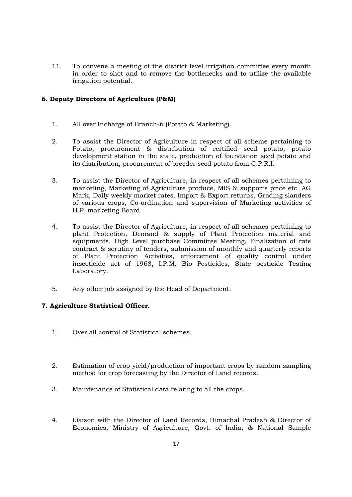11. To convene a meeting of the district level irrigation committee every month in order to shot and to remove the bottlenecks and to utilize the available irrigation potential.

# **6. Deputy Directors of Agriculture (P&M)**

- 1. All over Incharge of Branch-6 (Potato & Marketing).
- 2. To assist the Director of Agriculture in respect of all scheme pertaining to Potato, procurement & distribution of certified seed potato, potato development station in the state, production of foundation seed potato and its distribution, procurement of breeder seed potato from C.P.R.I.
- 3. To assist the Director of Agriculture, in respect of all schemes pertaining to marketing, Marketing of Agriculture produce, MIS & supports price etc, AG Mark, Daily weekly market rates, Import & Export returns, Grading slanders of various crops, Co-ordination and supervision of Marketing activities of H.P. marketing Board.
- 4. To assist the Director of Agriculture, in respect of all schemes pertaining to plant Protection, Demand & supply of Plant Protection material and equipments, High Level purchase Committee Meeting, Finalization of rate contract & scrutiny of tenders, submission of monthly and quarterly reports of Plant Protection Activities, enforcement of quality control under insecticide act of 1968, I.P.M. Bio Pesticides, State pesticide Testing Laboratory.
- 5. Any other job assigned by the Head of Department.

#### **7. Agriculture Statistical Officer.**

- 1. Over all control of Statistical schemes.
- 2. Estimation of crop yield/production of important crops by random sampling method for crop forecasting by the Director of Land records.
- 3. Maintenance of Statistical data relating to all the crops.
- 4. Liaison with the Director of Land Records, Himachal Pradesh & Director of Economics, Ministry of Agriculture, Govt. of India, & National Sample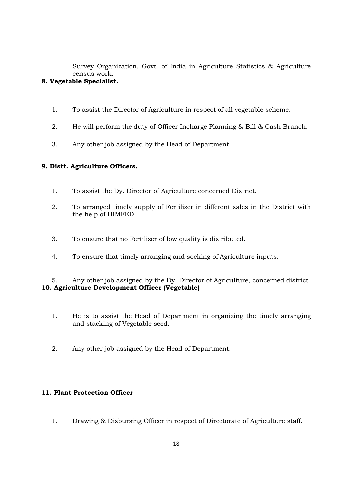Survey Organization, Govt. of India in Agriculture Statistics & Agriculture census work.

# **8. Vegetable Specialist.**

- 1. To assist the Director of Agriculture in respect of all vegetable scheme.
- 2. He will perform the duty of Officer Incharge Planning & Bill & Cash Branch.
- 3. Any other job assigned by the Head of Department.

# **9. Distt. Agriculture Officers.**

- 1. To assist the Dy. Director of Agriculture concerned District.
- 2. To arranged timely supply of Fertilizer in different sales in the District with the help of HIMFED.
- 3. To ensure that no Fertilizer of low quality is distributed.
- 4. To ensure that timely arranging and socking of Agriculture inputs.

5. Any other job assigned by the Dy. Director of Agriculture, concerned district. **10. Agriculture Development Officer (Vegetable)** 

- 1. He is to assist the Head of Department in organizing the timely arranging and stacking of Vegetable seed.
- 2. Any other job assigned by the Head of Department.

# **11. Plant Protection Officer**

1. Drawing & Disbursing Officer in respect of Directorate of Agriculture staff.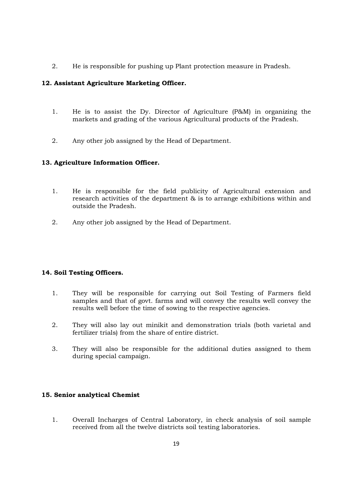2. He is responsible for pushing up Plant protection measure in Pradesh.

# **12. Assistant Agriculture Marketing Officer.**

- 1. He is to assist the Dy. Director of Agriculture (P&M) in organizing the markets and grading of the various Agricultural products of the Pradesh.
- 2. Any other job assigned by the Head of Department.

# **13. Agriculture Information Officer.**

- 1. He is responsible for the field publicity of Agricultural extension and research activities of the department & is to arrange exhibitions within and outside the Pradesh.
- 2. Any other job assigned by the Head of Department.

#### **14. Soil Testing Officers.**

- 1. They will be responsible for carrying out Soil Testing of Farmers field samples and that of govt. farms and will convey the results well convey the results well before the time of sowing to the respective agencies.
- 2. They will also lay out minikit and demonstration trials (both varietal and fertilizer trials) from the share of entire district.
- 3. They will also be responsible for the additional duties assigned to them during special campaign.

#### **15. Senior analytical Chemist**

1. Overall Incharges of Central Laboratory, in check analysis of soil sample received from all the twelve districts soil testing laboratories.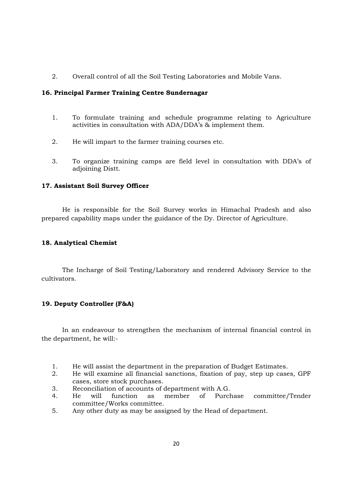2. Overall control of all the Soil Testing Laboratories and Mobile Vans.

#### **16. Principal Farmer Training Centre Sundernagar**

- 1. To formulate training and schedule programme relating to Agriculture activities in consultation with ADA/DDA's & implement them.
- 2. He will impart to the farmer training courses etc.
- 3. To organize training camps are field level in consultation with DDA's of adjoining Distt.

# **17. Assistant Soil Survey Officer**

 He is responsible for the Soil Survey works in Himachal Pradesh and also prepared capability maps under the guidance of the Dy. Director of Agriculture.

# **18. Analytical Chemist**

 The Incharge of Soil Testing/Laboratory and rendered Advisory Service to the cultivators.

# **19. Deputy Controller (F&A)**

 In an endeavour to strengthen the mechanism of internal financial control in the department, he will:-

- 1. He will assist the department in the preparation of Budget Estimates.
- 2. He will examine all financial sanctions, fixation of pay, step up cases, GPF cases, store stock purchases.
- 3. Reconciliation of accounts of department with A.G.
- 4. He will function as member of Purchase committee/Tender committee/Works committee.
- 5. Any other duty as may be assigned by the Head of department.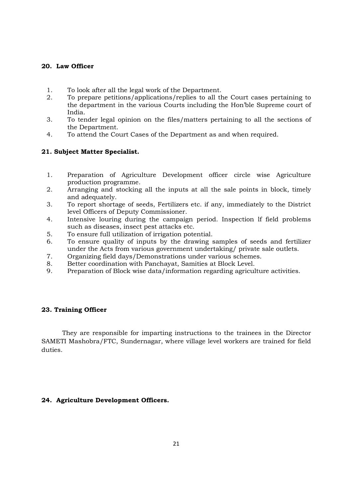#### **20. Law Officer**

- 1. To look after all the legal work of the Department.
- 2. To prepare petitions/applications/replies to all the Court cases pertaining to the department in the various Courts including the Hon'ble Supreme court of India.
- 3. To tender legal opinion on the files/matters pertaining to all the sections of the Department.
- 4. To attend the Court Cases of the Department as and when required.

#### **21. Subject Matter Specialist.**

- 1. Preparation of Agriculture Development officer circle wise Agriculture production programme.
- 2. Arranging and stocking all the inputs at all the sale points in block, timely and adequately.
- 3. To report shortage of seeds, Fertilizers etc. if any, immediately to the District level Officers of Deputy Commissioner.
- 4. Intensive louring during the campaign period. Inspection lf field problems such as diseases, insect pest attacks etc.
- 5. To ensure full utilization of irrigation potential.
- 6. To ensure quality of inputs by the drawing samples of seeds and fertilizer under the Acts from various government undertaking/ private sale outlets.
- 7. Organizing field days/Demonstrations under various schemes.
- 8. Better coordination with Panchayat, Samities at Block Level.
- 9. Preparation of Block wise data/information regarding agriculture activities.

#### **23. Training Officer**

 They are responsible for imparting instructions to the trainees in the Director SAMETI Mashobra/FTC, Sundernagar, where village level workers are trained for field duties.

#### **24. Agriculture Development Officers.**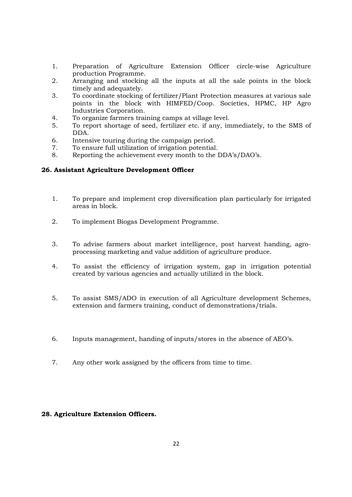- 1. Preparation of Agriculture Extension Officer circle-wise Agriculture production Programme.
- 2. Arranging and stocking all the inputs at all the sale points in the block timely and adequately.
- 3. To coordinate stocking of fertilizer/Plant Protection measures at various sale points in the block with HIMFED/Coop. Societies, HPMC, HP Agro Industries Corporation.
- 4. To organize farmers training camps at village level.
- 5. To report shortage of seed, fertilizer etc. if any, immediately, to the SMS of DDA.
- 6. Intensive touring during the campaign period.
- 7. To ensure full utilization of irrigation potential.
- 8. Reporting the achievement every month to the DDA's/DAO's.

# **26. Assistant Agriculture Development Officer**

- 1. To prepare and implement crop diversification plan particularly for irrigated areas in block.
- 2. To implement Biogas Development Programme.
- 3. To advise farmers about market intelligence, post harvest handing, agroprocessing marketing and value addition of agriculture produce.
- 4. To assist the efficiency of irrigation system, gap in irrigation potential created by various agencies and actually utilized in the block.
- 5. To assist SMS/ADO in execution of all Agriculture development Schemes, extension and farmers training, conduct of demonstrations/trials.
- 6. Inputs management, handing of inputs/stores in the absence of AEO's.
- 7. Any other work assigned by the officers from time to time.

# **28. Agriculture Extension Officers.**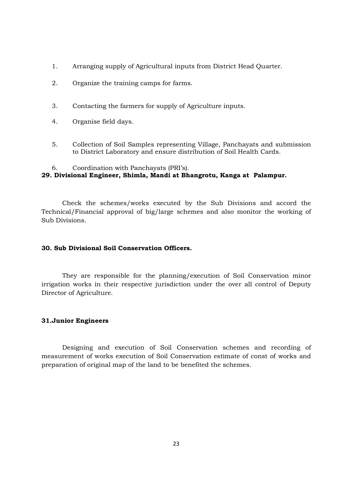- 1. Arranging supply of Agricultural inputs from District Head Quarter.
- 2. Organize the training camps for farms.
- 3. Contacting the farmers for supply of Agriculture inputs.
- 4. Organise field days.
- 5. Collection of Soil Samples representing Village, Panchayats and submission to District Laboratory and ensure distribution of Soil Health Cards.

#### 6. Coordination with Panchayats (PRI's).

# **29. Divisional Engineer, Shimla, Mandi at Bhangrotu, Kanga at Palampur.**

 Check the schemes/works executed by the Sub Divisions and accord the Technical/Financial approval of big/large schemes and also monitor the working of Sub Divisions.

#### **30. Sub Divisional Soil Conservation Officers.**

 They are responsible for the planning/execution of Soil Conservation minor irrigation works in their respective jurisdiction under the over all control of Deputy Director of Agriculture.

#### **31.Junior Engineers**

 Designing and execution of Soil Conservation schemes and recording of measurement of works execution of Soil Conservation estimate of const of works and preparation of original map of the land to be benefited the schemes.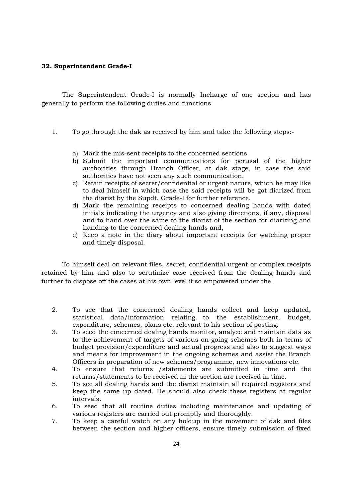#### **32. Superintendent Grade-I**

 The Superintendent Grade-I is normally Incharge of one section and has generally to perform the following duties and functions.

- 1. To go through the dak as received by him and take the following steps:
	- a) Mark the mis-sent receipts to the concerned sections.
	- b) Submit the important communications for perusal of the higher authorities through Branch Officer, at dak stage, in case the said authorities have not seen any such communication.
	- c) Retain receipts of secret/confidential or urgent nature, which he may like to deal himself in which case the said receipts will be got diarized from the diarist by the Supdt. Grade-I for further reference.
	- d) Mark the remaining receipts to concerned dealing hands with dated initials indicating the urgency and also giving directions, if any, disposal and to hand over the same to the diarist of the section for diarizing and handing to the concerned dealing hands and,
	- e) Keep a note in the diary about important receipts for watching proper and timely disposal.

To himself deal on relevant files, secret, confidential urgent or complex receipts retained by him and also to scrutinize case received from the dealing hands and further to dispose off the cases at his own level if so empowered under the.

- 2. To see that the concerned dealing hands collect and keep updated, statistical data/information relating to the establishment, budget, expenditure, schemes, plans etc. relevant to his section of posting.
- 3. To seed the concerned dealing hands monitor, analyze and maintain data as to the achievement of targets of various on-going schemes both in terms of budget provision/expenditure and actual progress and also to suggest ways and means for improvement in the ongoing schemes and assist the Branch Officers in preparation of new schemes/programme, new innovations etc.
- 4. To ensure that returns /statements are submitted in time and the returns/statements to be received in the section are received in time.
- 5. To see all dealing hands and the diarist maintain all required registers and keep the same up dated. He should also check these registers at regular intervals.
- 6. To seed that all routine duties including maintenance and updating of various registers are carried out promptly and thoroughly.
- 7. To keep a careful watch on any holdup in the movement of dak and files between the section and higher officers, ensure timely submission of fixed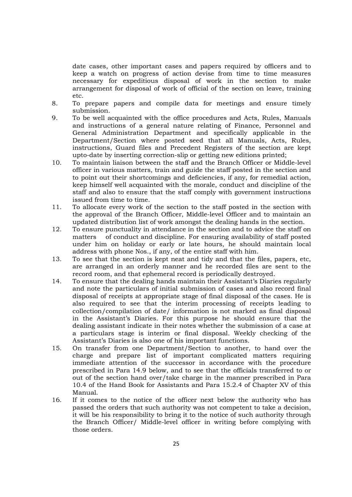date cases, other important cases and papers required by officers and to keep a watch on progress of action devise from time to time measures necessary for expeditious disposal of work in the section to make arrangement for disposal of work of official of the section on leave, training etc.

- 8. To prepare papers and compile data for meetings and ensure timely submission.
- 9. To be well acquainted with the office procedures and Acts, Rules, Manuals and instructions of a general nature relating of Finance, Personnel and General Administration Department and specifically applicable in the Department/Section where posted seed that all Manuals, Acts, Rules, instructions, Guard files and Precedent Registers of the section are kept upto-date by inserting correction-slip or getting new editions printed;
- 10. To maintain liaison between the staff and the Branch Officer or Middle-level officer in various matters, train and guide the staff posted in the section and to point out their shortcomings and deficiencies, if any, for remedial action, keep himself well acquainted with the morale, conduct and discipline of the staff and also to ensure that the staff comply with government instructions issued from time to time.
- 11. To allocate every work of the section to the staff posted in the section with the approval of the Branch Officer, Middle-level Officer and to maintain an updated distribution list of work amongst the dealing hands in the section.
- 12. To ensure punctuality in attendance in the section and to advice the staff on matters of conduct and discipline. For ensuring availability of staff posted under him on holiday or early or late hours, he should maintain local address with phone Nos., if any, of the entire staff with him.
- 13. To see that the section is kept neat and tidy and that the files, papers, etc, are arranged in an orderly manner and he recorded files are sent to the record room, and that ephemeral record is periodically destroyed.
- 14. To ensure that the dealing hands maintain their Assistant's Diaries regularly and note the particulars of initial submission of cases and also record final disposal of receipts at appropriate stage of final disposal of the cases. He is also required to see that the interim processing of receipts leading to collection/compilation of date/ information is not marked as final disposal in the Assistant's Diaries. For this purpose he should ensure that the dealing assistant indicate in their notes whether the submission of a case at a particulars stage is interim or final disposal. Weekly checking of the Assistant's Diaries is also one of his important functions.
- 15. On transfer from one Department/Section to another, to hand over the charge and prepare list of important complicated matters requiring immediate attention of the successor in accordance with the procedure prescribed in Para 14.9 below, and to see that the officials transferred to or out of the section hand over/take charge in the manner prescribed in Para 10.4 of the Hand Book for Assistants and Para 15.2.4 of Chapter XV of this Manual.
- 16. If it comes to the notice of the officer next below the authority who has passed the orders that such authority was not competent to take a decision, it will be his responsibility to bring it to the notice of such authority through the Branch Officer/ Middle-level officer in writing before complying with those orders.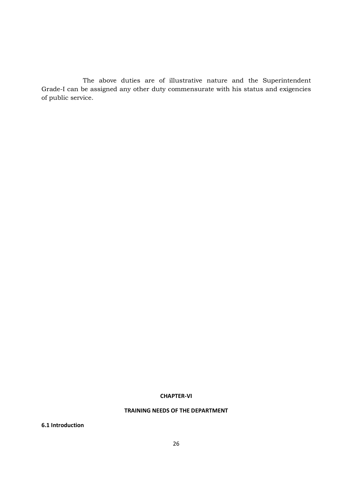The above duties are of illustrative nature and the Superintendent Grade-I can be assigned any other duty commensurate with his status and exigencies of public service.

#### **CHAPTER-VI**

# **TRAINING NEEDS OF THE DEPARTMENT**

**6.1 Introduction**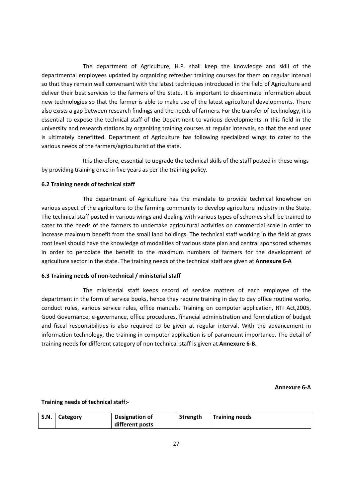The department of Agriculture, H.P. shall keep the knowledge and skill of the departmental employees updated by organizing refresher training courses for them on regular interval so that they remain well conversant with the latest techniques introduced in the field of Agriculture and deliver their best services to the farmers of the State. It is important to disseminate information about new technologies so that the farmer is able to make use of the latest agricultural developments. There also exists a gap between research findings and the needs of farmers. For the transfer of technology, it is essential to expose the technical staff of the Department to various developments in this field in the university and research stations by organizing training courses at regular intervals, so that the end user is ultimately benefitted. Department of Agriculture has following specialized wings to cater to the various needs of the farmers/agriculturist of the state.

 It is therefore, essential to upgrade the technical skills of the staff posted in these wings by providing training once in five years as per the training policy.

#### **6.2 Training needs of technical staff**

 The department of Agriculture has the mandate to provide technical knowhow on various aspect of the agriculture to the farming community to develop agriculture industry in the State. The technical staff posted in various wings and dealing with various types of schemes shall be trained to cater to the needs of the farmers to undertake agricultural activities on commercial scale in order to increase maximum benefit from the small land holdings. The technical staff working in the field at grass root level should have the knowledge of modalities of various state plan and central sponsored schemes in order to percolate the benefit to the maximum numbers of farmers for the development of agriculture sector in the state. The training needs of the technical staff are given at **Annexure 6-A**

#### **6.3 Training needs of non-technical / ministerial staff**

The ministerial staff keeps record of service matters of each employee of the department in the form of service books, hence they require training in day to day office routine works, conduct rules, various service rules, office manuals. Training on computer application, RTI Act,2005, Good Governance, e-governance, office procedures, financial administration and formulation of budget and fiscal responsibilities is also required to be given at regular interval. With the advancement in information technology, the training in computer application is of paramount importance. The detail of training needs for different category of non technical staff is given at **Annexure 6-B.**

**Annexure 6-A** 

#### **Training needs of technical staff:-**

| S.N. | Category | <b>Designation of</b> | Strength | <b>Training needs</b> |
|------|----------|-----------------------|----------|-----------------------|
|      |          | different posts       |          |                       |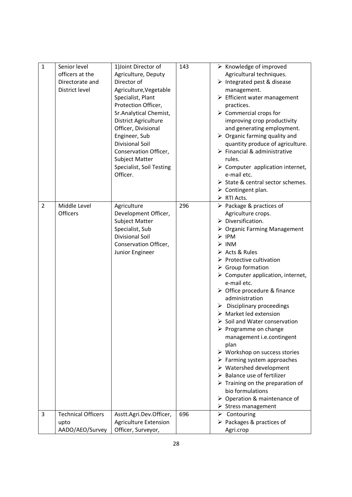| $\mathbf{1}$   | Senior level<br>officers at the<br>Directorate and<br>District level | 1) Joint Director of<br>Agriculture, Deputy<br>Director of<br>Agriculture, Vegetable<br>Specialist, Plant<br>Protection Officer,<br>Sr.Analytical Chemist,<br>District Agriculture<br>Officer, Divisional<br>Engineer, Sub<br>Divisional Soil<br>Conservation Officer,<br>Subject Matter | 143 | $\triangleright$ Knowledge of improved<br>Agricultural techniques.<br>> Integrated pest & disease<br>management.<br>$\triangleright$ Efficient water management<br>practices.<br>$\triangleright$ Commercial crops for<br>improving crop productivity<br>and generating employment.<br>$\triangleright$ Organic farming quality and<br>quantity produce of agriculture.<br>$\triangleright$ Financial & administrative<br>rules.                                                                                                                                                                                                                                                                                                                                                                                                                                                                                                                                  |
|----------------|----------------------------------------------------------------------|------------------------------------------------------------------------------------------------------------------------------------------------------------------------------------------------------------------------------------------------------------------------------------------|-----|-------------------------------------------------------------------------------------------------------------------------------------------------------------------------------------------------------------------------------------------------------------------------------------------------------------------------------------------------------------------------------------------------------------------------------------------------------------------------------------------------------------------------------------------------------------------------------------------------------------------------------------------------------------------------------------------------------------------------------------------------------------------------------------------------------------------------------------------------------------------------------------------------------------------------------------------------------------------|
|                |                                                                      | Specialist, Soil Testing<br>Officer.                                                                                                                                                                                                                                                     |     | $\triangleright$ Computer application internet,<br>e-mail etc.<br>> State & central sector schemes.<br>$\triangleright$ Contingent plan.<br>$\triangleright$ RTI Acts.                                                                                                                                                                                                                                                                                                                                                                                                                                                                                                                                                                                                                                                                                                                                                                                            |
| $\overline{2}$ | Middle Level<br>Officers                                             | Agriculture<br>Development Officer,<br>Subject Matter<br>Specialist, Sub<br><b>Divisional Soil</b><br>Conservation Officer,<br>Junior Engineer                                                                                                                                           | 296 | $\triangleright$ Package & practices of<br>Agriculture crops.<br>$\triangleright$ Diversification.<br>$\triangleright$ Organic Farming Management<br>IPM<br>➤<br>$>$ INM<br>Acts & Rules<br>$\triangleright$ Protective cultivation<br>$\triangleright$ Group formation<br>$\triangleright$ Computer application, internet,<br>e-mail etc.<br>> Office procedure & finance<br>administration<br>$\triangleright$ Disciplinary proceedings<br>$\triangleright$ Market led extension<br>$\triangleright$ Soil and Water conservation<br>$\triangleright$ Programme on change<br>management i.e.contingent<br>plan<br>$\triangleright$ Workshop on success stories<br>$\triangleright$ Farming system approaches<br>$\triangleright$ Watershed development<br>$\triangleright$ Balance use of fertilizer<br>$\triangleright$ Training on the preparation of<br>bio formulations<br>$\triangleright$ Operation & maintenance of<br>$\triangleright$ Stress management |
| 3              | <b>Technical Officers</b><br>upto<br>AADO/AEO/Survey                 | Asstt.Agri.Dev.Officer,<br><b>Agriculture Extension</b><br>Officer, Surveyor,                                                                                                                                                                                                            | 696 | $\triangleright$ Contouring<br>$\triangleright$ Packages & practices of<br>Agri.crop                                                                                                                                                                                                                                                                                                                                                                                                                                                                                                                                                                                                                                                                                                                                                                                                                                                                              |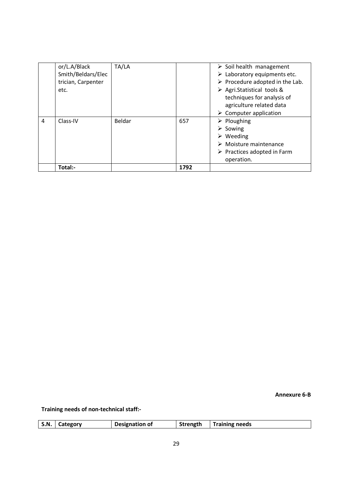|   | or/L.A/Black       | TA/LA  |      | $\triangleright$ Soil health management        |
|---|--------------------|--------|------|------------------------------------------------|
|   | Smith/Beldars/Elec |        |      | $\triangleright$ Laboratory equipments etc.    |
|   | trician, Carpenter |        |      | $\triangleright$ Procedure adopted in the Lab. |
|   | etc.               |        |      | $\triangleright$ Agri. Statistical tools &     |
|   |                    |        |      | techniques for analysis of                     |
|   |                    |        |      | agriculture related data                       |
|   |                    |        |      | $\triangleright$ Computer application          |
| 4 | Class-IV           | Beldar | 657  | $\triangleright$ Ploughing                     |
|   |                    |        |      | $\triangleright$ Sowing                        |
|   |                    |        |      | $\triangleright$ Weeding                       |
|   |                    |        |      | $\triangleright$ Moisture maintenance          |
|   |                    |        |      | $\triangleright$ Practices adopted in Farm     |
|   |                    |        |      | operation.                                     |
|   | Total:-            |        | 1792 |                                                |

**Annexure 6-B** 

**Training needs of non-technical staff:-** 

| <b>S.N.</b> | Category | Designation of | Strength | <b>Training needs</b> |
|-------------|----------|----------------|----------|-----------------------|
|             |          |                |          |                       |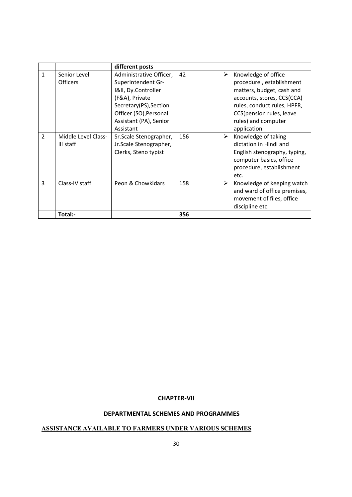|                |                                  | different posts                                                                                                                                                                   |     |   |                                                                                                                                                                                                              |
|----------------|----------------------------------|-----------------------------------------------------------------------------------------------------------------------------------------------------------------------------------|-----|---|--------------------------------------------------------------------------------------------------------------------------------------------------------------------------------------------------------------|
| 1              | Senior Level<br><b>Officers</b>  | Administrative Officer,<br>Superintendent Gr-<br>I&II, Dy.Controller<br>(F&A), Private<br>Secretary(PS), Section<br>Officer (SO), Personal<br>Assistant (PA), Senior<br>Assistant | 42  | ➤ | Knowledge of office<br>procedure, establishment<br>matters, budget, cash and<br>accounts, stores, CCS(CCA)<br>rules, conduct rules, HPFR,<br>CCS(pension rules, leave<br>rules) and computer<br>application. |
| $\overline{2}$ | Middle Level Class-<br>III staff | Sr.Scale Stenographer,<br>Jr.Scale Stenographer,<br>Clerks, Steno typist                                                                                                          | 156 | ≻ | Knowledge of taking<br>dictation in Hindi and<br>English stenography, typing,<br>computer basics, office<br>procedure, establishment<br>etc.                                                                 |
| $\overline{3}$ | Class-IV staff                   | Peon & Chowkidars                                                                                                                                                                 | 158 | ➤ | Knowledge of keeping watch<br>and ward of office premises,<br>movement of files, office<br>discipline etc.                                                                                                   |
|                | Total:-                          |                                                                                                                                                                                   | 356 |   |                                                                                                                                                                                                              |

# **CHAPTER-VII**

# **DEPARTMENTAL SCHEMES AND PROGRAMMES**

# **ASSISTACE AVAILABLE TO FARMERS UDER VARIOUS SCHEMES**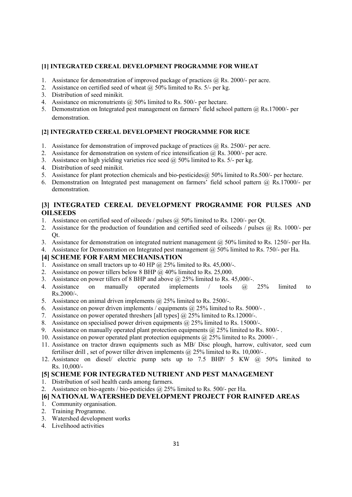#### [1] INTEGRATED CEREAL DEVELOPMENT PROGRAMME FOR WHEAT

- 1. Assistance for demonstration of improved package of practices  $\omega$  Rs. 2000/- per acre.
- 2. Assistance on certified seed of wheat  $\omega$  50% limited to Rs. 5/- per kg.
- 3. Distribution of seed minikit.
- 4. Assistance on micronutrients @ 50% limited to Rs. 500/- per hectare.
- 5. Demonstration on Integrated pest management on farmers' field school pattern @ Rs.17000/- per demonstration.

# [2] INTEGRATED CEREAL DEVELOPMENT PROGRAMME FOR RICE

- 1. Assistance for demonstration of improved package of practices  $\hat{\omega}$  Rs. 2500/- per acre.
- 2. Assistance for demonstration on system of rice intensification  $\omega$  Rs. 3000/- per acre.
- 3. Assistance on high yielding varieties rice seed  $\omega$  50% limited to Rs. 5/- per kg.
- 4. Distribution of seed minikit.
- 5. Assistance for plant protection chemicals and bio-pesticides@ 50% limited to Rs.500/- per hectare.
- 6. Demonstration on Integrated pest management on farmers' field school pattern @ Rs.17000/- per demonstration.

# [3] INTEGRATED CEREAL DEVELOPMENT PROGRAMME FOR PULSES AND **OILSEEDS**

- 1. Assistance on certified seed of oilseeds / pulses @ 50% limited to Rs. 1200/- per Qt.
- 2. Assistance for the production of foundation and certified seed of oilseeds / pulses @ Rs. 1000/- per Qt.
- 3. Assistance for demonstration on integrated nutrient management @ 50% limited to Rs. 1250/- per Ha.
- 4. Assistance for Demonstration on Integrated pest management @ 50% limited to Rs. 750/- per Ha.

# **[4] SCHEME FOR FARM MECHANISATION**

- 1. Assistance on small tractors up to 40 HP  $\omega$  25% limited to Rs. 45,000/-.
- 2. Assistance on power tillers below 8 BHP  $\overline{a}$  40% limited to Rs. 25,000.
- 3. Assistance on power tillers of 8 BHP and above @ 25% limited to Rs. 45,000/-.
- 4. Assistance on manually operated implements / tools @ 25% limited to  $Rs.2000/-$ .
- 5. Assistance on animal driven implements @ 25% limited to Rs. 2500/-.
- 6. Assistance on power driven implements / equipments  $\hat{\omega}$  25% limited to Rs. 5000/-.
- 7. Assistance on power operated threshers [all types] @ 25% limited to Rs.12000/-.
- 8. Assistance on specialised power driven equipments  $\omega$  25% limited to Rs. 15000/-.
- 9. Assistance on manually operated plant protection equipments  $\omega$  25% limited to Rs. 800/-.
- 10. Assistance on power operated plant protection equipments @ 25% limited to Rs. 2000/- .
- 11. Assistance on tractor drawn equipments such as MB/ Disc plough, harrow, cultivator, seed cum fertiliser drill, set of power tiller driven implements  $@$  25% limited to Rs. 10,000/-.
- 12. Assistance on diesel/ electric pump sets up to 7.5 BHP/ 5 KW @ 50% limited to Rs. 10,000/-

# [5] SCHEME FOR INTEGRATED NUTRIENT AND PEST MANAGEMENT

- 1. Distribution of soil health cards among farmers.
- 2. Assistance on bio-agents / bio-pesticides @ 25% limited to Rs. 500/- per Ha.

# **[6] ATIOAL WATERSHED DEVELOPMET PROJECT FOR RAIFED AREAS**

- 1. Community organisation.
- 2. Training Programme.
- 3. Watershed development works
- 4. Livelihood activities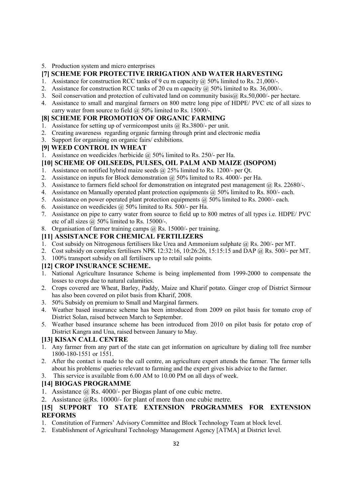5. Production system and micro enterprises

# [7] SCHEME FOR PROTECTIVE IRRIGATION AND WATER HARVESTING

- 1. Assistance for construction RCC tanks of 9 cu m capacity  $\omega$  50% limited to Rs. 21,000/-.
- 2. Assistance for construction RCC tanks of 20 cu m capacity  $\omega$  50% limited to Rs. 36,000/-.
- 3. Soil conservation and protection of cultivated land on community basis@ Rs.50,000/- per hectare.
- 4. Assistance to small and marginal farmers on 800 metre long pipe of HDPE/ PVC etc of all sizes to carry water from source to field  $\omega$  50% limited to Rs. 15000/-.

# **[8] SCHEME FOR PROMOTION OF ORGANIC FARMING**

- 1. Assistance for setting up of vermicompost units @ Rs.3800/- per unit.
- 2. Creating awareness regarding organic farming through print and electronic media
- 3. Support for organising on organic fairs/ exhibitions.
- **[9] WEED CONTROL IN WHEAT**
- 1. Assistance on weedicides /herbicide @ 50% limited to Rs. 250/- per Ha.

# [10] SCHEME OF OILSEEDS, PULSES, OIL PALM AND MAIZE (ISOPOM)

- 1. Assistance on notified hybrid maize seeds @ 25% limited to Rs. 1200/- per Qt.
- 2. Assistance on inputs for Block demonstration @ 50% limited to Rs. 4000/- per Ha.
- 3. Assistance to farmers field school for demonstration on integrated pest management @ Rs. 22680/-.
- 4. Assistance on Manually operated plant protection equipments @ 50% limited to Rs. 800/- each.
- 5. Assistance on power operated plant protection equipments @ 50% limited to Rs. 2000/- each.
- 6. Assistance on weedicides @ 50% limited to Rs. 500/- per Ha.
- 7. Assistance on pipe to carry water from source to field up to 800 metres of all types i.e. HDPE/ PVC etc of all sizes  $\omega$  50% limited to Rs. 15000/-.
- 8. Organisation of farmer training camps @ Rs. 15000/- per training.

# **[11] ASSISTANCE FOR CHEMICAL FERTILIZERS**

- 1. Cost subsidy on Nitrogenous fertilisers like Urea and Ammonium sulphate @ Rs. 200/- per MT.
- 2. Cost subsidy on complex fertilisers NPK 12:32:16, 10:26:26, 15:15:15 and DAP @ Rs. 500/- per MT.
- 3. 100% transport subsidy on all fertilisers up to retail sale points.

# [12] CROP INSURANCE SCHEME.

- 1. National Agriculture Insurance Scheme is being implemented from 1999-2000 to compensate the losses to crops due to natural calamities.
- 2. Crops covered are Wheat, Barley, Paddy, Maize and Kharif potato. Ginger crop of District Sirmour has also been covered on pilot basis from Kharif, 2008.
- 3. 50% Subsidy on premium to Small and Marginal farmers.
- 4. Weather based insurance scheme has been introduced from 2009 on pilot basis for tomato crop of District Solan, raised between March to September.
- 5. Weather based insurance scheme has been introduced from 2010 on pilot basis for potato crop of District Kangra and Una, raised between January to May.

# **[13] KISAN CALL CENTRE**

- 1. Any farmer from any part of the state can get information on agriculture by dialing toll free number 1800-180-1551 or 1551.
- 2. After the contact is made to the call centre, an agriculture expert attends the farmer. The farmer tells about his problems/ queries relevant to farming and the expert gives his advice to the farmer.
- This service is available from 6.00 AM to 10.00 PM on all days of week.

# **[14] BIOGAS PROGRAMME**

- 1. Assistance @ Rs. 4000/- per Biogas plant of one cubic metre.
- 2. Assistance @Rs. 10000/- for plant of more than one cubic metre.

# [15] SUPPORT TO STATE EXTENSION PROGRAMMES FOR EXTENSION **REFORMS**

- 1. Constitution of Farmers' Advisory Committee and Block Technology Team at block level.
- 2. Establishment of Agricultural Technology Management Agency [ATMA] at District level.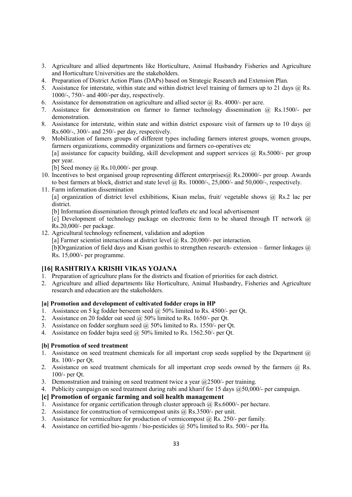- 3. Agriculture and allied departments like Horticulture, Animal Husbandry Fisheries and Agriculture and Horticulture Universities are the stakeholders.
- 4. Preparation of District Action Plans (DAPs) based on Strategic Research and Extension Plan.
- 5. Assistance for interstate, within state and within district level training of farmers up to 21 days @ Rs. 1000/-, 750/- and 400/-per day, respectively.
- 6. Assistance for demonstration on agriculture and allied sector  $\hat{\omega}$  Rs. 4000/- per acre.
- 7. Assistance for demonstration on farmer to farmer technology dissemination @ Rs.1500/- per demonstration.
- 8. Assistance for interstate, within state and within district exposure visit of farmers up to 10 days @ Rs.600/-, 300/- and 250/- per day, respectively.
- 9. Mobilization of famers groups of different types including farmers interest groups, women groups, farmers organizations, commodity organizations and farmers co-operatives etc [a] assistance for capacity building, skill development and support services  $\omega$  Rs.5000/- per group per year.

[b] Seed money  $\omega$  Rs. 10,000/- per group.

- 10. Incentives to best organised group representing different enterprises@ Rs.20000/- per group. Awards to best farmers at block, district and state level  $\omega$  Rs. 10000/-, 25,000/- and 50,000/-, respectively.
- 11. Farm information dissemination
	- [a] organization of district level exhibitions, Kisan melas, fruit/ vegetable shows @ Rs.2 lac per district.
	- [b] Information dissemination through printed leaflets etc and local advertisement
	- [c] Development of technology package on electronic form to be shared through IT network  $\omega$ Rs.20,000/- per package.
- 12. Agricultural technology refinement, validation and adoption
	- [a] Farmer scientist interactions at district level  $\omega$  Rs. 20,000/- per interaction.

[b]Organization of field days and Kisan gosthis to strengthen research- extension – farmer linkages @ Rs. 15,000/- per programme.

# **[16] RASHTRIYA KRISHI VIKAS YOJAA**

- 1. Preparation of agriculture plans for the districts and fixation of priorities for each district.
- 2. Agriculture and allied departments like Horticulture, Animal Husbandry, Fisheries and Agriculture research and education are the stakeholders.

#### **[a] Promotion and development of cultivated fodder crops in HP**

- 1. Assistance on 5 kg fodder berseem seed @ 50% limited to Rs. 4500/- per Qt.
- 2. Assistance on 20 fodder oat seed @ 50% limited to Rs. 1650/- per Qt.
- 3. Assistance on fodder sorghum seed @ 50% limited to Rs. 1550/- per Qt.
- 4. Assistance on fodder bajra seed @ 50% limited to Rs. 1562.50/- per Qt.

#### **[b] Promotion of seed treatment**

- 1. Assistance on seed treatment chemicals for all important crop seeds supplied by the Department  $\omega$ Rs. 100/- per Qt.
- 2. Assistance on seed treatment chemicals for all important crop seeds owned by the farmers @ Rs. 100/- per Qt.
- 3. Demonstration and training on seed treatment twice a year @2500/- per training.
- 4. Publicity campaign on seed treatment during rabi and kharif for 15 days @50,000/- per campaign.

# **[c] Promotion of organic farming and soil health management**

- 1. Assistance for organic certification through cluster approach  $@$  Rs.6000/- per hectare.
- 2. Assistance for construction of vermicompost units @ Rs.3500/- per unit.
- 3. Assistance for vermiculture for production of vermicompost  $\omega$  Rs. 250/- per family.
- 4. Assistance on certified bio-agents / bio-pesticides @ 50% limited to Rs. 500/- per Ha.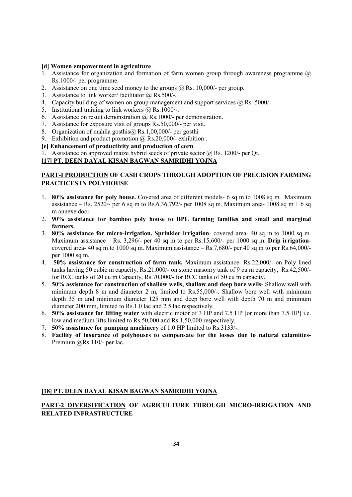#### **[d] Women empowerment in agriculture**

- 1. Assistance for organization and formation of farm women group through awareness programme  $(a)$ Rs.1000/- per programme.
- 2. Assistance on one time seed money to the groups  $\hat{\omega}$  Rs. 10,000/- per group.
- 3. Assistance to link worker/ facilitator  $\omega$  Rs.500/-.
- 4. Capacity building of women on group management and support services @ Rs. 5000/-
- 5. Institutional training to link workers @ Rs.1000/-.
- 6. Assistance on result demonstration  $\omega$  Rs. 1000/- per demonstration.
- 7. Assistance for exposure visit of groups Rs.50,000/- per visit.
- 8. Organization of mahila gosthis@ Rs.1,00,000/- per gosthi
- 9. Exhibition and product promotion @ Rs.20,000/- exhibition .

#### **[e] Enhancement of productivity and production of corn**

1. Assistance on approved maize hybrid seeds of private sector @ Rs. 1200/- per Qt.

# [17] PT. DEEN DAYAL KISAN BAGWAN SAMRIDHI YOJNA

#### **PART-I PRODUCTION OF CASH CROPS THROUGH ADOPTION OF PRECISION FARMING PRACTICES IN POLYHOUSE**

- 1. **80% assistance for poly house.** Covered area of different models- 6 sq m to 1008 sq m. Maximum assistance – Rs. 2520/- per 6 sq m to Rs. 6,36,792/- per 1008 sq m. Maximum area- 1008 sq m + 6 sq m annexe door .
- 2. **90% assistance for bamboo poly house to BPL farming families and small and marginal farmers.**
- 3. **80% assistance for micro-irrigation. Sprinkler irrigation** covered area- 40 sq m to 1000 sq m. Maximum assistance – Rs. 3,296/- per 40 sq m to per Rs.15,600/- per 1000 sq m. **Drip irrigation**covered area- 40 sq m to 1000 sq m. Maximum assistance – Rs.7,680/- per 40 sq m to per Rs.64,000/ per 1000 sq m.
- 4. **50% assistance for construction of farm tank.** Maximum assistance- Rs.22,000/- on Poly lined tanks having 50 cubic m capacity, Rs.21,000/- on stone masonry tank of 9 cu m capacity, Rs.42,500/ for RCC tanks of 20 cu m Capacity, Rs.70,000/- for RCC tanks of 50 cu m capacity.
- 5. **50% assistance for construction of shallow wells, shallow and deep bore wells-** Shallow well with minimum depth 8 m and diameter 2 m, limited to Rs.55,000/-. Shallow bore well with minimum depth 35 m and minimum diameter 125 mm and deep bore well with depth 70 m and minimum diameter 200 mm, limited to Rs.1.0 lac and 2.5 lac respectively.
- 6. **50% assistance for lifting water** with electric motor of 3 HP and 7.5 HP [or more than 7.5 HP] i.e. low and medium lifts limited to Rs.50,000 and Rs.1,50,000 respectively.
- 7. **50% assistance for pumping machinery** of 1.0 HP limited to Rs.3133/-.
- 8. **Facility of insurance of polyhouses to compensate for the losses due to natural calamities**-Premium @Rs.110/- per lac.

#### [18] PT. DEEN DAYAL KISAN BAGWAN SAMRIDHI YOJNA

# **PART-2 DIVERSIFICATION OF AGRICULTURE THROUGH MICRO-IRRIGATION AND RELATED IFRASTRUCTURE**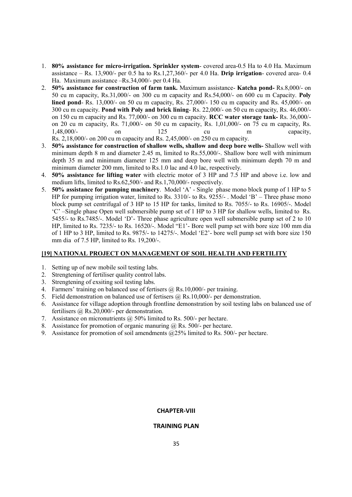- 1. **80% assistance for micro-irrigation. Sprinkler system** covered area-0.5 Ha to 4.0 Ha. Maximum assistance – Rs. 13,900/- per 0.5 ha to Rs.1,27,360/- per 4.0 Ha. **Drip irrigation**- covered area- 0.4 Ha. Maximum assistance –Rs.34,000/- per 0.4 Ha.
- 2. **50% assistance for construction of farm tank.** Maximum assistance- **Katcha pond-** Rs.8,000/- on 50 cu m capacity, Rs.31,000/- on 300 cu m capacity and Rs.54,000/- on 600 cu m Capacity. **Poly lined pond**- Rs. 13,000/- on 50 cu m capacity, Rs. 27,000/- 150 cu m capacity and Rs. 45,000/- on 300 cu m capacity. **Pond with Poly and brick lining**- Rs. 22,000/- on 50 cu m capacity, Rs. 46,000/ on 150 cu m capacity and Rs. 77,000/- on 300 cu m capacity. **RCC water storage tank-** Rs. 36,000/ on 20 cu m capacity, Rs. 71,000/- on 50 cu m capacity, Rs. 1,01,000/- on 75 cu m capacity, Rs. 1.48,000/- on 125 cu m capacity, Rs. 2,18,000/- on 200 cu m capacity and Rs. 2,45,000/- on 250 cu m capacity.
- 3. **50% assistance for construction of shallow wells, shallow and deep bore wells-** Shallow well with minimum depth 8 m and diameter 2.45 m, limited to Rs.55,000/-. Shallow bore well with minimum depth 35 m and minimum diameter 125 mm and deep bore well with minimum depth 70 m and minimum diameter 200 mm, limited to Rs.1.0 lac and 4.0 lac, respectively.
- 4. **50% assistance for lifting water** with electric motor of 3 HP and 7.5 HP and above i.e. low and medium lifts, limited to Rs.62,500/- and Rs.1,70,000/- respectively.
- 5. **50% assistance for pumping machinery**. Model 'A' Single phase mono block pump of 1 HP to 5 HP for pumping irrigation water, limited to Rs. 3310/- to Rs. 9255/- . Model 'B' – Three phase mono block pump set centrifugal of 3 HP to 15 HP for tanks, limited to Rs. 7055/- to Rs. 16905/-. Model 'C' –Single phase Open well submersible pump set of 1 HP to 3 HP for shallow wells, limited to Rs. 5455/- to Rs.7485/-. Model 'D'- Three phase agriculture open well submersible pump set of 2 to 10 HP, limited to Rs. 7235/- to Rs. 16520/-. Model "E1'- Bore well pump set with bore size 100 mm dia of 1 HP to 3 HP, limited to Rs. 9875/- to 14275/-. Model 'E2'- bore well pump set with bore size 150 mm dia of 7.5 HP, limited to Rs. 19,200/-.

#### [19] NATIONAL PROJECT ON MANAGEMENT OF SOIL HEALTH AND FERTILITY

- 1. Setting up of new mobile soil testing labs.
- 2. Strengtening of fertiliser quality control labs.
- 3. Strengtening of exsiting soil testing labs.
- 4. Farmers' training on balanced use of fertisers @ Rs.10,000/- per training.
- 5. Field demonstration on balanced use of fertisers @ Rs.10,000/- per demonstration.
- 6. Assistance for village adoption through frontline demonstration by soil testing labs on balanced use of fertilisers @ Rs.20,000/- per demonstration.
- 7. Assistance on micronutrients @ 50% limited to Rs. 500/- per hectare.
- 8. Assistance for promotion of organic manuring @ Rs. 500/- per hectare.
- 9. Assistance for promotion of soil amendments @25% limited to Rs. 500/- per hectare.

#### **CHAPTER-VIII**

#### **TRAINING PLAN**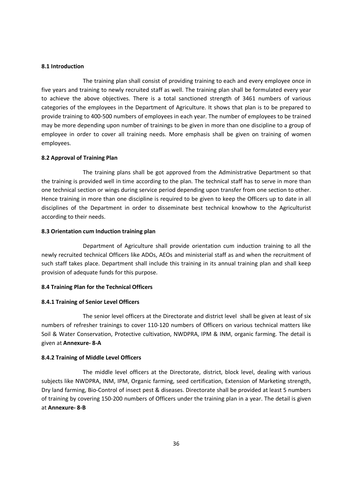#### **8.1 Introduction**

 The training plan shall consist of providing training to each and every employee once in five years and training to newly recruited staff as well. The training plan shall be formulated every year to achieve the above objectives. There is a total sanctioned strength of 3461 numbers of various categories of the employees in the Department of Agriculture. It shows that plan is to be prepared to provide training to 400-500 numbers of employees in each year. The number of employees to be trained may be more depending upon number of trainings to be given in more than one discipline to a group of employee in order to cover all training needs. More emphasis shall be given on training of women employees.

#### **8.2 Approval of Training Plan**

 The training plans shall be got approved from the Administrative Department so that the training is provided well in time according to the plan. The technical staff has to serve in more than one technical section or wings during service period depending upon transfer from one section to other. Hence training in more than one discipline is required to be given to keep the Officers up to date in all disciplines of the Department in order to disseminate best technical knowhow to the Agriculturist according to their needs.

#### **8.3 Orientation cum Induction training plan**

 Department of Agriculture shall provide orientation cum induction training to all the newly recruited technical Officers like ADOs, AEOs and ministerial staff as and when the recruitment of such staff takes place. Department shall include this training in its annual training plan and shall keep provision of adequate funds for this purpose.

#### **8.4 Training Plan for the Technical Officers**

#### **8.4.1 Training of Senior Level Officers**

 The senior level officers at the Directorate and district level shall be given at least of six numbers of refresher trainings to cover 110-120 numbers of Officers on various technical matters like Soil & Water Conservation, Protective cultivation, NWDPRA, IPM & INM, organic farming. The detail is given at **Annexure- 8-A**

#### **8.4.2 Training of Middle Level Officers**

 The middle level officers at the Directorate, district, block level, dealing with various subjects like NWDPRA, INM, IPM, Organic farming, seed certification, Extension of Marketing strength, Dry land farming, Bio-Control of insect pest & diseases. Directorate shall be provided at least 5 numbers of training by covering 150-200 numbers of Officers under the training plan in a year. The detail is given at **Annexure- 8-B**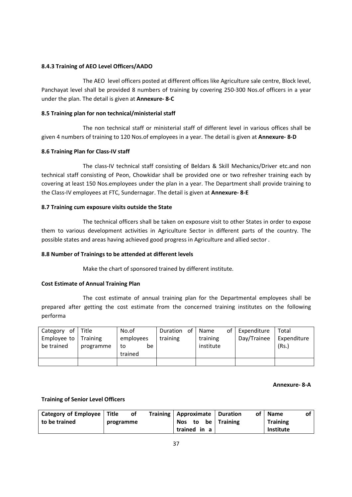#### **8.4.3 Training of AEO Level Officers/AADO**

 The AEO level officers posted at different offices like Agriculture sale centre, Block level, Panchayat level shall be provided 8 numbers of training by covering 250-300 Nos.of officers in a year under the plan. The detail is given at **Annexure- 8-C**

## **8.5 Training plan for non technical/ministerial staff**

 The non technical staff or ministerial staff of different level in various offices shall be given 4 numbers of training to 120 Nos.of employees in a year. The detail is given at **Annexure- 8-D**

#### **8.6 Training Plan for Class-IV staff**

 The class-IV technical staff consisting of Beldars & Skill Mechanics/Driver etc.and non technical staff consisting of Peon, Chowkidar shall be provided one or two refresher training each by covering at least 150 Nos.employees under the plan in a year. The Department shall provide training to the Class-IV employees at FTC, Sundernagar. The detail is given at **Annexure- 8-E**

#### **8.7 Training cum exposure visits outside the State**

 The technical officers shall be taken on exposure visit to other States in order to expose them to various development activities in Agriculture Sector in different parts of the country. The possible states and areas having achieved good progress in Agriculture and allied sector .

## **8.8 Number of Trainings to be attended at different levels**

Make the chart of sponsored trained by different institute.

#### **Cost Estimate of Annual Training Plan**

 The cost estimate of annual training plan for the Departmental employees shall be prepared after getting the cost estimate from the concerned training institutes on the following performa

| Category of                  | l Title   | No.of     | Duration<br>of | Name      | of | Expenditure | Total       |
|------------------------------|-----------|-----------|----------------|-----------|----|-------------|-------------|
| Employee to $\vert$ Training |           | employees | training       | training  |    | Day/Trainee | Expenditure |
| be trained                   | programme | be<br>to  |                | institute |    |             | (Rs.)       |
|                              |           | trained   |                |           |    |             |             |
|                              |           |           |                |           |    |             |             |

#### **Annexure- 8-A**

## **Training of Senior Level Officers**

| Category of Employee   Title |           | οf |                    |  |          | Training   Approximate   Duration | of   Name | of |
|------------------------------|-----------|----|--------------------|--|----------|-----------------------------------|-----------|----|
| to be trained                | programme |    | Nos to be Training |  | Training |                                   |           |    |
|                              |           |    | trained in a       |  |          | Institute                         |           |    |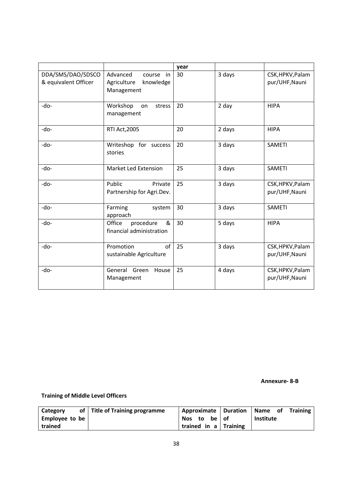|                                           |                                                                    | year |        |                                    |
|-------------------------------------------|--------------------------------------------------------------------|------|--------|------------------------------------|
| DDA/SMS/DAO/SDSCO<br>& equivalent Officer | Advanced<br>course<br>in<br>Agriculture<br>knowledge<br>Management | 30   | 3 days | CSK, HPKV, Palam<br>pur/UHF, Nauni |
| -do-                                      | Workshop<br>stress<br>on<br>management                             | 20   | 2 day  | <b>HIPA</b>                        |
| -do-                                      | <b>RTI Act, 2005</b>                                               | 20   | 2 days | <b>HIPA</b>                        |
| -do-                                      | Writeshop for success<br>stories                                   | 20   | 3 days | <b>SAMETI</b>                      |
| -do-                                      | Market Led Extension                                               | 25   | 3 days | <b>SAMETI</b>                      |
| $-do-$                                    | Public<br>Private<br>Partnership for Agri.Dev.                     | 25   | 3 days | CSK, HPKV, Palam<br>pur/UHF, Nauni |
| -do-                                      | Farming<br>system<br>approach                                      | 30   | 3 days | <b>SAMETI</b>                      |
| -do-                                      | Office<br>procedure<br>&<br>financial administration               | 30   | 5 days | <b>HIPA</b>                        |
| $-do-$                                    | Promotion<br>of<br>sustainable Agriculture                         | 25   | 3 days | CSK, HPKV, Palam<br>pur/UHF, Nauni |
| -do-                                      | General Green<br>House<br>Management                               | 25   | 4 days | CSK, HPKV, Palam<br>pur/UHF, Nauni |

**Annexure- 8-B** 

**Training of Middle Level Officers** 

| Category           | of Title of Training programme | Approximate   Duration |    | Name<br><b>Training</b><br>of |
|--------------------|--------------------------------|------------------------|----|-------------------------------|
| Employee to be $ $ |                                | Nos to<br>be l         | of | <b>Institute</b>              |
| trained            |                                | trained in a Training  |    |                               |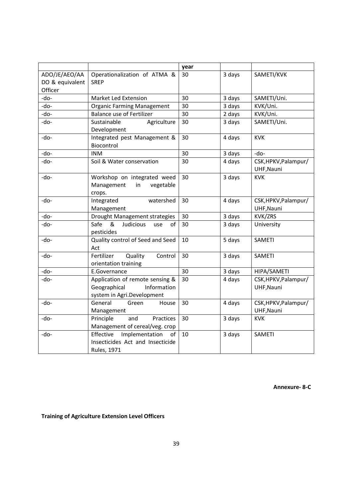|                 |                                     | year |        |                      |
|-----------------|-------------------------------------|------|--------|----------------------|
| ADO/JE/AEO/AA   | Operationalization of ATMA &        | 30   | 3 days | SAMETI/KVK           |
| DO & equivalent | <b>SREP</b>                         |      |        |                      |
| Officer         |                                     |      |        |                      |
| -do-            | Market Led Extension                | 30   | 3 days | SAMETI/Uni.          |
| -do-            | <b>Organic Farming Management</b>   | 30   | 3 days | KVK/Uni.             |
| -do-            | <b>Balance use of Fertilizer</b>    | 30   | 2 days | KVK/Uni.             |
| -do-            | Sustainable<br>Agriculture          | 30   | 3 days | SAMETI/Uni.          |
|                 | Development                         |      |        |                      |
| -do-            | Integrated pest Management &        | 30   | 4 days | <b>KVK</b>           |
|                 | Biocontrol                          |      |        |                      |
| -do-            | <b>INM</b>                          | 30   | 3 days | -do-                 |
| -do-            | Soil & Water conservation           | 30   | 4 days | CSK, HPKV, Palampur/ |
|                 |                                     |      |        | UHF, Nauni           |
| -do-            | Workshop on integrated weed         | 30   | 3 days | <b>KVK</b>           |
|                 | Management<br>in<br>vegetable       |      |        |                      |
|                 | crops.                              |      |        |                      |
| -do-            | Integrated<br>watershed             | 30   | 4 days | CSK, HPKV, Palampur/ |
|                 | Management                          |      |        | UHF, Nauni           |
| -do-            | Drought Management strategies       | 30   | 3 days | KVK/ZRS              |
| -do-            | Safe<br>&<br>Judicious<br>of<br>use | 30   | 3 days | University           |
|                 | pesticides                          |      |        |                      |
| -do-            | Quality control of Seed and Seed    | 10   | 5 days | <b>SAMETI</b>        |
|                 | Act                                 |      |        |                      |
| -do-            | Quality<br>Fertilizer<br>Control    | 30   | 3 days | <b>SAMETI</b>        |
|                 | orientation training                |      |        |                      |
| -do-            | E.Governance                        | 30   | 3 days | HIPA/SAMETI          |
| -do-            | Application of remote sensing &     | 30   | 4 days | CSK, HPKV, Palampur/ |
|                 | Information<br>Geographical         |      |        | UHF, Nauni           |
|                 | system in Agri.Development          |      |        |                      |
| -do-            | General<br>Green<br>House           | 30   | 4 days | CSK, HPKV, Palampur/ |
|                 | Management                          |      |        | UHF, Nauni           |
| -do-            | Practices<br>Principle<br>and       | 30   | 3 days | <b>KVK</b>           |
|                 | Management of cereal/veg. crop      |      |        |                      |
| -do-            | Implementation<br>Effective<br>of   | 10   | 3 days | <b>SAMETI</b>        |
|                 | Insecticides Act and Insecticide    |      |        |                      |
|                 | Rules, 1971                         |      |        |                      |

**Annexure- 8-C** 

# **Training of Agriculture Extension Level Officers**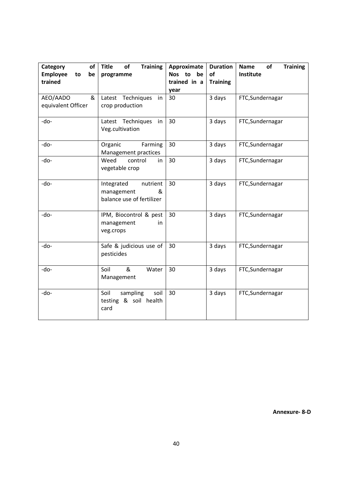| Category<br>of<br>Employee<br>be<br>to<br>trained | <b>Training</b><br><b>Title</b><br>of<br>programme                     | Approximate<br>Nos to be<br>trained in a<br>year | <b>Duration</b><br>of<br><b>Training</b> | <b>Training</b><br><b>Name</b><br>of<br>Institute |
|---------------------------------------------------|------------------------------------------------------------------------|--------------------------------------------------|------------------------------------------|---------------------------------------------------|
| AEO/AADO<br>&<br>equivalent Officer               | Latest Techniques<br>in<br>crop production                             | 30                                               | 3 days                                   | FTC, Sundernagar                                  |
| -do-                                              | Latest Techniques<br>in<br>Veg.cultivation                             | 30                                               | 3 days                                   | FTC, Sundernagar                                  |
| -do-                                              | Organic<br>Farming<br>Management practices                             | 30                                               | 3 days                                   | FTC, Sundernagar                                  |
| -do-                                              | Weed<br>control<br>in<br>vegetable crop                                | 30                                               | 3 days                                   | FTC, Sundernagar                                  |
| -do-                                              | nutrient<br>Integrated<br>management<br>&<br>balance use of fertilizer | 30                                               | 3 days                                   | FTC, Sundernagar                                  |
| -do-                                              | IPM, Biocontrol & pest<br>management<br>in<br>veg.crops                | 30                                               | 3 days                                   | FTC, Sundernagar                                  |
| -do-                                              | Safe & judicious use of<br>pesticides                                  | 30                                               | 3 days                                   | FTC, Sundernagar                                  |
| -do-                                              | &<br>Soil<br>Water<br>Management                                       | 30                                               | 3 days                                   | FTC, Sundernagar                                  |
| -do-                                              | Soil<br>sampling<br>soil<br>testing & soil health<br>card              | 30                                               | 3 days                                   | FTC, Sundernagar                                  |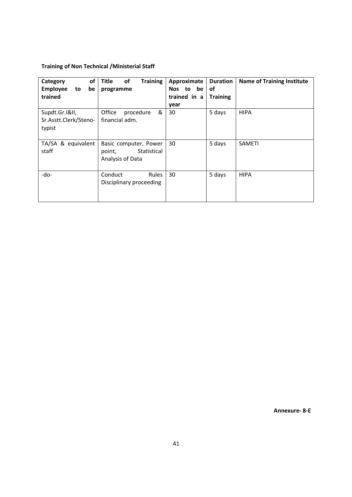# **Training of Non Technical /Ministerial Staff**

| of<br>Category<br><b>Employee</b><br>be<br>to     | Title<br>of<br><b>Training</b><br>programme                        | Approximate<br><b>Duration</b><br>Nos to be<br><b>of</b> | <b>Name of Training Institute</b> |
|---------------------------------------------------|--------------------------------------------------------------------|----------------------------------------------------------|-----------------------------------|
| trained                                           |                                                                    | trained in a<br><b>Training</b>                          |                                   |
| Supdt.Gr.I&II,<br>Sr.Asstt.Clerk/Steno-<br>typist | &<br>Office<br>procedure<br>financial adm.                         | year<br>5 days<br>30                                     | <b>HIPA</b>                       |
| TA/SA & equivalent<br>staff                       | Basic computer, Power<br>Statistical<br>point,<br>Analysis of Data | 5 days<br>30                                             | <b>SAMETI</b>                     |
| -do-                                              | Conduct<br><b>Rules</b><br>Disciplinary proceeding                 | 5 days<br>30                                             | <b>HIPA</b>                       |

**Annexure- 8-E**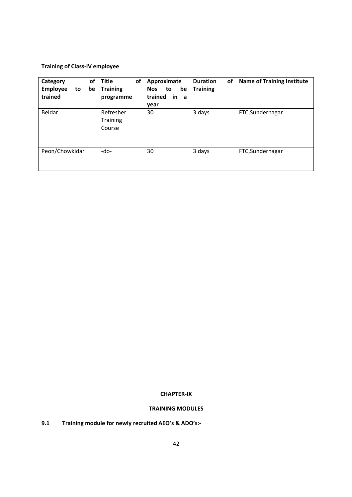# **Training of Class-IV employee**

| of<br>Category<br><b>Employee</b><br>be<br>to<br>trained | Title<br>οf<br><b>Training</b><br>programme | Approximate<br><b>Nos</b><br>be<br>to<br>trained<br><b>in</b><br>a<br>year | of<br><b>Duration</b><br><b>Training</b> | <b>Name of Training Institute</b> |
|----------------------------------------------------------|---------------------------------------------|----------------------------------------------------------------------------|------------------------------------------|-----------------------------------|
| Beldar                                                   | Refresher<br><b>Training</b><br>Course      | 30                                                                         | 3 days                                   | FTC, Sundernagar                  |
| Peon/Chowkidar                                           | -do-                                        | 30                                                                         | 3 days                                   | FTC, Sundernagar                  |

# **CHAPTER-IX**

# **TRAINING MODULES**

**9.1 Training module for newly recruited AEO's & ADO's:-**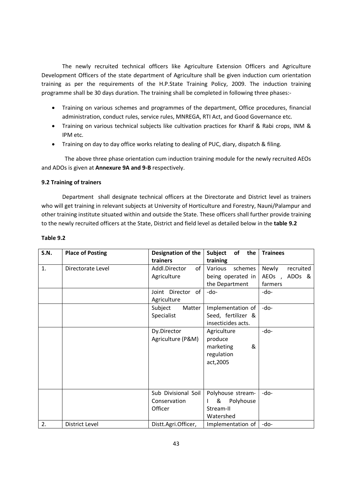The newly recruited technical officers like Agriculture Extension Officers and Agriculture Development Officers of the state department of Agriculture shall be given induction cum orientation training as per the requirements of the H.P.State Training Policy, 2009. The induction training programme shall be 30 days duration. The training shall be completed in following three phases:-

- Training on various schemes and programmes of the department, Office procedures, financial administration, conduct rules, service rules, MNREGA, RTI Act, and Good Governance etc.
- Training on various technical subjects like cultivation practices for Kharif & Rabi crops, INM & IPM etc.
- Training on day to day office works relating to dealing of PUC, diary, dispatch & filing.

The above three phase orientation cum induction training module for the newly recruited AEOs and ADOs is given at **Annexure 9A and 9-B** respectively.

## **9.2 Training of trainers**

 Department shall designate technical officers at the Directorate and District level as trainers who will get training in relevant subjects at University of Horticulture and Forestry, Nauni/Palampur and other training institute situated within and outside the State. These officers shall further provide training to the newly recruited officers at the State, District and field level as detailed below in the **table 9.2** 

| <b>S.N.</b> | <b>Place of Posting</b> | Designation of the     | of<br>the<br><b>Subject</b>    | <b>Trainees</b>    |
|-------------|-------------------------|------------------------|--------------------------------|--------------------|
|             |                         | trainers               | training                       |                    |
| 1.          | Directorate Level       | Addl.Director<br>of    | Various<br>schemes             | Newly<br>recruited |
|             |                         | Agriculture            | being operated in              | AEOs, ADOs &       |
|             |                         |                        | the Department                 | farmers            |
|             |                         | Joint Director<br>of l | -do-                           | -do-               |
|             |                         | Agriculture            |                                |                    |
|             |                         | Subject<br>Matter      | Implementation of              | $-do-$             |
|             |                         | Specialist             | Seed, fertilizer &             |                    |
|             |                         |                        | insecticides acts.             |                    |
|             |                         | Dy.Director            | Agriculture                    | -do-               |
|             |                         | Agriculture (P&M)      | produce                        |                    |
|             |                         |                        | &<br>marketing                 |                    |
|             |                         |                        | regulation                     |                    |
|             |                         |                        | act, 2005                      |                    |
|             |                         |                        |                                |                    |
|             |                         |                        |                                |                    |
|             |                         |                        |                                |                    |
|             |                         | Sub Divisional Soil    | Polyhouse stream-              | -do-               |
|             |                         | Conservation           | &<br>Polyhouse<br>$\mathbf{I}$ |                    |
|             |                         | Officer                | Stream-II                      |                    |
|             |                         |                        | Watershed                      |                    |
| 2.          | District Level          | Distt.Agri.Officer.    | Implementation of              | -do-               |

#### **Table 9.2**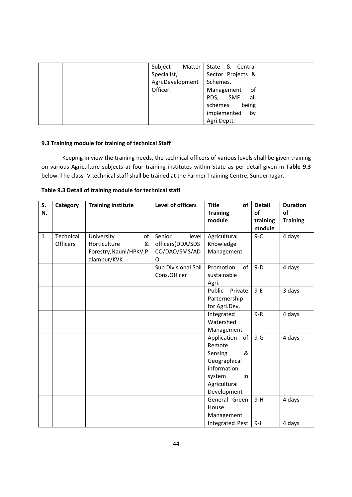| Subject          | Matter   State & Central |
|------------------|--------------------------|
| Specialist,      | Sector Projects &        |
| Agri.Development | Schemes.                 |
| Officer.         | Management<br>οf         |
|                  | PDS,<br>SMF<br>all       |
|                  | being<br>schemes         |
|                  | implemented<br>by        |
|                  | Agri.Deptt.              |

# **9.3 Training module for training of technical Staff**

 Keeping in view the training needs, the technical officers of various levels shall be given training on various Agriculture subjects at four training institutes within State as per detail given in **Table 9.3** below. The class-IV technical staff shall be trained at the Farmer Training Centre, Sundernagar.

| S.<br>N.     | Category  | <b>Training institute</b> | Level of officers   | <b>Title</b><br>of<br><b>Training</b><br>module | <b>Detail</b><br>of<br>training | <b>Duration</b><br>of<br><b>Training</b> |
|--------------|-----------|---------------------------|---------------------|-------------------------------------------------|---------------------------------|------------------------------------------|
|              |           |                           |                     |                                                 | module                          |                                          |
| $\mathbf{1}$ | Technical | University<br>of          | Senior<br>level     | Agricultural                                    | $9-C$                           | 4 days                                   |
|              | Officers  | Horticulture<br>&         | officers(DDA/SDS    | Knowledge                                       |                                 |                                          |
|              |           | Forestry, Nauni/HPKV, P   | CO/DAO/SMS/AD       | Management                                      |                                 |                                          |
|              |           | alampur/KVK               | O                   |                                                 |                                 |                                          |
|              |           |                           | Sub Divisional Soil | Promotion<br>of                                 | $9-D$                           | 4 days                                   |
|              |           |                           | Cons.Officer        | sustainable                                     |                                 |                                          |
|              |           |                           |                     | Agri.                                           |                                 |                                          |
|              |           |                           |                     | Public<br>Private                               | $9-E$                           | 3 days                                   |
|              |           |                           |                     | Parternership                                   |                                 |                                          |
|              |           |                           |                     | for Agri.Dev.                                   |                                 |                                          |
|              |           |                           |                     | Integrated                                      | $9-R$                           | 4 days                                   |
|              |           |                           |                     | Watershed                                       |                                 |                                          |
|              |           |                           |                     | Management                                      |                                 |                                          |
|              |           |                           |                     | Application<br>of                               | $9-G$                           | 4 days                                   |
|              |           |                           |                     | Remote                                          |                                 |                                          |
|              |           |                           |                     | &<br>Sensing                                    |                                 |                                          |
|              |           |                           |                     | Geographical                                    |                                 |                                          |
|              |           |                           |                     | information                                     |                                 |                                          |
|              |           |                           |                     | system<br>in                                    |                                 |                                          |
|              |           |                           |                     | Agricultural                                    |                                 |                                          |
|              |           |                           |                     | Development                                     |                                 |                                          |
|              |           |                           |                     | General Green                                   | $9-H$                           | 4 days                                   |
|              |           |                           |                     | House                                           |                                 |                                          |
|              |           |                           |                     | Management                                      |                                 |                                          |
|              |           |                           |                     | Integrated Pest                                 | $9-1$                           | 4 days                                   |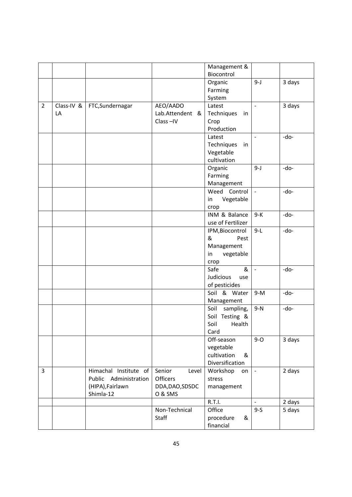|                |              |                       |                 | Management &      |                          |        |
|----------------|--------------|-----------------------|-----------------|-------------------|--------------------------|--------|
|                |              |                       |                 | Biocontrol        |                          |        |
|                |              |                       |                 | Organic           | $9-J$                    | 3 days |
|                |              |                       |                 | Farming           |                          |        |
|                |              |                       |                 | System            |                          |        |
| $\overline{2}$ | $Class-IV$ & | FTC, Sundernagar      | AEO/AADO        | Latest            | $\overline{\phantom{a}}$ | 3 days |
|                | LA           |                       | Lab.Attendent & | Techniques<br>in  |                          |        |
|                |              |                       | Class-IV        | Crop              |                          |        |
|                |              |                       |                 | Production        |                          |        |
|                |              |                       |                 | Latest            |                          | -do-   |
|                |              |                       |                 | Techniques<br>in  |                          |        |
|                |              |                       |                 | Vegetable         |                          |        |
|                |              |                       |                 | cultivation       |                          |        |
|                |              |                       |                 | Organic           | $9 - J$                  | -do-   |
|                |              |                       |                 | Farming           |                          |        |
|                |              |                       |                 | Management        |                          |        |
|                |              |                       |                 | Weed Control      | $\sim$                   | -do-   |
|                |              |                       |                 | Vegetable<br>in   |                          |        |
|                |              |                       |                 | crop              |                          |        |
|                |              |                       |                 | INM & Balance     | $9-K$                    | -do-   |
|                |              |                       |                 | use of Fertilizer |                          |        |
|                |              |                       |                 | IPM, Biocontrol   | $9-L$                    | -do-   |
|                |              |                       |                 | &<br>Pest         |                          |        |
|                |              |                       |                 | Management        |                          |        |
|                |              |                       |                 | vegetable<br>in   |                          |        |
|                |              |                       |                 | crop<br>&<br>Safe | $\omega$                 | -do-   |
|                |              |                       |                 | Judicious<br>use  |                          |        |
|                |              |                       |                 | of pesticides     |                          |        |
|                |              |                       |                 | Soil & Water      | $9-M$                    | -do-   |
|                |              |                       |                 | Management        |                          |        |
|                |              |                       |                 | Soil<br>sampling, | $9-N$                    | -do-   |
|                |              |                       |                 | Soil Testing &    |                          |        |
|                |              |                       |                 | Soil<br>Health    |                          |        |
|                |              |                       |                 | Card              |                          |        |
|                |              |                       |                 | Off-season        | $9-0$                    | 3 days |
|                |              |                       |                 | vegetable         |                          |        |
|                |              |                       |                 | cultivation<br>&  |                          |        |
|                |              |                       |                 | Diversification   |                          |        |
| 3              |              | Himachal Institute of | Senior<br>Level | Workshop<br>on    | $\blacksquare$           | 2 days |
|                |              | Public Administration | Officers        | stress            |                          |        |
|                |              | (HIPA), Fairlawn      | DDA, DAO, SDSDC | management        |                          |        |
|                |              | Shimla-12             | O & SMS         |                   |                          |        |
|                |              |                       |                 | R.T.I.            | $\overline{a}$           | 2 days |
|                |              |                       | Non-Technical   | Office            | $9-S$                    | 5 days |
|                |              |                       | Staff           | procedure<br>&    |                          |        |
|                |              |                       |                 | financial         |                          |        |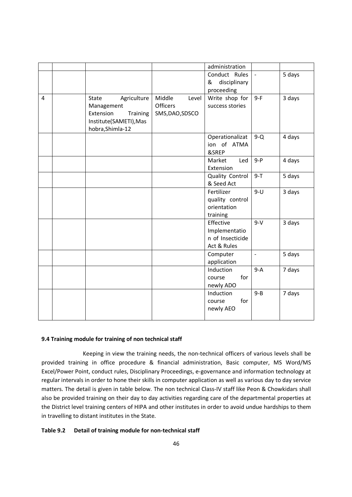|   |                        |                 | administration    |                |        |
|---|------------------------|-----------------|-------------------|----------------|--------|
|   |                        |                 |                   |                |        |
|   |                        |                 | Conduct Rules     | $\omega$       | 5 days |
|   |                        |                 | disciplinary<br>& |                |        |
|   |                        |                 | proceeding        |                |        |
| 4 | Agriculture<br>State   | Middle<br>Level | Write shop for    | $9-F$          | 3 days |
|   | Management             | <b>Officers</b> | success stories   |                |        |
|   | Extension<br>Training  | SMS, DAO, SDSCO |                   |                |        |
|   | Institute(SAMETI), Mas |                 |                   |                |        |
|   | hobra, Shimla-12       |                 |                   |                |        |
|   |                        |                 | Operationalizat   | $9-Q$          | 4 days |
|   |                        |                 | ion of ATMA       |                |        |
|   |                        |                 | &SREP             |                |        |
|   |                        |                 | Market<br>Led     | $9 - P$        | 4 days |
|   |                        |                 | Extension         |                |        |
|   |                        |                 | Quality Control   | $9 - T$        | 5 days |
|   |                        |                 | & Seed Act        |                |        |
|   |                        |                 | Fertilizer        | $9-U$          | 3 days |
|   |                        |                 | quality control   |                |        |
|   |                        |                 | orientation       |                |        |
|   |                        |                 | training          |                |        |
|   |                        |                 | Effective         | $9-V$          | 3 days |
|   |                        |                 | Implementatio     |                |        |
|   |                        |                 | n of Insecticide  |                |        |
|   |                        |                 | Act & Rules       |                |        |
|   |                        |                 | Computer          | $\blacksquare$ | 5 days |
|   |                        |                 | application       |                |        |
|   |                        |                 | Induction         | $9-A$          | 7 days |
|   |                        |                 | for<br>course     |                |        |
|   |                        |                 | newly ADO         |                |        |
|   |                        |                 | Induction         | $9 - B$        | 7 days |
|   |                        |                 | for<br>course     |                |        |
|   |                        |                 | newly AEO         |                |        |
|   |                        |                 |                   |                |        |

#### **9.4 Training module for training of non technical staff**

 Keeping in view the training needs, the non-technical officers of various levels shall be provided training in office procedure & financial administration, Basic computer, MS Word/MS Excel/Power Point, conduct rules, Disciplinary Proceedings, e-governance and information technology at regular intervals in order to hone their skills in computer application as well as various day to day service matters. The detail is given in table below. The non technical Class-IV staff like Peon & Chowkidars shall also be provided training on their day to day activities regarding care of the departmental properties at the District level training centers of HIPA and other institutes in order to avoid undue hardships to them in travelling to distant institutes in the State.

#### **Table 9.2 Detail of training module for non-technical staff**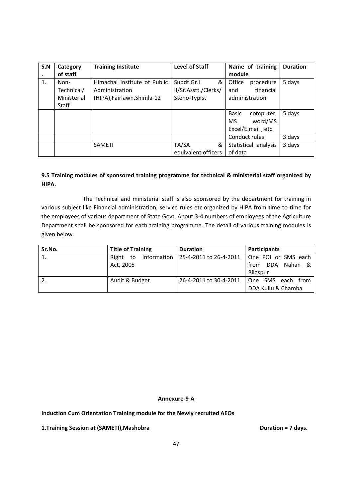| S.N | Category    | <b>Training Institute</b>    | <b>Level of Staff</b> | Name of training     | <b>Duration</b> |
|-----|-------------|------------------------------|-----------------------|----------------------|-----------------|
|     | of staff    |                              |                       | module               |                 |
| 1.  | Non-        | Himachal Institute of Public | Supdt.Gr.I<br>&       | Office<br>procedure  | 5 days          |
|     | Technical/  | Administration               | II/Sr.Asstt./Clerks/  | financial<br>and     |                 |
|     | Ministerial | (HIPA), Fairlawn, Shimla-12  | Steno-Typist          | administration       |                 |
|     | Staff       |                              |                       |                      |                 |
|     |             |                              |                       | Basic<br>computer,   | 5 days          |
|     |             |                              |                       | word/MS<br><b>MS</b> |                 |
|     |             |                              |                       | Excel/E.mail, etc.   |                 |
|     |             |                              |                       | Conduct rules        | 3 days          |
|     |             | <b>SAMETI</b>                | TA/SA<br>&            | Statistical analysis | 3 days          |
|     |             |                              | equivalent officers   | of data              |                 |

# **9.5 Training modules of sponsored training programme for technical & ministerial staff organized by HIPA.**

 The Technical and ministerial staff is also sponsored by the department for training in various subject like Financial administration, service rules etc.organized by HIPA from time to time for the employees of various department of State Govt. About 3-4 numbers of employees of the Agriculture Department shall be sponsored for each training programme. The detail of various training modules is given below.

| Sr.No. | <b>Title of Training</b>   | <b>Duration</b>        | <b>Participants</b> |
|--------|----------------------------|------------------------|---------------------|
| 1.     | Information<br>Right<br>to | 25-4-2011 to 26-4-2011 | One POI or SMS each |
|        | Act, 2005                  |                        | DDA Nahan &<br>from |
|        |                            |                        | Bilaspur            |
| l 2.   | Audit & Budget             | 26-4-2011 to 30-4-2011 | One SMS each from   |
|        |                            |                        | DDA Kullu & Chamba  |

#### **Annexure-9-A**

**Induction Cum Orientation Training module for the Newly recruited AEOs** 

**1.Training Session at (SAMETI), Mashobra** density and the setting puration = 7 days.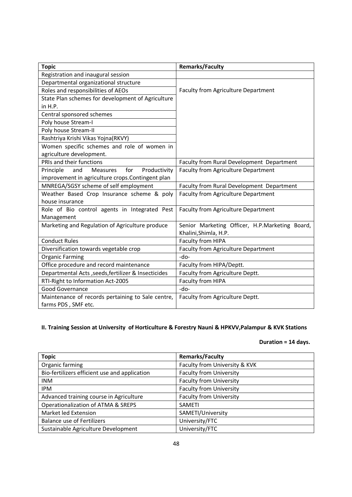| <b>Topic</b>                                         | <b>Remarks/Faculty</b>                         |
|------------------------------------------------------|------------------------------------------------|
| Registration and inaugural session                   |                                                |
| Departmental organizational structure                |                                                |
| Roles and responsibilities of AEOs                   | Faculty from Agriculture Department            |
| State Plan schemes for development of Agriculture    |                                                |
| in H.P.                                              |                                                |
| Central sponsored schemes                            |                                                |
| Poly house Stream-I                                  |                                                |
| Poly house Stream-II                                 |                                                |
| Rashtriya Krishi Vikas Yojna(RKVY)                   |                                                |
| Women specific schemes and role of women in          |                                                |
| agriculture development.                             |                                                |
| PRIs and their functions                             | Faculty from Rural Development Department      |
| for<br>Productivity<br>Principle<br>Measures<br>and  | <b>Faculty from Agriculture Department</b>     |
| improvement in agriculture crops.Contingent plan     |                                                |
| MNREGA/SGSY scheme of self employment                | Faculty from Rural Development Department      |
| Weather Based Crop Insurance scheme & poly           | Faculty from Agriculture Department            |
| house insurance                                      |                                                |
| Role of Bio control agents in Integrated Pest        | Faculty from Agriculture Department            |
| Management                                           |                                                |
| Marketing and Regulation of Agriculture produce      | Senior Marketing Officer, H.P.Marketing Board, |
|                                                      | Khalini, Shimla, H.P.                          |
| <b>Conduct Rules</b>                                 | Faculty from HIPA                              |
| Diversification towards vegetable crop               | <b>Faculty from Agriculture Department</b>     |
| <b>Organic Farming</b>                               | -do-                                           |
| Office procedure and record maintenance              | Faculty from HIPA/Deptt.                       |
| Departmental Acts , seeds, fertilizer & Insecticides | Faculty from Agriculture Deptt.                |
| RTI-Right to Information Act-2005                    | Faculty from HIPA                              |
| Good Governance                                      | -do-                                           |
| Maintenance of records pertaining to Sale centre,    | Faculty from Agriculture Deptt.                |
| farms PDS, SMF etc.                                  |                                                |

# **II. Training Session at University of Horticulture & Forestry Nauni & HPKVV,Palampur & KVK Stations**

# **Duration = 14 days.**

| <b>Topic</b>                                  | <b>Remarks/Faculty</b>         |
|-----------------------------------------------|--------------------------------|
| Organic farming                               | Faculty from University & KVK  |
| Bio-fertilizers efficient use and application | <b>Faculty from University</b> |
| <b>INM</b>                                    | <b>Faculty from University</b> |
| <b>IPM</b>                                    | <b>Faculty from University</b> |
| Advanced training course in Agriculture       | <b>Faculty from University</b> |
| Operationalization of ATMA & SREPS            | <b>SAMETI</b>                  |
| Market led Extension                          | SAMETI/University              |
| <b>Balance use of Fertilizers</b>             | University/FTC                 |
| Sustainable Agriculture Development           | University/FTC                 |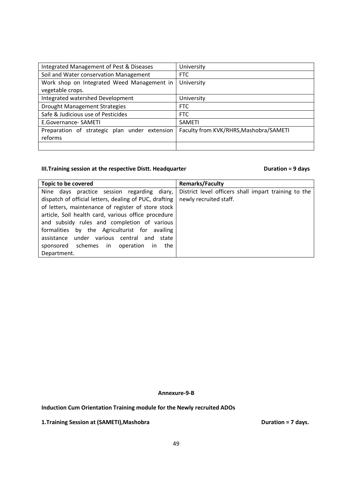| Integrated Management of Pest & Diseases      | University                             |  |
|-----------------------------------------------|----------------------------------------|--|
| Soil and Water conservation Management        | <b>FTC</b>                             |  |
| Work shop on Integrated Weed Management in    | University                             |  |
| vegetable crops.                              |                                        |  |
| Integrated watershed Development              | University                             |  |
| <b>Drought Management Strategies</b>          | <b>FTC</b>                             |  |
| Safe & Judicious use of Pesticides            | <b>FTC</b>                             |  |
| E.Governance- SAMETI                          | <b>SAMETI</b>                          |  |
| Preparation of strategic plan under extension | Faculty from KVK/RHRS, Mashobra/SAMETI |  |
| reforms                                       |                                        |  |
|                                               |                                        |  |

# **III. Training session at the respective Distt. Headquarter <b>Duration = 9 days**

| Topic to be covered                                    | <b>Remarks/Faculty</b>                               |
|--------------------------------------------------------|------------------------------------------------------|
| Nine days practice session regarding diary,            | District level officers shall impart training to the |
| dispatch of official letters, dealing of PUC, drafting | newly recruited staff.                               |
| of letters, maintenance of register of store stock     |                                                      |
| article, Soil health card, various office procedure    |                                                      |
| and subsidy rules and completion of various            |                                                      |
| formalities by the Agriculturist for availing          |                                                      |
| assistance under various central and state             |                                                      |
| sponsored schemes in operation<br>the<br><sub>in</sub> |                                                      |
| Department.                                            |                                                      |

## **Annexure-9-B**

**Induction Cum Orientation Training module for the Newly recruited ADOs** 

**1.Training Session at (SAMETI), Mashobra DURA BURGE 2018 1. Training Session at (SAMETI), Mashobra DURA BURGE 2019**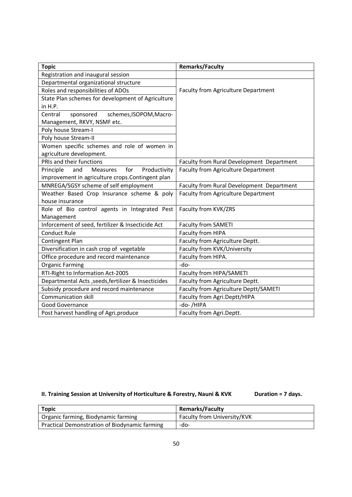| <b>Topic</b>                                               | <b>Remarks/Faculty</b>                    |  |  |
|------------------------------------------------------------|-------------------------------------------|--|--|
| Registration and inaugural session                         |                                           |  |  |
| Departmental organizational structure                      |                                           |  |  |
| Roles and responsibilities of ADOs                         | Faculty from Agriculture Department       |  |  |
| State Plan schemes for development of Agriculture          |                                           |  |  |
| in H.P.                                                    |                                           |  |  |
| Central<br>sponsored<br>schemes, ISOPOM, Macro-            |                                           |  |  |
| Management, RKVY, NSMF etc.                                |                                           |  |  |
| Poly house Stream-I                                        |                                           |  |  |
| Poly house Stream-II                                       |                                           |  |  |
| Women specific schemes and role of women in                |                                           |  |  |
| agriculture development.                                   |                                           |  |  |
| PRIs and their functions                                   | Faculty from Rural Development Department |  |  |
| Productivity<br>Principle<br>for<br>and<br><b>Measures</b> | Faculty from Agriculture Department       |  |  |
| improvement in agriculture crops.Contingent plan           |                                           |  |  |
| MNREGA/SGSY scheme of self employment                      | Faculty from Rural Development Department |  |  |
| Weather Based Crop Insurance scheme & poly                 | Faculty from Agriculture Department       |  |  |
| house insurance                                            |                                           |  |  |
| Role of Bio control agents in Integrated Pest              | Faculty from KVK/ZRS                      |  |  |
| Management                                                 |                                           |  |  |
| Inforcement of seed, fertilizer & Insecticide Act          | <b>Faculty from SAMETI</b>                |  |  |
| <b>Conduct Rule</b>                                        | Faculty from HIPA                         |  |  |
| Contingent Plan                                            | Faculty from Agriculture Deptt.           |  |  |
| Diversification in cash crop of vegetable                  | Faculty from KVK/University               |  |  |
| Office procedure and record maintenance                    | Faculty from HIPA.                        |  |  |
| <b>Organic Farming</b>                                     | -do-                                      |  |  |
| RTI-Right to Information Act-2005                          | Faculty from HIPA/SAMETI                  |  |  |
| Departmental Acts , seeds, fertilizer & Insecticides       | Faculty from Agriculture Deptt.           |  |  |
| Subsidy procedure and record maintenance                   | Faculty from Agriculture Deptt/SAMETI     |  |  |
| <b>Communication skill</b>                                 | Faculty from Agri.Deptt/HIPA              |  |  |
| Good Governance                                            | -do-/HIPA                                 |  |  |
| Post harvest handling of Agri.produce                      | Faculty from Agri.Deptt.                  |  |  |

# **II. Training Session at University of Horticulture & Forestry, Nauni & KVK Duration = 7 days.**

| <b>Topic</b>                                  | <b>Remarks/Faculty</b>      |
|-----------------------------------------------|-----------------------------|
| Organic farming, Biodynamic farming           | Faculty from University/KVK |
| Practical Demonstration of Biodynamic farming | -do-                        |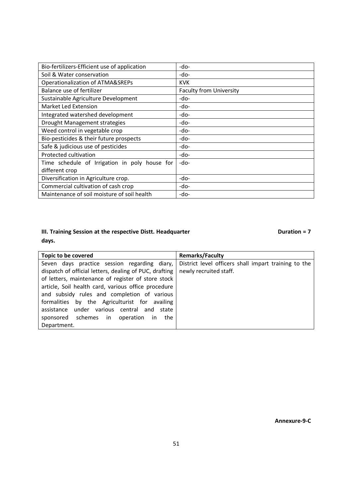| Bio-fertilizers-Efficient use of application  | -do-                           |
|-----------------------------------------------|--------------------------------|
| Soil & Water conservation                     | -do-                           |
| Operationalization of ATMA&SREPs              | <b>KVK</b>                     |
| Balance use of fertilizer                     | <b>Faculty from University</b> |
| Sustainable Agriculture Development           | -do-                           |
| Market Led Extension                          | -do-                           |
| Integrated watershed development              | -do-                           |
| Drought Management strategies                 | -do-                           |
| Weed control in vegetable crop                | -do-                           |
| Bio-pesticides & their future prospects       | -do-                           |
| Safe & judicious use of pesticides            | -do-                           |
| Protected cultivation                         | -do-                           |
| Time schedule of Irrigation in poly house for | -do-                           |
| different crop                                |                                |
| Diversification in Agriculture crop.          | -do-                           |
| Commercial cultivation of cash crop           | -do-                           |
| Maintenance of soil moisture of soil health   | -do-                           |

# **III. Training Session at the respective Distt. Headquarter <b>Duration = 7 Duration = 7 days.**

| Topic to be covered                                    | <b>Remarks/Faculty</b>                               |
|--------------------------------------------------------|------------------------------------------------------|
| Seven days practice session regarding diary,           | District level officers shall impart training to the |
| dispatch of official letters, dealing of PUC, drafting | newly recruited staff.                               |
| of letters, maintenance of register of store stock     |                                                      |
| article, Soil health card, various office procedure    |                                                      |
| and subsidy rules and completion of various            |                                                      |
| formalities by the Agriculturist for availing          |                                                      |
| assistance under various central and state             |                                                      |
| sponsored schemes in<br>operation<br>the<br>in.        |                                                      |
| Department.                                            |                                                      |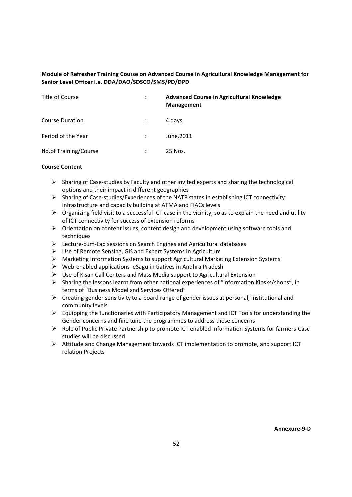# **Module of Refresher Training Course on Advanced Course in Agricultural Knowledge Management for Senior Level Officer i.e. DDA/DAO/SDSCO/SMS/PD/DPD**

| Title of Course        | ٠<br>$\cdot$         | <b>Advanced Course in Agricultural Knowledge</b><br><b>Management</b> |
|------------------------|----------------------|-----------------------------------------------------------------------|
| <b>Course Duration</b> |                      | 4 days.                                                               |
| Period of the Year     |                      | June, 2011                                                            |
| No.of Training/Course  | $\ddot{\phantom{a}}$ | 25 Nos.                                                               |

- > Sharing of Case-studies by Faculty and other invited experts and sharing the technological options and their impact in different geographies
- > Sharing of Case-studies/Experiences of the NATP states in establishing ICT connectivity: infrastructure and capacity building at ATMA and FIACs levels
- > Organizing field visit to a successful ICT case in the vicinity, so as to explain the need and utility of ICT connectivity for success of extension reforms
- > Orientation on content issues, content design and development using software tools and techniques
- Lecture-cum-Lab sessions on Search Engines and Agricultural databases
- ▶ Use of Remote Sensing, GIS and Expert Systems in Agriculture
- **►** Marketing Information Systems to support Agricultural Marketing Extension Systems
- Web-enabled applications- eSagu initiatives in Andhra Pradesh
- ▶ Use of Kisan Call Centers and Mass Media support to Agricultural Extension
- Sharing the lessons learnt from other national experiences of "Information Kiosks/shops", in terms of "Business Model and Services Offered"
- Creating gender sensitivity to a board range of gender issues at personal, institutional and community levels
- Equipping the functionaries with Participatory Management and ICT Tools for understanding the Gender concerns and fine tune the programmes to address those concerns
- ▶ Role of Public Private Partnership to promote ICT enabled Information Systems for farmers-Case studies will be discussed
- > Attitude and Change Management towards ICT implementation to promote, and support ICT relation Projects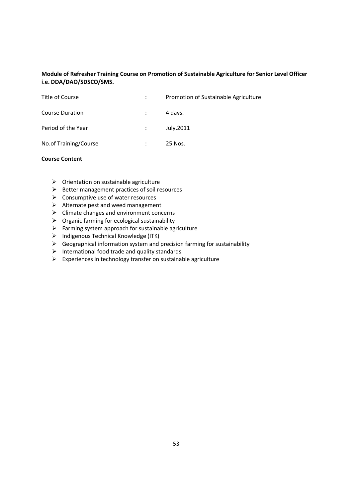# **Module of Refresher Training Course on Promotion of Sustainable Agriculture for Senior Level Officer i.e. DDA/DAO/SDSCO/SMS.**

| Title of Course       | Promotion of Sustainable Agriculture |
|-----------------------|--------------------------------------|
| Course Duration       | 4 days.                              |
| Period of the Year    | July, 2011                           |
| No.of Training/Course | 25 Nos.                              |

- > Orientation on sustainable agriculture
- Better management practices of soil resources
- **►** Consumptive use of water resources
- $\triangleright$  Alternate pest and weed management
- > Climate changes and environment concerns
- $\triangleright$  Organic farming for ecological sustainability
- > Farming system approach for sustainable agriculture
- > Indigenous Technical Knowledge (ITK)
- $\triangleright$  Geographical information system and precision farming for sustainability
- $\triangleright$  International food trade and quality standards
- $\triangleright$  Experiences in technology transfer on sustainable agriculture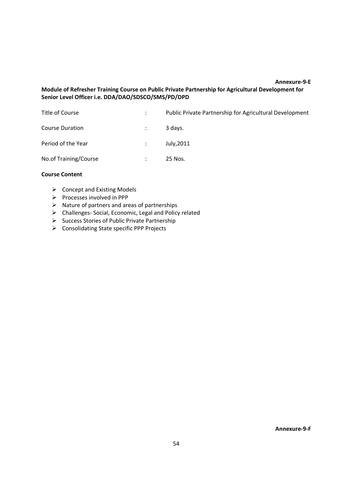#### **Annexure-9-E**

# **Module of Refresher Training Course on Public Private Partnership for Agricultural Development for Senior Level Officer i.e. DDA/DAO/SDSCO/SMS/PD/DPD**

|                      | Public Private Partnership for Agricultural Development |
|----------------------|---------------------------------------------------------|
| $\ddot{\phantom{0}}$ | 3 days.                                                 |
|                      | July, 2011                                              |
| $\ddot{\phantom{a}}$ | 25 Nos.                                                 |
|                      |                                                         |

# **Course Content**

- $\triangleright$  Concept and Existing Models
- > Processes involved in PPP
- $\triangleright$  Nature of partners and areas of partnerships
- > Challenges- Social, Economic, Legal and Policy related
- ▶ Success Stories of Public Private Partnership
- ▶ Consolidating State specific PPP Projects

**Annexure-9-F**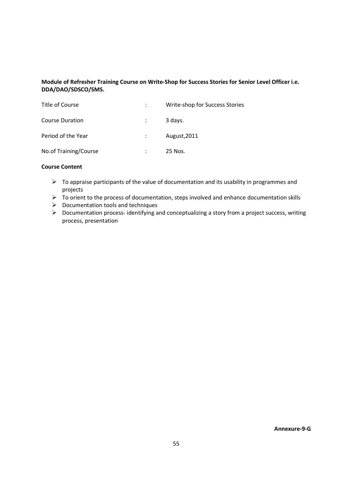# **Module of Refresher Training Course on Write-Shop for Success Stories for Senior Level Officer i.e. DDA/DAO/SDSCO/SMS.**

| Title of Course        | Write-shop for Success Stories |
|------------------------|--------------------------------|
| <b>Course Duration</b> | 3 days.                        |
| Period of the Year     | August, 2011                   |
| No.of Training/Course  | 25 Nos.                        |

- $\triangleright$  To appraise participants of the value of documentation and its usability in programmes and projects
- $\triangleright$  To orient to the process of documentation, steps involved and enhance documentation skills
- $\triangleright$  Documentation tools and techniques
- ▶ Documentation process-identifying and conceptualizing a story from a project success, writing process, presentation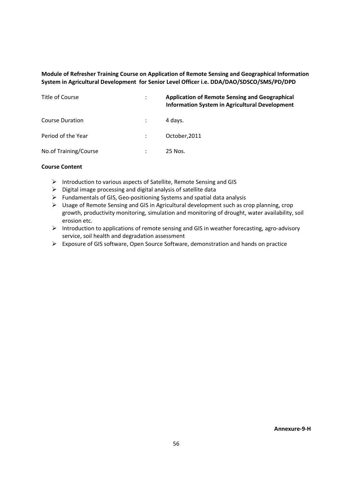# **Module of Refresher Training Course on Application of Remote Sensing and Geographical Information System in Agricultural Development for Senior Level Officer i.e. DDA/DAO/SDSCO/SMS/PD/DPD**

| Title of Course        | ÷ | <b>Application of Remote Sensing and Geographical</b><br><b>Information System in Agricultural Development</b> |
|------------------------|---|----------------------------------------------------------------------------------------------------------------|
| <b>Course Duration</b> |   | 4 davs.                                                                                                        |
| Period of the Year     |   | October, 2011                                                                                                  |
| No.of Training/Course  |   | 25 Nos.                                                                                                        |

- > Introduction to various aspects of Satellite, Remote Sensing and GIS
- $\triangleright$  Digital image processing and digital analysis of satellite data
- Fundamentals of GIS, Geo-positioning Systems and spatial data analysis
- Usage of Remote Sensing and GIS in Agricultural development such as crop planning, crop growth, productivity monitoring, simulation and monitoring of drought, water availability, soil erosion etc.
- > Introduction to applications of remote sensing and GIS in weather forecasting, agro-advisory service, soil health and degradation assessment
- ▶ Exposure of GIS software, Open Source Software, demonstration and hands on practice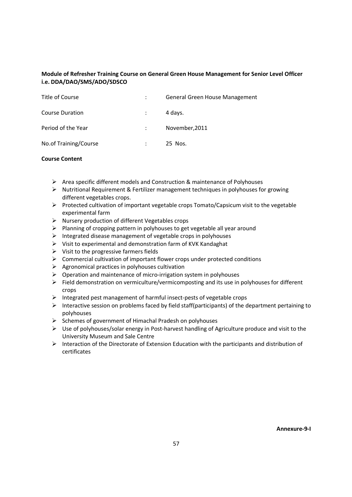# **Module of Refresher Training Course on General Green House Management for Senior Level Officer i.e. DDA/DAO/SMS/ADO/SDSCO**

| Title of Course        |   | General Green House Management |
|------------------------|---|--------------------------------|
| <b>Course Duration</b> |   | 4 days.                        |
| Period of the Year     |   | November, 2011                 |
| No.of Training/Course  | ÷ | 25 Nos.                        |

- ▶ Area specific different models and Construction & maintenance of Polyhouses
- > Nutritional Requirement & Fertilizer management techniques in polyhouses for growing different vegetables crops.
- Protected cultivation of important vegetable crops Tomato/Capsicum visit to the vegetable experimental farm
- Nursery production of different Vegetables crops
- > Planning of cropping pattern in polyhouses to get vegetable all year around
- $\triangleright$  Integrated disease management of vegetable crops in polyhouses
- Visit to experimental and demonstration farm of KVK Kandaghat
- $\triangleright$  Visit to the progressive farmers fields
- Commercial cultivation of important flower crops under protected conditions
- Agronomical practices in polyhouses cultivation
- Operation and maintenance of micro-irrigation system in polyhouses
- Field demonstration on vermiculture/vermicomposting and its use in polyhouses for different crops
- Integrated pest management of harmful insect-pests of vegetable crops
- Interactive session on problems faced by field staff(participants) of the department pertaining to polyhouses
- Schemes of government of Himachal Pradesh on polyhouses
- $\triangleright$  Use of polyhouses/solar energy in Post-harvest handling of Agriculture produce and visit to the University Museum and Sale Centre
- Interaction of the Directorate of Extension Education with the participants and distribution of certificates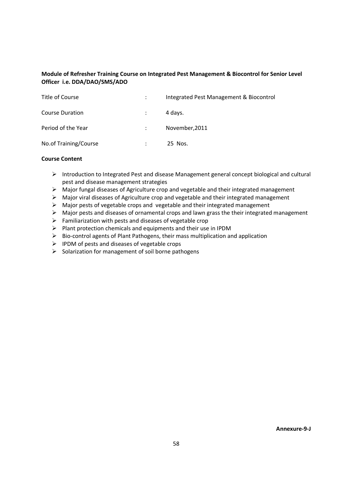# **Module of Refresher Training Course on Integrated Pest Management & Biocontrol for Senior Level Officer i.e. DDA/DAO/SMS/ADO**

| Title of Course        | $\mathcal{L}$ | Integrated Pest Management & Biocontrol |
|------------------------|---------------|-----------------------------------------|
| <b>Course Duration</b> |               | 4 days.                                 |
| Period of the Year     | $\mathcal{L}$ | November, 2011                          |
| No.of Training/Course  | $\bullet$     | 25 Nos.                                 |

- Introduction to Integrated Pest and disease Management general concept biological and cultural pest and disease management strategies
- > Major fungal diseases of Agriculture crop and vegetable and their integrated management
- > Major viral diseases of Agriculture crop and vegetable and their integrated management
- $\triangleright$  Major pests of vegetable crops and vegetable and their integrated management
- > Major pests and diseases of ornamental crops and lawn grass the their integrated management
- Familiarization with pests and diseases of vegetable crop
- > Plant protection chemicals and equipments and their use in IPDM
- $\triangleright$  Bio-control agents of Plant Pathogens, their mass multiplication and application
- $\triangleright$  IPDM of pests and diseases of vegetable crops
- > Solarization for management of soil borne pathogens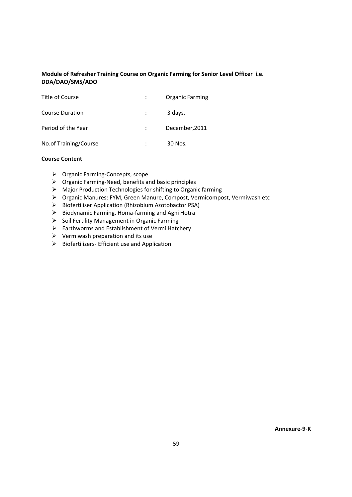# **Module of Refresher Training Course on Organic Farming for Senior Level Officer i.e. DDA/DAO/SMS/ADO**

| Title of Course        | <b>Organic Farming</b> |
|------------------------|------------------------|
| <b>Course Duration</b> | 3 days.                |
| Period of the Year     | December, 2011         |
| No.of Training/Course  | 30 Nos.                |

- > Organic Farming-Concepts, scope
- $\triangleright$  Organic Farming-Need, benefits and basic principles
- > Major Production Technologies for shifting to Organic farming
- Organic Manures: FYM, Green Manure, Compost, Vermicompost, Vermiwash etc
- > Biofertiliser Application (Rhizobium Azotobactor PSA)
- ▶ Biodynamic Farming, Homa-farming and Agni Hotra
- ▶ Soil Fertility Management in Organic Farming
- ▶ Earthworms and Establishment of Vermi Hatchery
- $\triangleright$  Vermiwash preparation and its use
- > Biofertilizers- Efficient use and Application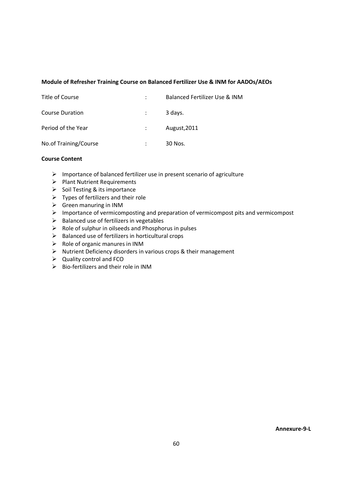## **Module of Refresher Training Course on Balanced Fertilizer Use & INM for AADOs/AEOs**

| Title of Course        | Balanced Fertilizer Use & INM |
|------------------------|-------------------------------|
| <b>Course Duration</b> | 3 days.                       |
| Period of the Year     | August, 2011                  |
| No.of Training/Course  | 30 Nos.                       |

#### **Course Content**

- Importance of balanced fertilizer use in present scenario of agriculture
- > Plant Nutrient Requirements
- > Soil Testing & its importance
- $\triangleright$  Types of fertilizers and their role
- $\triangleright$  Green manuring in INM
- > Importance of vermicomposting and preparation of vermicompost pits and vermicompost
- > Balanced use of fertilizers in vegetables
- $\triangleright$  Role of sulphur in oilseeds and Phosphorus in pulses
- ▶ Balanced use of fertilizers in horticultural crops
- $\triangleright$  Role of organic manures in INM
- > Nutrient Deficiency disorders in various crops & their management
- $\triangleright$  Quality control and FCO
- Bio-fertilizers and their role in INM

**Annexure-9-L**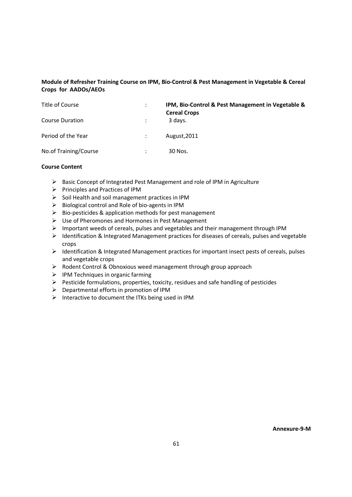# **Module of Refresher Training Course on IPM, Bio-Control & Pest Management in Vegetable & Cereal Crops for AADOs/AEOs**

| Title of Course        | ÷ | IPM, Bio-Control & Pest Management in Vegetable &<br><b>Cereal Crops</b> |
|------------------------|---|--------------------------------------------------------------------------|
| <b>Course Duration</b> |   | 3 days.                                                                  |
| Period of the Year     |   | August, 2011                                                             |
| No.of Training/Course  | ٠ | 30 Nos.                                                                  |

- ▶ Basic Concept of Integrated Pest Management and role of IPM in Agriculture
- ▶ Principles and Practices of IPM
- $\triangleright$  Soil Health and soil management practices in IPM
- $\triangleright$  Biological control and Role of bio-agents in IPM
- ▶ Bio-pesticides & application methods for pest management
- ▶ Use of Pheromones and Hormones in Pest Management
- $\geq$  Important weeds of cereals, pulses and vegetables and their management through IPM
- > Identification & Integrated Management practices for diseases of cereals, pulses and vegetable crops
- > Identification & Integrated Management practices for important insect pests of cereals, pulses and vegetable crops
- > Rodent Control & Obnoxious weed management through group approach
- $\triangleright$  IPM Techniques in organic farming
- Pesticide formulations, properties, toxicity, residues and safe handling of pesticides
- > Departmental efforts in promotion of IPM
- > Interactive to document the ITKs being used in IPM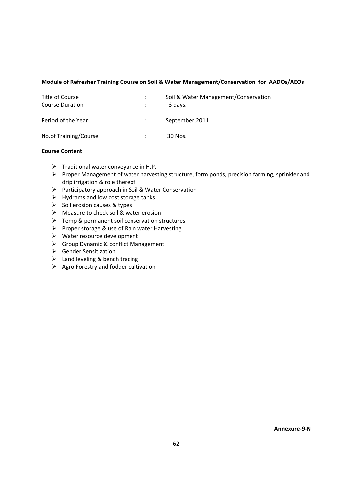#### **Module of Refresher Training Course on Soil & Water Management/Conservation for AADOs/AEOs**

| Title of Course<br><b>Course Duration</b> | Soil & Water Management/Conservation<br>3 days. |
|-------------------------------------------|-------------------------------------------------|
| Period of the Year                        | September, 2011                                 |
| No.of Training/Course                     | 30 Nos.                                         |

#### **Course Content**

- > Traditional water conveyance in H.P.
- Proper Management of water harvesting structure, form ponds, precision farming, sprinkler and drip irrigation & role thereof
- ▶ Participatory approach in Soil & Water Conservation
- $\triangleright$  Hydrams and low cost storage tanks
- > Soil erosion causes & types
- > Measure to check soil & water erosion
- > Temp & permanent soil conservation structures
- ▶ Proper storage & use of Rain water Harvesting
- ▶ Water resource development
- ▶ Group Dynamic & conflict Management
- > Gender Sensitization
- $\geq$  Land leveling & bench tracing
- > Agro Forestry and fodder cultivation

**Annexure-9-N**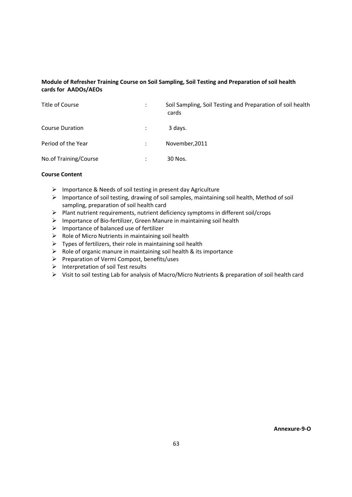# **Module of Refresher Training Course on Soil Sampling, Soil Testing and Preparation of soil health cards for AADOs/AEOs**

| Title of Course        |   | Soil Sampling, Soil Testing and Preparation of soil health<br>cards |
|------------------------|---|---------------------------------------------------------------------|
| <b>Course Duration</b> |   | 3 davs.                                                             |
| Period of the Year     |   | November, 2011                                                      |
| No.of Training/Course  | ٠ | 30 Nos.                                                             |

- > Importance & Needs of soil testing in present day Agriculture
- Importance of soil testing, drawing of soil samples, maintaining soil health, Method of soil sampling, preparation of soil health card
- Plant nutrient requirements, nutrient deficiency symptoms in different soil/crops
- > Importance of Bio-fertilizer, Green Manure in maintaining soil health
- > Importance of balanced use of fertilizer
- $\triangleright$  Role of Micro Nutrients in maintaining soil health
- $\triangleright$  Types of fertilizers, their role in maintaining soil health
- $\triangleright$  Role of organic manure in maintaining soil health & its importance
- Preparation of Vermi Compost, benefits/uses
- > Interpretation of soil Test results
- Visit to soil testing Lab for analysis of Macro/Micro Nutrients & preparation of soil health card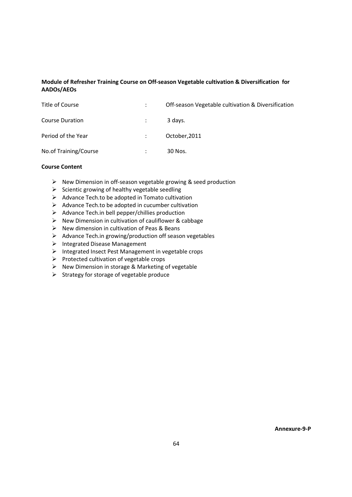# **Module of Refresher Training Course on Off-season Vegetable cultivation & Diversification for AADOs/AEOs**

| Title of Course        | Off-season Vegetable cultivation & Diversification |
|------------------------|----------------------------------------------------|
| <b>Course Duration</b> | 3 davs.                                            |
| Period of the Year     | October, 2011                                      |
| No.of Training/Course  | 30 Nos.                                            |

## **Course Content**

- > New Dimension in off-season vegetable growing & seed production
- $\triangleright$  Scientic growing of healthy vegetable seedling
- ▶ Advance Tech.to be adopted in Tomato cultivation
- $\triangleright$  Advance Tech.to be adopted in cucumber cultivation
- > Advance Tech.in bell pepper/chillies production
- > New Dimension in cultivation of cauliflower & cabbage
- New dimension in cultivation of Peas & Beans
- ▶ Advance Tech.in growing/production off season vegetables
- > Integrated Disease Management
- > Integrated Insect Pest Management in vegetable crops
- ▶ Protected cultivation of vegetable crops
- > New Dimension in storage & Marketing of vegetable
- $\triangleright$  Strategy for storage of vegetable produce

**Annexure-9-P**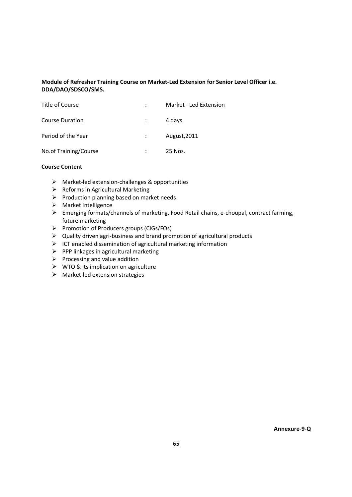# **Module of Refresher Training Course on Market-Led Extension for Senior Level Officer i.e. DDA/DAO/SDSCO/SMS.**

| Title of Course        | Market -Led Extension |
|------------------------|-----------------------|
| <b>Course Duration</b> | 4 days.               |
| Period of the Year     | August, 2011          |
| No.of Training/Course  | 25 Nos.               |

- > Market-led extension-challenges & opportunities
- > Reforms in Agricultural Marketing
- ▶ Production planning based on market needs
- > Market Intelligence
- > Emerging formats/channels of marketing, Food Retail chains, e-choupal, contract farming, future marketing
- Promotion of Producers groups (CIGs/FOs)
- $\geq$  Quality driven agri-business and brand promotion of agricultural products
- $\triangleright$  ICT enabled dissemination of agricultural marketing information
- $\triangleright$  PPP linkages in agricultural marketing
- $\triangleright$  Processing and value addition
- **►** WTO & its implication on agriculture
- $\triangleright$  Market-led extension strategies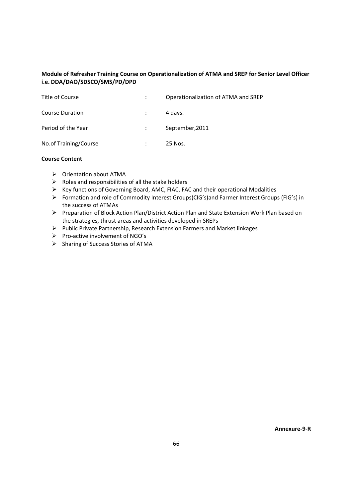# **Module of Refresher Training Course on Operationalization of ATMA and SREP for Senior Level Officer i.e. DDA/DAO/SDSCO/SMS/PD/DPD**

| Title of Course        | $\ddot{\phantom{0}}$ | Operationalization of ATMA and SREP |
|------------------------|----------------------|-------------------------------------|
| <b>Course Duration</b> |                      | 4 days.                             |
| Period of the Year     |                      | September, 2011                     |
| No.of Training/Course  |                      | 25 Nos.                             |

#### **Course Content**

- > Orientation about ATMA
- $\triangleright$  Roles and responsibilities of all the stake holders
- ▶ Key functions of Governing Board, AMC, FIAC, FAC and their operational Modalities
- Formation and role of Commodity Interest Groups(CIG's)and Farmer Interest Groups (FIG's) in the success of ATMAs
- ▶ Preparation of Block Action Plan/District Action Plan and State Extension Work Plan based on the strategies, thrust areas and activities developed in SREPs
- Public Private Partnership, Research Extension Farmers and Market linkages
- ▶ Pro-active involvement of NGO's
- > Sharing of Success Stories of ATMA

**Annexure-9-R**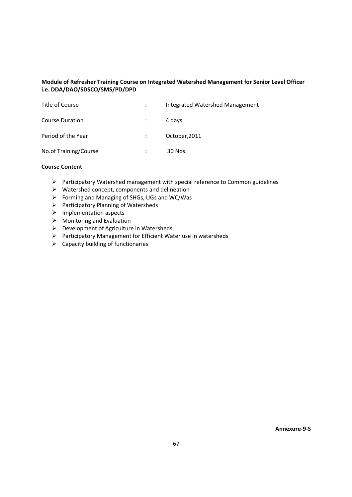# **Module of Refresher Training Course on Integrated Watershed Management for Senior Level Officer i.e. DDA/DAO/SDSCO/SMS/PD/DPD**

| Title of Course        | Integrated Watershed Management |
|------------------------|---------------------------------|
| <b>Course Duration</b> | 4 days.                         |
| Period of the Year     | October, 2011                   |
| No.of Training/Course  | 30 Nos.                         |

- Participatory Watershed management with special reference to Common guidelines
- ▶ Watershed concept, components and delineation
- Forming and Managing of SHGs, UGs and WC/Was
- Participatory Planning of Watersheds
- > Implementation aspects
- $\triangleright$  Monitoring and Evaluation
- ▶ Development of Agriculture in Watersheds
- Participatory Management for Efficient Water use in watersheds
- $\triangleright$  Capacity building of functionaries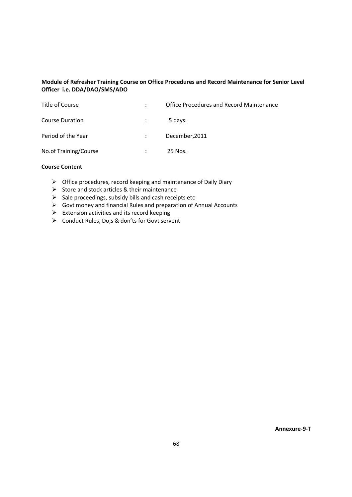# **Module of Refresher Training Course on Office Procedures and Record Maintenance for Senior Level Officer i.e. DDA/DAO/SMS/ADO**

| Title of Course        | Office Procedures and Record Maintenance |
|------------------------|------------------------------------------|
| <b>Course Duration</b> | 5 days.                                  |
| Period of the Year     | December, 2011                           |
| No.of Training/Course  | 25 Nos.                                  |

# **Course Content**

- $\triangleright$  Office procedures, record keeping and maintenance of Daily Diary
- ▶ Store and stock articles & their maintenance
- $\triangleright$  Sale proceedings, subsidy bills and cash receipts etc
- $\triangleright$  Govt money and financial Rules and preparation of Annual Accounts
- $\triangleright$  Extension activities and its record keeping
- ▶ Conduct Rules, Do,s & don'ts for Govt servent

**Annexure-9-T**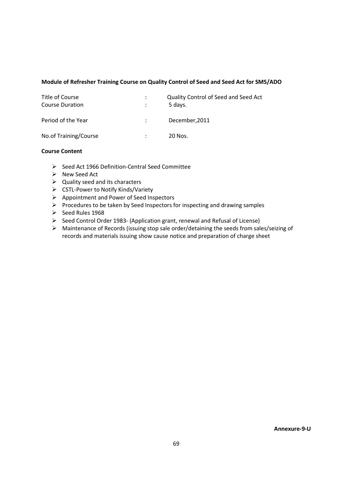## **Module of Refresher Training Course on Quality Control of Seed and Seed Act for SMS/ADO**

| Title of Course<br><b>Course Duration</b> | ÷<br>÷ | Quality Control of Seed and Seed Act<br>5 days. |
|-------------------------------------------|--------|-------------------------------------------------|
| Period of the Year                        |        | December, 2011                                  |
| No.of Training/Course                     |        | 20 Nos.                                         |

#### **Course Content**

- > Seed Act 1966 Definition-Central Seed Committee
- > New Seed Act
- $\triangleright$  Quality seed and its characters
- > CSTL-Power to Notify Kinds/Variety
- ▶ Appointment and Power of Seed Inspectors
- Procedures to be taken by Seed Inspectors for inspecting and drawing samples
- Seed Rules 1968
- ▶ Seed Control Order 1983- (Application grant, renewal and Refusal of License)
- > Maintenance of Records (issuing stop sale order/detaining the seeds from sales/seizing of records and materials issuing show cause notice and preparation of charge sheet

**Annexure-9-U**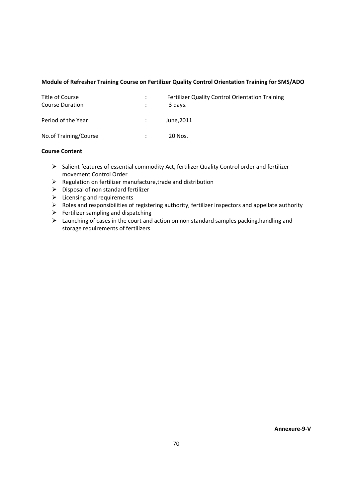#### **Module of Refresher Training Course on Fertilizer Quality Control Orientation Training for SMS/ADO**

| Title of Course<br>Course Duration | Fertilizer Quality Control Orientation Training<br>3 davs. |
|------------------------------------|------------------------------------------------------------|
| Period of the Year                 | June.2011                                                  |
| No.of Training/Course              | 20 Nos.                                                    |

#### **Course Content**

- > Salient features of essential commodity Act, fertilizer Quality Control order and fertilizer movement Control Order
- ▶ Regulation on fertilizer manufacture, trade and distribution
- > Disposal of non standard fertilizer
- $\triangleright$  Licensing and requirements
- ▶ Roles and responsibilities of registering authority, fertilizer inspectors and appellate authority
- > Fertilizer sampling and dispatching
- $\geq$  Launching of cases in the court and action on non standard samples packing, handling and storage requirements of fertilizers

**Annexure-9-V**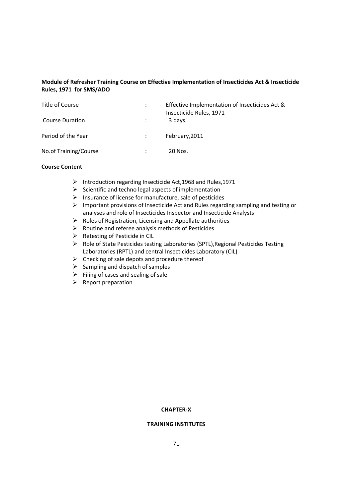# **Module of Refresher Training Course on Effective Implementation of Insecticides Act & Insecticide Rules, 1971 for SMS/ADO**

| Title of Course        | Effective Implementation of Insecticides Act &<br>Insecticide Rules, 1971 |
|------------------------|---------------------------------------------------------------------------|
| <b>Course Duration</b> | 3 days.                                                                   |
| Period of the Year     | February, 2011                                                            |
| No.of Training/Course  | 20 Nos.                                                                   |

# **Course Content**

- > Introduction regarding Insecticide Act.1968 and Rules.1971
- $\triangleright$  Scientific and techno legal aspects of implementation
- Insurance of license for manufacture, sale of pesticides
- $\geq$  Important provisions of Insecticide Act and Rules regarding sampling and testing or analyses and role of Insecticides Inspector and Insecticide Analysts
- ▶ Roles of Registration, Licensing and Appellate authorities
- $\triangleright$  Routine and referee analysis methods of Pesticides
- > Retesting of Pesticide in CIL
- ▶ Role of State Pesticides testing Laboratories (SPTL), Regional Pesticides Testing Laboratories (RPTL) and central Insecticides Laboratory (CIL)
- $\triangleright$  Checking of sale depots and procedure thereof
- $\triangleright$  Sampling and dispatch of samples
- $\triangleright$  Filing of cases and sealing of sale
- $\triangleright$  Report preparation

#### **CHAPTER-X**

#### **TRAINING INSTITUTES**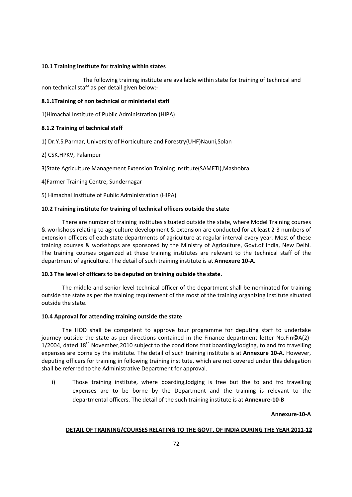#### **10.1 Training institute for training within states**

The following training institute are available within state for training of technical and non technical staff as per detail given below:-

#### **8.1.1Training of non technical or ministerial staff**

1)Himachal Institute of Public Administration (HIPA)

#### **8.1.2 Training of technical staff**

1) Dr.Y.S.Parmar, University of Horticulture and Forestry(UHF)Nauni,Solan

#### 2) CSK,HPKV, Palampur

3)State Agriculture Management Extension Training Institute(SAMETI),Mashobra

4)Farmer Training Centre, Sundernagar

5) Himachal Institute of Public Administration (HIPA)

#### **10.2 Training institute for training of technical officers outside the state**

There are number of training institutes situated outside the state, where Model Training courses & workshops relating to agriculture development & extension are conducted for at least 2-3 numbers of extension officers of each state departments of agriculture at regular interval every year. Most of these training courses & workshops are sponsored by the Ministry of Agriculture, Govt.of India, New Delhi. The training courses organized at these training institutes are relevant to the technical staff of the department of agriculture. The detail of such training institute is at **Annexure 10-A.** 

#### **10.3 The level of officers to be deputed on training outside the state.**

The middle and senior level technical officer of the department shall be nominated for training outside the state as per the training requirement of the most of the training organizing institute situated outside the state.

#### **10.4 Approval for attending training outside the state**

 The HOD shall be competent to approve tour programme for deputing staff to undertake journey outside the state as per directions contained in the Finance department letter No.Fin©A(2)- 1/2004, dated 18<sup>th</sup> November, 2010 subject to the conditions that boarding/lodging, to and fro travelling expenses are borne by the institute. The detail of such training institute is at **Annexure 10-A.** However, deputing officers for training in following training institute, which are not covered under this delegation shall be referred to the Administrative Department for approval.

i) Those training institute, where boarding,lodging is free but the to and fro travelling expenses are to be borne by the Department and the training is relevant to the departmental officers. The detail of the such training institute is at **Annexure-10-B**

#### **Annexure-10-A**

## **DETAIL OF TRAINING/COURSES RELATING TO THE GOVT. OF INDIA DURING THE YEAR 2011-12**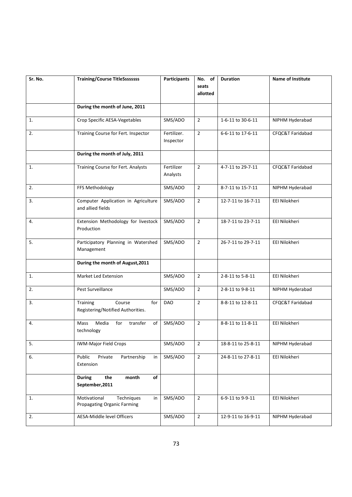| Sr. No. | <b>Training/Course TitleSsssssss</b>                                   | <b>Participants</b> | No. of            | <b>Duration</b>    | <b>Name of Institute</b> |
|---------|------------------------------------------------------------------------|---------------------|-------------------|--------------------|--------------------------|
|         |                                                                        |                     | seats<br>allotted |                    |                          |
|         |                                                                        |                     |                   |                    |                          |
|         | During the month of June, 2011                                         |                     |                   |                    |                          |
| 1.      | Crop Specific AESA-Vegetables                                          | SMS/ADO             | $\overline{2}$    | 1-6-11 to 30-6-11  | NIPHM Hyderabad          |
| 2.      | Training Course for Fert. Inspector                                    | Fertilizer.         | $\overline{2}$    | 6-6-11 to 17-6-11  | CFQC&T Faridabad         |
|         |                                                                        | Inspector           |                   |                    |                          |
|         | During the month of July, 2011                                         |                     |                   |                    |                          |
| 1.      | Training Course for Fert. Analysts                                     | Fertilizer          | $\overline{2}$    | 4-7-11 to 29-7-11  | CFQC&T Faridabad         |
|         |                                                                        | Analysts            |                   |                    |                          |
| 2.      | FFS Methodology                                                        | SMS/ADO             | $\overline{2}$    | 8-7-11 to 15-7-11  | NIPHM Hyderabad          |
| 3.      | Computer Application in Agriculture                                    | SMS/ADO             | $\overline{2}$    | 12-7-11 to 16-7-11 | EEI Nilokheri            |
|         | and allied fields                                                      |                     |                   |                    |                          |
| 4.      | Extension Methodology for livestock                                    | SMS/ADO             | $\overline{2}$    | 18-7-11 to 23-7-11 | EEI Nilokheri            |
|         | Production                                                             |                     |                   |                    |                          |
| 5.      | Participatory Planning in Watershed                                    | SMS/ADO             | $\overline{2}$    | 26-7-11 to 29-7-11 | EEI Nilokheri            |
|         | Management                                                             |                     |                   |                    |                          |
|         | During the month of August, 2011                                       |                     |                   |                    |                          |
| 1.      | Market Led Extension                                                   | SMS/ADO             | $\overline{2}$    | 2-8-11 to 5-8-11   | EEI Nilokheri            |
| 2.      | Pest Surveillance                                                      | SMS/ADO             | $\overline{2}$    | 2-8-11 to 9-8-11   | NIPHM Hyderabad          |
| 3.      | Training<br>Course<br>for                                              | <b>DAO</b>          | $\overline{2}$    | 8-8-11 to 12-8-11  | CFQC&T Faridabad         |
|         | Registering/Notified Authorities.                                      |                     |                   |                    |                          |
| 4.      | Media<br>for<br>transfer<br>Mass<br>of                                 | SMS/ADO             | $\overline{2}$    | 8-8-11 to 11-8-11  | EEI Nilokheri            |
|         | technology                                                             |                     |                   |                    |                          |
| 5.      | <b>IWM-Major Field Crops</b>                                           | SMS/ADO             | $\overline{2}$    | 18-8-11 to 25-8-11 | NIPHM Hyderabad          |
| 6.      | Public<br>Private<br>Partnership<br>in                                 | SMS/ADO             | $\overline{2}$    | 24-8-11 to 27-8-11 | EEI Nilokheri            |
|         | Extension                                                              |                     |                   |                    |                          |
|         | <b>During</b><br>the<br>month<br>of                                    |                     |                   |                    |                          |
|         | September, 2011                                                        |                     |                   |                    |                          |
| 1.      | Motivational<br>Techniques<br>in<br><b>Propagating Organic Farming</b> | SMS/ADO             | $\overline{2}$    | 6-9-11 to 9-9-11   | EEI Nilokheri            |
|         |                                                                        |                     |                   |                    |                          |
| 2.      | AESA-Middle level Officers                                             | SMS/ADO             | $\mathbf{2}$      | 12-9-11 to 16-9-11 | NIPHM Hyderabad          |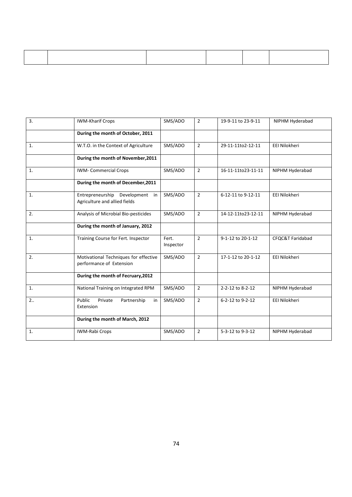| <b>IWM-Kharif Crops</b><br>During the month of October, 2011        | SMS/ADO            | $\overline{2}$ | 19-9-11 to 23-9-11 | NIPHM Hyderabad      |
|---------------------------------------------------------------------|--------------------|----------------|--------------------|----------------------|
|                                                                     |                    |                |                    |                      |
|                                                                     |                    |                |                    |                      |
| W.T.O. in the Context of Agriculture                                | SMS/ADO            | $\overline{2}$ | 29-11-11to2-12-11  | EEI Nilokheri        |
| During the month of November, 2011                                  |                    |                |                    |                      |
| <b>IWM- Commercial Crops</b>                                        | SMS/ADO            | $\overline{2}$ | 16-11-11to23-11-11 | NIPHM Hyderabad      |
| During the month of December, 2011                                  |                    |                |                    |                      |
| Development in<br>Entrepreneurship<br>Agriculture and allied fields | SMS/ADO            | $\overline{2}$ | 6-12-11 to 9-12-11 | <b>EEI Nilokheri</b> |
| Analysis of Microbial Bio-pesticides                                | SMS/ADO            | $\overline{2}$ | 14-12-11to23-12-11 | NIPHM Hyderabad      |
| During the month of January, 2012                                   |                    |                |                    |                      |
| Training Course for Fert. Inspector                                 | Fert.<br>Inspector | $\overline{2}$ | 9-1-12 to 20-1-12  | CFQC&T Faridabad     |
| Motivational Techniques for effective<br>performance of Extension   | SMS/ADO            | $\overline{2}$ | 17-1-12 to 20-1-12 | EEI Nilokheri        |
| During the month of Fecruary, 2012                                  |                    |                |                    |                      |
| National Training on Integrated RPM                                 | SMS/ADO            | $\overline{2}$ | 2-2-12 to 8-2-12   | NIPHM Hyderabad      |
| Public<br>Private<br>Partnership<br>in<br>Extension                 | SMS/ADO            | $\overline{2}$ | 6-2-12 to 9-2-12   | <b>EEI Nilokheri</b> |
| During the month of March, 2012                                     |                    |                |                    |                      |
| IWM-Rabi Crops                                                      | SMS/ADO            | $\overline{2}$ | 5-3-12 to 9-3-12   | NIPHM Hyderabad      |
|                                                                     |                    |                |                    |                      |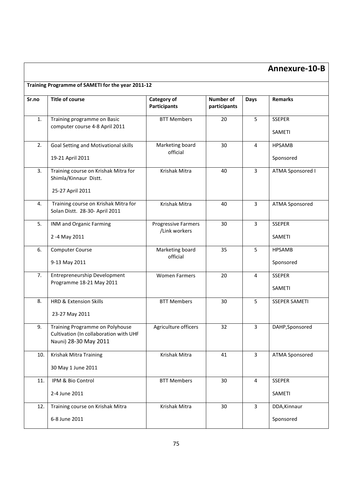# **Annexure-10-B**

| Sr.no | <b>Title of course</b>                                                                             | Category of<br><b>Participants</b>   | <b>Number of</b><br>participants | Days           | <b>Remarks</b>             |
|-------|----------------------------------------------------------------------------------------------------|--------------------------------------|----------------------------------|----------------|----------------------------|
| 1.    | Training programme on Basic<br>computer course 4-8 April 2011                                      | <b>BTT Members</b>                   | 20                               | 5              | <b>SSEPER</b><br>SAMETI    |
| 2.    | Goal Setting and Motivational skills<br>19-21 April 2011                                           | Marketing board<br>official          | 30                               | 4              | <b>HPSAMB</b><br>Sponsored |
| 3.    | Training course on Krishak Mitra for<br>Shimla/Kinnaur Distt.<br>25-27 April 2011                  | Krishak Mitra                        | 40                               | 3              | ATMA Sponsored I           |
| 4.    | Training course on Krishak Mitra for<br>Solan Distt. 28-30- April 2011                             | Krishak Mitra                        | 40                               | $\overline{3}$ | <b>ATMA Sponsored</b>      |
| 5.    | INM and Organic Farming<br>2 -4 May 2011                                                           | Progressive Farmers<br>/Link workers | 30                               | $\overline{3}$ | <b>SSEPER</b><br>SAMETI    |
| 6.    | <b>Computer Course</b><br>9-13 May 2011                                                            | Marketing board<br>official          | 35                               | 5              | <b>HPSAMB</b><br>Sponsored |
| 7.    | Entrepreneurship Development<br>Programme 18-21 May 2011                                           | <b>Women Farmers</b>                 | 20                               | 4              | <b>SSEPER</b><br>SAMETI    |
| 8.    | <b>HRD &amp; Extension Skills</b><br>23-27 May 2011                                                | <b>BTT Members</b>                   | 30                               | 5              | <b>SSEPER SAMETI</b>       |
| 9.    | Training Programme on Polyhouse<br>Cultivation (In collaboration with UHF<br>Nauni) 28-30 May 2011 | Agriculture officers                 | 32                               | 3              | DAHP, Sponsored            |
| 10.   | Krishak Mitra Training<br>30 May 1 June 2011                                                       | Krishak Mitra                        | 41                               | $\overline{3}$ | <b>ATMA Sponsored</b>      |
| 11.   | IPM & Bio Control<br>2-4 June 2011                                                                 | <b>BTT Members</b>                   | 30                               | 4              | <b>SSEPER</b><br>SAMETI    |
| 12.   | Training course on Krishak Mitra<br>6-8 June 2011                                                  | Krishak Mitra                        | 30                               | $\mathbf{3}$   | DDA, Kinnaur<br>Sponsored  |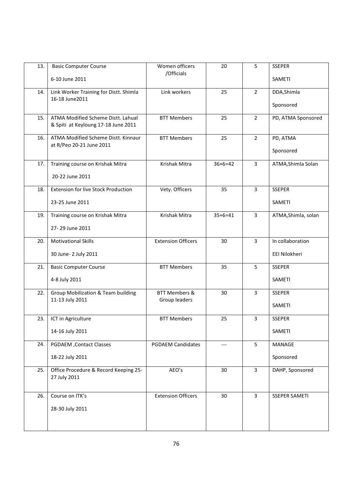| 13. | <b>Basic Computer Course</b>                                              | Women officers<br>/Officials              | 20        | 5              | <b>SSEPER</b>        |
|-----|---------------------------------------------------------------------------|-------------------------------------------|-----------|----------------|----------------------|
|     | 6-10 June 2011                                                            |                                           |           |                | SAMETI               |
| 14. | Link Worker Training for Distt. Shimla<br>16-18 June2011                  | Link workers                              | 25        | $\overline{2}$ | DDA, Shimla          |
|     |                                                                           |                                           |           |                | Sponsored            |
| 15. | ATMA Modified Scheme Distt. Lahual<br>& Spiti at Keyloung 17-18 June 2011 | <b>BTT Members</b>                        | 25        | $\overline{2}$ | PD, ATMA Sponsored   |
|     |                                                                           |                                           |           |                |                      |
| 16. | ATMA Modified Scheme Distt. Kinnaur<br>at R/Peo 20-21 June 2011           | <b>BTT Members</b>                        | 25        | $\overline{2}$ | PD, ATMA             |
|     |                                                                           |                                           |           |                | Sponsored            |
| 17. | Training course on Krishak Mitra                                          | Krishak Mitra                             | $36+6=42$ | $\overline{3}$ | ATMA, Shimla Solan   |
|     | 20-22 June 2011                                                           |                                           |           |                |                      |
| 18. | <b>Extension for live Stock Production</b>                                | Vety. Officers                            | 35        | $\overline{3}$ | <b>SSEPER</b>        |
|     | 23-25 June 2011                                                           |                                           |           |                | SAMETI               |
| 19. | Training course on Krishak Mitra                                          | Krishak Mitra                             | $35+6=41$ | $\overline{3}$ | ATMA, Shimla, solan  |
|     | 27-29 June 2011                                                           |                                           |           |                |                      |
| 20. | <b>Motivational Skills</b>                                                | <b>Extension Officers</b>                 | 30        | 3              | In collaboration     |
|     | 30 June- 2 July 2011                                                      |                                           |           |                | EEI Nilokheri        |
| 21. | <b>Basic Computer Course</b>                                              | <b>BTT Members</b>                        | 35        | 5              | <b>SSEPER</b>        |
|     | 4-8 July 2011                                                             |                                           |           |                | SAMETI               |
| 22. | Group Mobilization & Team building                                        | <b>BTT Members &amp;</b><br>Group leaders | 30        | $\overline{3}$ | <b>SSEPER</b>        |
|     | 11-13 July 2011                                                           |                                           |           |                | <b>SAMETI</b>        |
| 23. | ICT in Agriculture                                                        | <b>BTT Members</b>                        | 25        | 3              | <b>SSEPER</b>        |
|     | 14-16 July 2011                                                           |                                           |           |                | SAMETI               |
| 24. | PGDAEM, Contact Classes                                                   | <b>PGDAEM Candidates</b>                  | ---       | 5              | MANAGE               |
|     | 18-22 July 2011                                                           |                                           |           |                | Sponsored            |
| 25. | Office Procedure & Record Keeping 25-<br>27 July 2011                     | AEO's                                     | 30        | $\overline{3}$ | DAHP, Sponsored      |
|     |                                                                           |                                           |           |                |                      |
| 26. | Course on ITK's                                                           | <b>Extension Officers</b>                 | 30        | $\overline{3}$ | <b>SSEPER SAMETI</b> |
|     | 28-30 July 2011                                                           |                                           |           |                |                      |
|     |                                                                           |                                           |           |                |                      |
|     |                                                                           |                                           |           |                |                      |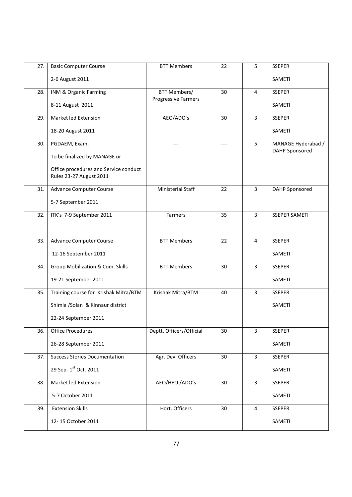| 27. | <b>Basic Computer Course</b>                                     | <b>BTT Members</b>         | 22 | 5              | <b>SSEPER</b>         |
|-----|------------------------------------------------------------------|----------------------------|----|----------------|-----------------------|
|     | 2-6 August 2011                                                  |                            |    |                | <b>SAMETI</b>         |
| 28. | INM & Organic Farming                                            | <b>BTT Members/</b>        | 30 | $\overline{4}$ | <b>SSEPER</b>         |
|     | 8-11 August 2011                                                 | <b>Progressive Farmers</b> |    |                | SAMETI                |
| 29. | Market led Extension                                             | AEO/ADO's                  | 30 | $\overline{3}$ | <b>SSEPER</b>         |
|     | 18-20 August 2011                                                |                            |    |                | SAMETI                |
| 30. | PGDAEM, Exam.                                                    |                            |    | 5              | MANAGE Hyderabad /    |
|     | To be finalized by MANAGE or                                     |                            |    |                | <b>DAHP Sponsored</b> |
|     | Office procedures and Service conduct<br>Rules 23-27 August 2011 |                            |    |                |                       |
| 31. | <b>Advance Computer Course</b>                                   | Ministerial Staff          | 22 | $\overline{3}$ | DAHP Sponsored        |
|     | 5-7 September 2011                                               |                            |    |                |                       |
| 32. | ITK's 7-9 September 2011                                         | Farmers                    | 35 | $\overline{3}$ | <b>SSEPER SAMETI</b>  |
|     |                                                                  |                            |    |                |                       |
| 33. | <b>Advance Computer Course</b>                                   | <b>BTT Members</b>         | 22 | $\overline{4}$ | <b>SSEPER</b>         |
|     | 12-16 September 2011                                             |                            |    |                | SAMETI                |
| 34. | Group Mobilization & Com. Skills                                 | <b>BTT Members</b>         | 30 | 3              | <b>SSEPER</b>         |
|     | 19-21 September 2011                                             |                            |    |                | SAMETI                |
| 35. | Training course for Krishak Mitra/BTM                            | Krishak Mitra/BTM          | 40 | $\overline{3}$ | <b>SSEPER</b>         |
|     | Shimla / Solan & Kinnaur district                                |                            |    |                | <b>SAMETI</b>         |
|     | 22-24 September 2011                                             |                            |    |                |                       |
| 36. | <b>Office Procedures</b>                                         | Deptt. Officers/Official   | 30 | 3              | <b>SSEPER</b>         |
|     | 26-28 September 2011                                             |                            |    |                | SAMETI                |
| 37. | <b>Success Stories Documentation</b>                             | Agr. Dev. Officers         | 30 | $\overline{3}$ | <b>SSEPER</b>         |
|     | 29 Sep- 1st Oct. 2011                                            |                            |    |                | SAMETI                |
| 38. | Market led Extension                                             | AEO/HEO /ADO's             | 30 | $\overline{3}$ | <b>SSEPER</b>         |
|     | 5-7 October 2011                                                 |                            |    |                | <b>SAMETI</b>         |
| 39. | <b>Extension Skills</b>                                          | Hort. Officers             | 30 | $\overline{4}$ | <b>SSEPER</b>         |
|     | 12-15 October 2011                                               |                            |    |                | SAMETI                |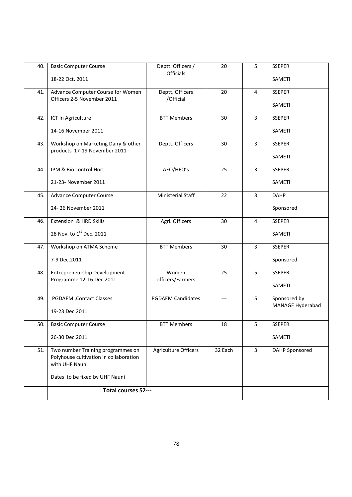| 40. | <b>Basic Computer Course</b>                                                                  | Deptt. Officers /<br>Officials | 20      | 5              | <b>SSEPER</b>    |
|-----|-----------------------------------------------------------------------------------------------|--------------------------------|---------|----------------|------------------|
|     | 18-22 Oct. 2011                                                                               |                                |         |                | <b>SAMETI</b>    |
| 41. | Advance Computer Course for Women<br>Officers 2-5 November 2011                               | Deptt. Officers<br>/Official   | 20      | $\overline{4}$ | <b>SSEPER</b>    |
|     |                                                                                               |                                |         |                | SAMETI           |
| 42. | ICT in Agriculture                                                                            | <b>BTT Members</b>             | 30      | $\overline{3}$ | <b>SSEPER</b>    |
|     | 14-16 November 2011                                                                           |                                |         |                | SAMETI           |
| 43. | Workshop on Marketing Dairy & other                                                           | Deptt. Officers                | 30      | $\overline{3}$ | <b>SSEPER</b>    |
|     | products 17-19 November 2011                                                                  |                                |         |                | SAMETI           |
| 44. | IPM & Bio control Hort.                                                                       | AEO/HEO's                      | 25      | $\overline{3}$ | <b>SSEPER</b>    |
|     | 21-23- November 2011                                                                          |                                |         |                | SAMETI           |
| 45. | <b>Advance Computer Course</b>                                                                | Ministerial Staff              | 22      | $\overline{3}$ | <b>DAHP</b>      |
|     | 24-26 November 2011                                                                           |                                |         |                | Sponsored        |
| 46. | Extension & HRD Skills                                                                        | Agri. Officers                 | 30      | 4              | <b>SSEPER</b>    |
|     | 28 Nov. to 1st Dec. 2011                                                                      |                                |         |                | SAMETI           |
| 47. | Workshop on ATMA Scheme                                                                       | <b>BTT Members</b>             | 30      | $\overline{3}$ | <b>SSEPER</b>    |
|     | 7-9 Dec.2011                                                                                  |                                |         |                | Sponsored        |
| 48. | Entrepreneurship Development                                                                  | Women                          | 25      | 5              | <b>SSEPER</b>    |
|     | Programme 12-16 Dec.2011                                                                      | officers/Farmers               |         |                | SAMETI           |
| 49. | PGDAEM, Contact Classes                                                                       | <b>PGDAEM Candidates</b>       | $---$   | 5              | Sponsored by     |
|     | 19-23 Dec.2011                                                                                |                                |         |                | MANAGE Hyderabad |
| 50. | <b>Basic Computer Course</b>                                                                  | <b>BTT Members</b>             | 18      | 5              | <b>SSEPER</b>    |
|     | 26-30 Dec.2011                                                                                |                                |         |                | SAMETI           |
| 51. | Two number Training programmes on<br>Polyhouse cultivation in collaboration<br>with UHF Nauni | <b>Agriculture Officers</b>    | 32 Each | $\overline{3}$ | DAHP Sponsored   |
|     | Dates to be fixed by UHF Nauni                                                                |                                |         |                |                  |
|     | Total courses 52---                                                                           |                                |         |                |                  |
|     |                                                                                               |                                |         |                |                  |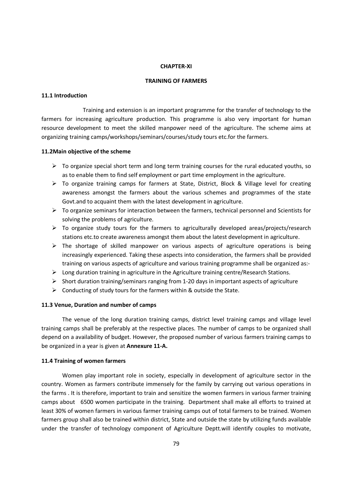#### **CHAPTER-XI**

#### **TRAINING OF FARMERS**

#### **11.1 Introduction**

Training and extension is an important programme for the transfer of technology to the farmers for increasing agriculture production. This programme is also very important for human resource development to meet the skilled manpower need of the agriculture. The scheme aims at organizing training camps/workshops/seminars/courses/study tours etc.for the farmers.

# **11.2Main objective of the scheme**

- $\geq$  To organize special short term and long term training courses for the rural educated vouths, so as to enable them to find self employment or part time employment in the agriculture.
- > To organize training camps for farmers at State, District, Block & Village level for creating awareness amongst the farmers about the various schemes and programmes of the state Govt.and to acquaint them with the latest development in agriculture.
- > To organize seminars for interaction between the farmers, technical personnel and Scientists for solving the problems of agriculture.
- $\triangleright$  To organize study tours for the farmers to agriculturally developed areas/projects/research stations etc.to create awareness amongst them about the latest development in agriculture.
- $\triangleright$  The shortage of skilled manpower on various aspects of agriculture operations is being increasingly experienced. Taking these aspects into consideration, the farmers shall be provided training on various aspects of agriculture and various training programme shall be organized as:-
- Long duration training in agriculture in the Agriculture training centre/Research Stations.
- Short duration training/seminars ranging from 1-20 days in important aspects of agriculture
- ▶ Conducting of study tours for the farmers within & outside the State.

# **11.3 Venue, Duration and number of camps**

The venue of the long duration training camps, district level training camps and village level training camps shall be preferably at the respective places. The number of camps to be organized shall depend on a availability of budget. However, the proposed number of various farmers training camps to be organized in a year is given at **Annexure 11-A.**

# **11.4 Training of women farmers**

 Women play important role in society, especially in development of agriculture sector in the country. Women as farmers contribute immensely for the family by carrying out various operations in the farms . It is therefore, important to train and sensitize the women farmers in various farmer training camps about 6500 women participate in the training. Department shall make all efforts to trained at least 30% of women farmers in various farmer training camps out of total farmers to be trained. Women farmers group shall also be trained within district, State and outside the state by utilizing funds available under the transfer of technology component of Agriculture Deptt.will identify couples to motivate,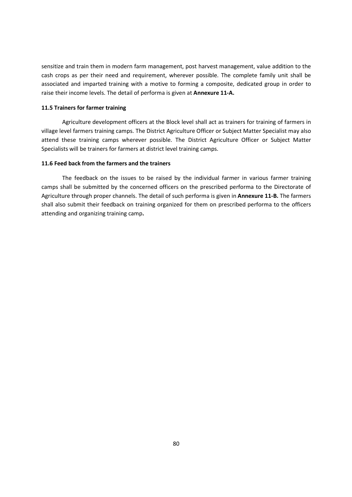sensitize and train them in modern farm management, post harvest management, value addition to the cash crops as per their need and requirement, wherever possible. The complete family unit shall be associated and imparted training with a motive to forming a composite, dedicated group in order to raise their income levels. The detail of performa is given at **Annexure 11-A.**

# **11.5 Trainers for farmer training**

 Agriculture development officers at the Block level shall act as trainers for training of farmers in village level farmers training camps. The District Agriculture Officer or Subject Matter Specialist may also attend these training camps wherever possible. The District Agriculture Officer or Subject Matter Specialists will be trainers for farmers at district level training camps.

## **11.6 Feed back from the farmers and the trainers**

 The feedback on the issues to be raised by the individual farmer in various farmer training camps shall be submitted by the concerned officers on the prescribed performa to the Directorate of Agriculture through proper channels. The detail of such performa is given in **Annexure 11-B.** The farmers shall also submit their feedback on training organized for them on prescribed performa to the officers attending and organizing training camp**.**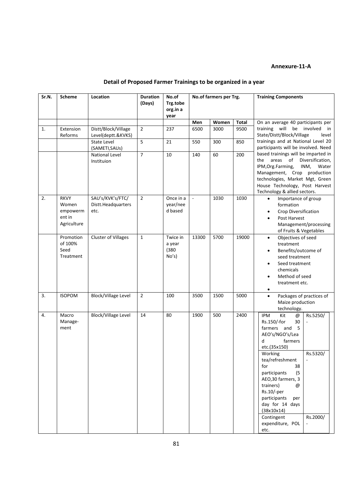# **Annexure-11-A**

|  | Detail of Proposed Farmer Trainings to be organized in a year |  |  |
|--|---------------------------------------------------------------|--|--|
|  |                                                               |  |  |

| Sr.N. | <b>Scheme</b>                                             | Location                                       | <b>Duration</b><br>(Days) | No.of<br>Trg.tobe<br>org.in a        | No.of farmers per Trg. |       |                      | <b>Training Components</b>                                                                                                                                                                                                                                                                                                                                          |
|-------|-----------------------------------------------------------|------------------------------------------------|---------------------------|--------------------------------------|------------------------|-------|----------------------|---------------------------------------------------------------------------------------------------------------------------------------------------------------------------------------------------------------------------------------------------------------------------------------------------------------------------------------------------------------------|
|       |                                                           |                                                |                           | year                                 | Men                    | Women |                      |                                                                                                                                                                                                                                                                                                                                                                     |
| 1.    | Extension<br>Reforms                                      | Distt/Block/Village<br>Level(deptt.&KVKS)      | $\overline{2}$            | 237                                  | 6500                   | 3000  | <b>Total</b><br>9500 | On an average 40 participants per<br>training will be involved<br>in<br>State/Distt/Block/Village<br>level                                                                                                                                                                                                                                                          |
|       |                                                           | <b>State Level</b><br>(SAMETI, SAUS)           | 5                         | 21                                   | 550                    | 300   | 850                  | trainings and at National Level 20<br>participants will be involved. Need                                                                                                                                                                                                                                                                                           |
|       |                                                           | National Level<br>Instituion                   | $\overline{7}$            | 10                                   | 140                    | 60    | 200                  | based trainings will be imparted in<br>the<br>areas<br>of<br>Diversification,<br>IPM, Org. Farming,<br>INM,<br>Water<br>Management, Crop production<br>technologies, Market Mgt, Green<br>House Technology, Post Harvest<br>Technology & allied sectors.                                                                                                            |
| 2.    | <b>RKVY</b><br>Women<br>empowerm<br>ent in<br>Agriculture | SAU's/KVK's/FTC/<br>Distt.Headquarters<br>etc. | $\overline{2}$            | Once in a<br>year/nee<br>d based     |                        | 1030  | 1030                 | Importance of group<br>$\bullet$<br>formation<br>Crop Diversification<br>$\bullet$<br>Post Harvest<br>$\bullet$<br>Management/processing<br>of Fruits & Vegetables                                                                                                                                                                                                  |
|       | Promotion<br>of 100%<br>Seed<br>Treatment                 | <b>Cluster of Villages</b>                     | $\mathbf{1}$              | Twice in<br>a year<br>(380)<br>No's) | 13300                  | 5700  | 19000                | Objectives of seed<br>$\bullet$<br>treatment<br>Benefits/outcome of<br>$\bullet$<br>seed treatment<br>Seed treatment<br>$\bullet$<br>chemicals<br>Method of seed<br>treatment etc.                                                                                                                                                                                  |
| 3.    | <b>ISOPOM</b>                                             | <b>Block/Village Level</b>                     | $\overline{2}$            | 100                                  | 3500                   | 1500  | 5000                 | Packages of practices of<br>$\bullet$<br>Maize production<br>technology.                                                                                                                                                                                                                                                                                            |
| 4.    | Macro<br>Manage-<br>ment                                  | <b>Block/Village Level</b>                     | 14                        | 80                                   | 1900                   | 500   | 2400                 | <b>IPM</b><br>Kit<br>Rs.5250/<br>$^\circledR$<br>30<br>Rs.150/-for<br>- 5<br>farmers and<br>AEO's/NGO's/Lea<br>farmers<br>d<br>etc.(35x150)<br>Rs.5320/<br>Working<br>tea/refreshment<br>for<br>38<br>participants<br>(5)<br>AEO, 30 farmers, 3<br>trainers)<br>@<br>$Rs.10/-per$<br>participants<br>per<br>day for 14 days<br>(38x10x14)<br>Rs.2000/<br>Contingent |
|       |                                                           |                                                |                           |                                      |                        |       |                      | expenditure, POL<br>etc.                                                                                                                                                                                                                                                                                                                                            |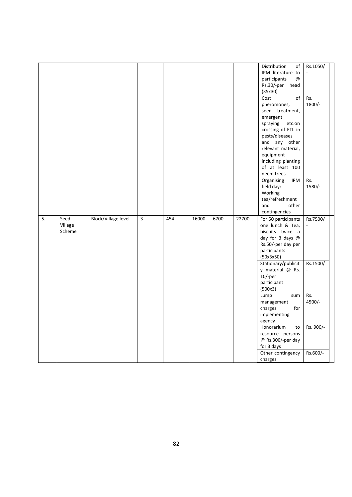|    |         |                     |             |     |       |      |       | Distribution<br>of              | Rs.1050/  |
|----|---------|---------------------|-------------|-----|-------|------|-------|---------------------------------|-----------|
|    |         |                     |             |     |       |      |       | IPM literature to               |           |
|    |         |                     |             |     |       |      |       | participants<br>$^{\copyright}$ |           |
|    |         |                     |             |     |       |      |       | Rs.30/-per head                 |           |
|    |         |                     |             |     |       |      |       | (35x30)                         |           |
|    |         |                     |             |     |       |      |       | of<br>Cost                      | Rs.       |
|    |         |                     |             |     |       |      |       | pheromones,                     | 1800/-    |
|    |         |                     |             |     |       |      |       | seed treatment,                 |           |
|    |         |                     |             |     |       |      |       | emergent                        |           |
|    |         |                     |             |     |       |      |       | spraying<br>etc.on              |           |
|    |         |                     |             |     |       |      |       | crossing of ETL in              |           |
|    |         |                     |             |     |       |      |       | pests/diseases                  |           |
|    |         |                     |             |     |       |      |       | and any other                   |           |
|    |         |                     |             |     |       |      |       | relevant material,              |           |
|    |         |                     |             |     |       |      |       | equipment                       |           |
|    |         |                     |             |     |       |      |       | including planting              |           |
|    |         |                     |             |     |       |      |       | of at least 100                 |           |
|    |         |                     |             |     |       |      |       | neem trees                      |           |
|    |         |                     |             |     |       |      |       | Organising<br>IPM               | Rs.       |
|    |         |                     |             |     |       |      |       | field day:                      | $1580/-$  |
|    |         |                     |             |     |       |      |       | Working                         |           |
|    |         |                     |             |     |       |      |       | tea/refreshment                 |           |
|    |         |                     |             |     |       |      |       | and<br>other                    |           |
|    |         |                     |             |     |       |      |       | contingencies                   |           |
|    |         |                     |             |     |       |      |       |                                 |           |
| 5. | Seed    | Block/Village level | $\mathsf 3$ | 454 | 16000 | 6700 | 22700 | For 50 participants             | Rs.7500/  |
|    | Village |                     |             |     |       |      |       | one lunch & Tea,                |           |
|    | Scheme  |                     |             |     |       |      |       | biscuits twice a                |           |
|    |         |                     |             |     |       |      |       | day for 3 days @                |           |
|    |         |                     |             |     |       |      |       | Rs.50/-per day per              |           |
|    |         |                     |             |     |       |      |       | participants                    |           |
|    |         |                     |             |     |       |      |       | (50x3x50)                       |           |
|    |         |                     |             |     |       |      |       | Stationary/publicit             | Rs.1500/  |
|    |         |                     |             |     |       |      |       | y material $@$ Rs.              |           |
|    |         |                     |             |     |       |      |       | $10/-per$                       |           |
|    |         |                     |             |     |       |      |       | participant                     |           |
|    |         |                     |             |     |       |      |       | (500x3)                         |           |
|    |         |                     |             |     |       |      |       | Lump<br>sum                     | Rs.       |
|    |         |                     |             |     |       |      |       | management                      | 4500/-    |
|    |         |                     |             |     |       |      |       | charges<br>for                  |           |
|    |         |                     |             |     |       |      |       | implementing                    |           |
|    |         |                     |             |     |       |      |       | agency                          |           |
|    |         |                     |             |     |       |      |       | Honorarium<br>to                | Rs. 900/- |
|    |         |                     |             |     |       |      |       | resource persons                |           |
|    |         |                     |             |     |       |      |       | @ Rs.300/-per day               |           |
|    |         |                     |             |     |       |      |       | for 3 days                      |           |
|    |         |                     |             |     |       |      |       | Other contingency               | Rs.600/-  |